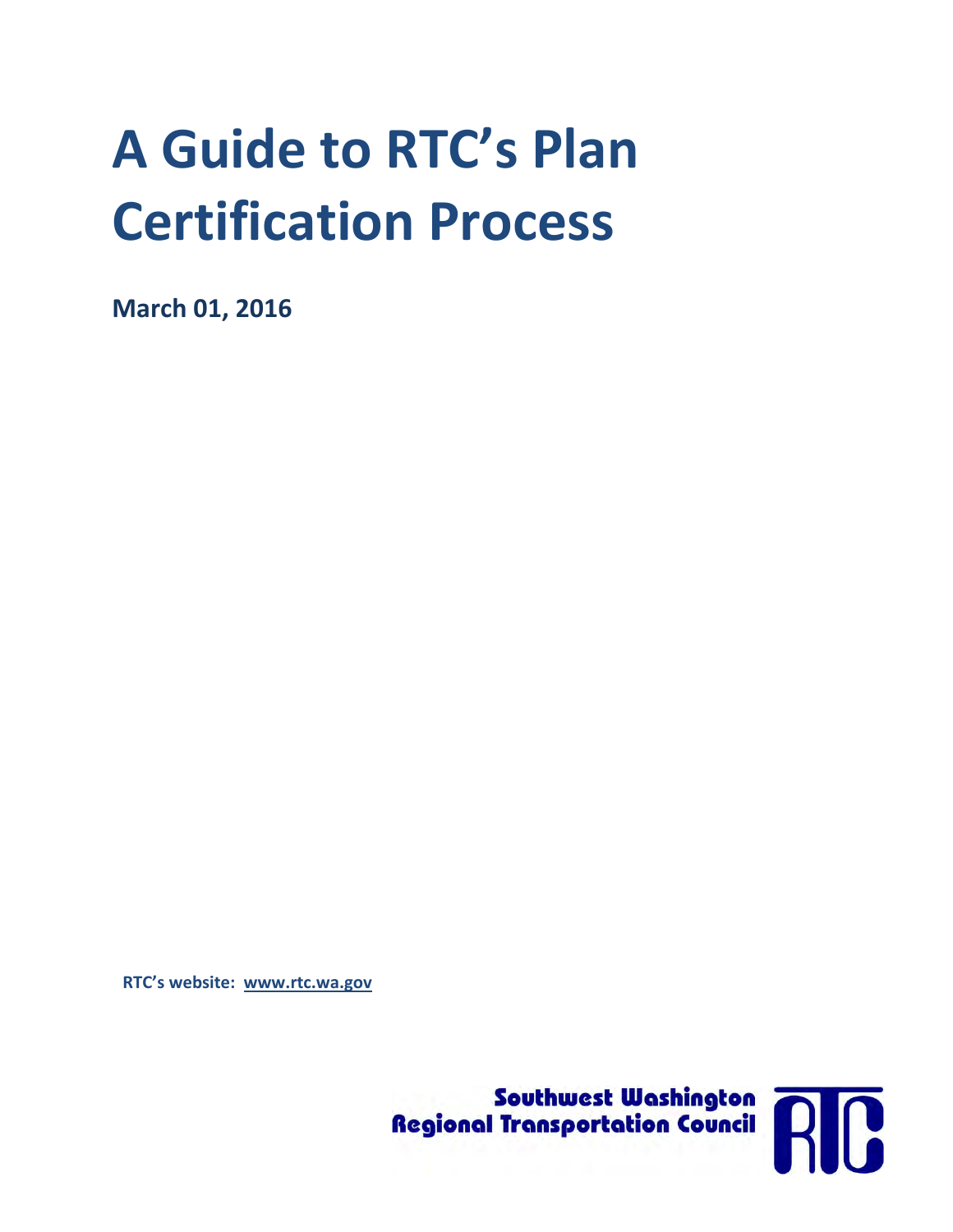# **A Guide to RTC's Plan Certification Process**

**March 01, 2016** 

**RTC's website: [www.rtc.wa.gov](file:///C:/Users/robinsd/Documents/TIP/2015/www.rtc.wa.gov)**

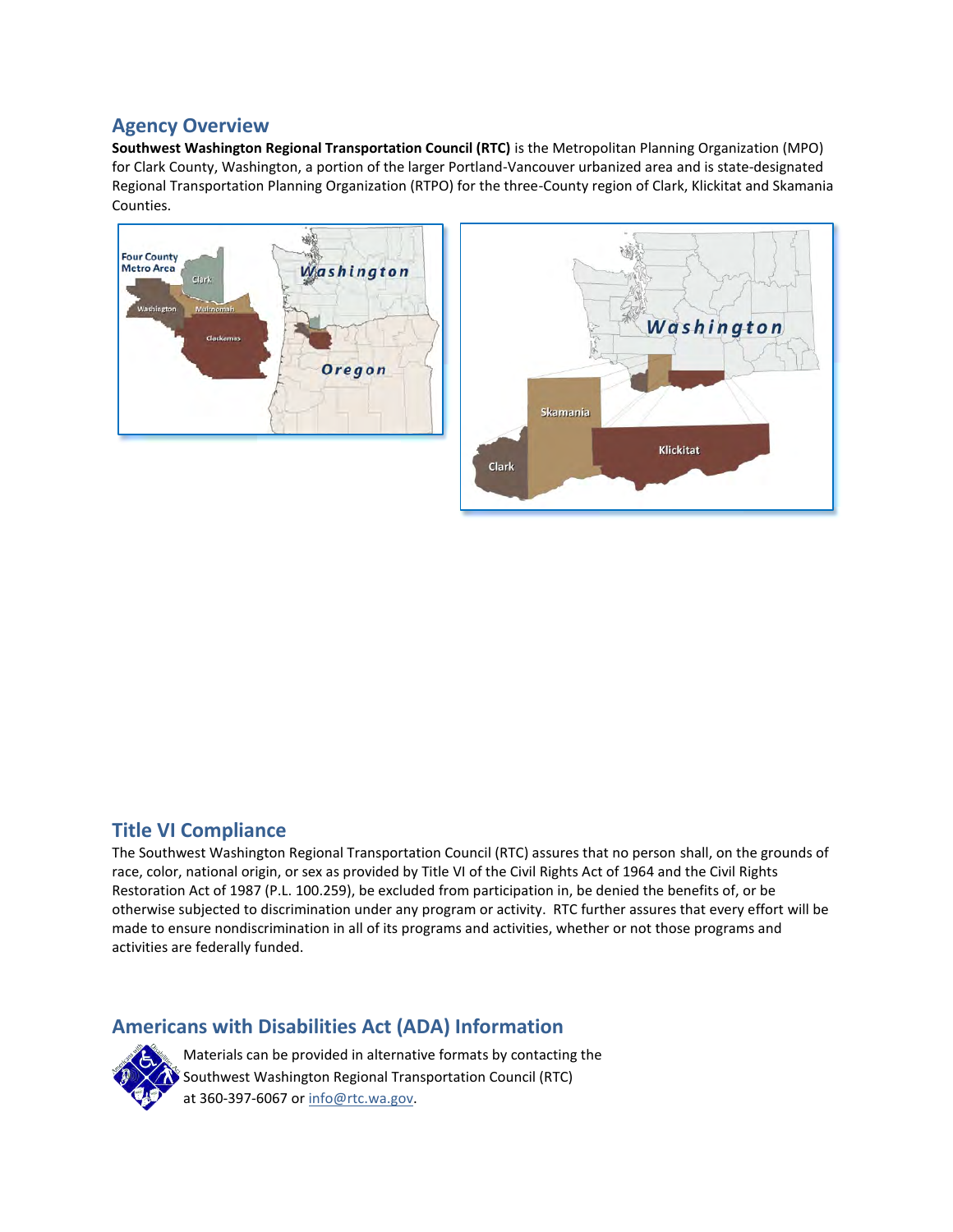#### **Agency Overview**

**Southwest Washington Regional Transportation Council (RTC)** is the Metropolitan Planning Organization (MPO) for Clark County, Washington, a portion of the larger Portland-Vancouver urbanized area and is state-designated Regional Transportation Planning Organization (RTPO) for the three-County region of Clark, Klickitat and Skamania Counties.





#### **Title VI Compliance**

The Southwest Washington Regional Transportation Council (RTC) assures that no person shall, on the grounds of race, color, national origin, or sex as provided by Title VI of the Civil Rights Act of 1964 and the Civil Rights Restoration Act of 1987 (P.L. 100.259), be excluded from participation in, be denied the benefits of, or be otherwise subjected to discrimination under any program or activity. RTC further assures that every effort will be made to ensure nondiscrimination in all of its programs and activities, whether or not those programs and activities are federally funded.

#### **Americans with Disabilities Act (ADA) Information**



Materials can be provided in alternative formats by contacting the Southwest Washington Regional Transportation Council (RTC) at 360-397-6067 or [info@rtc.wa.gov.](mailto:info@rtc.wa.gov)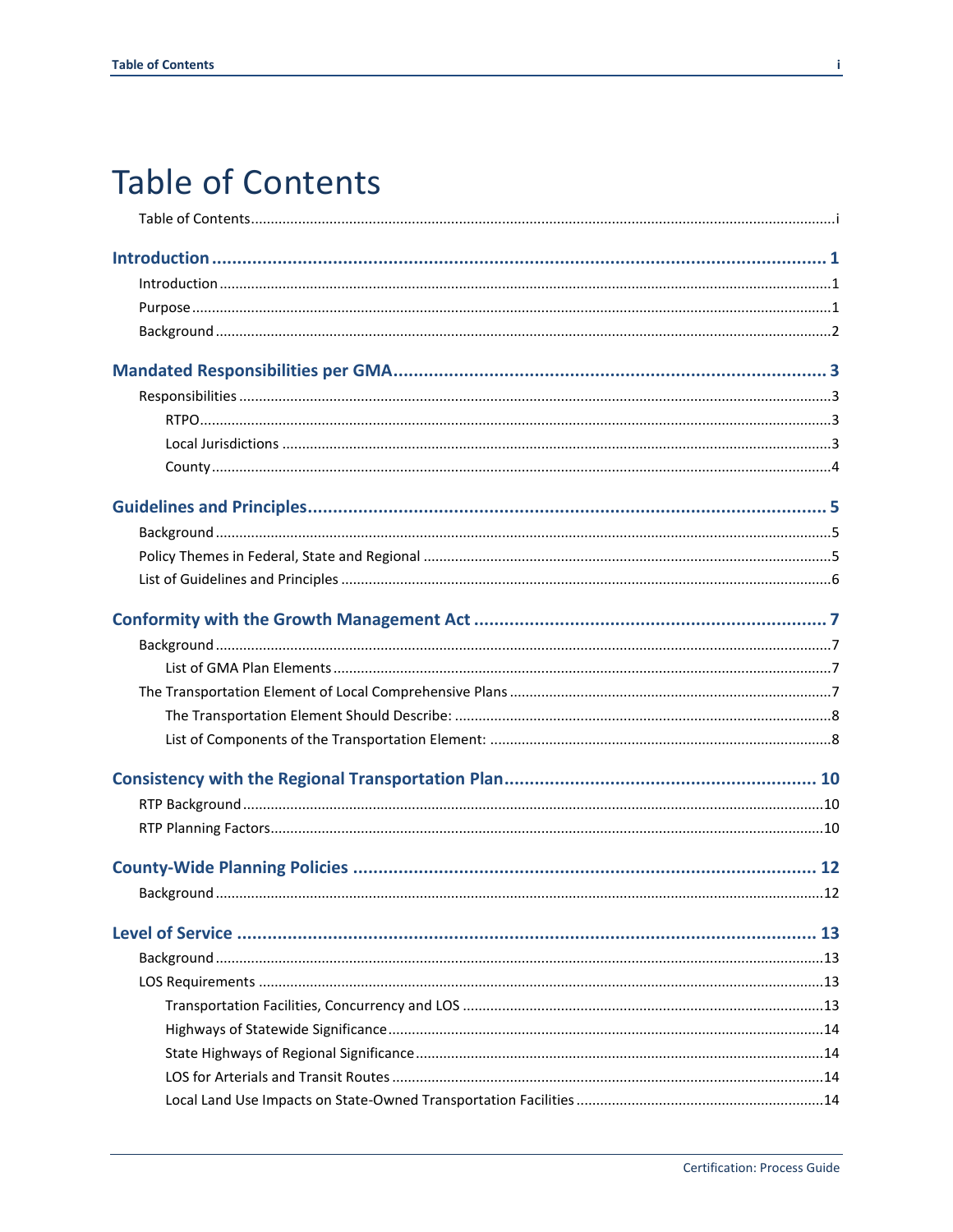## **Table of Contents**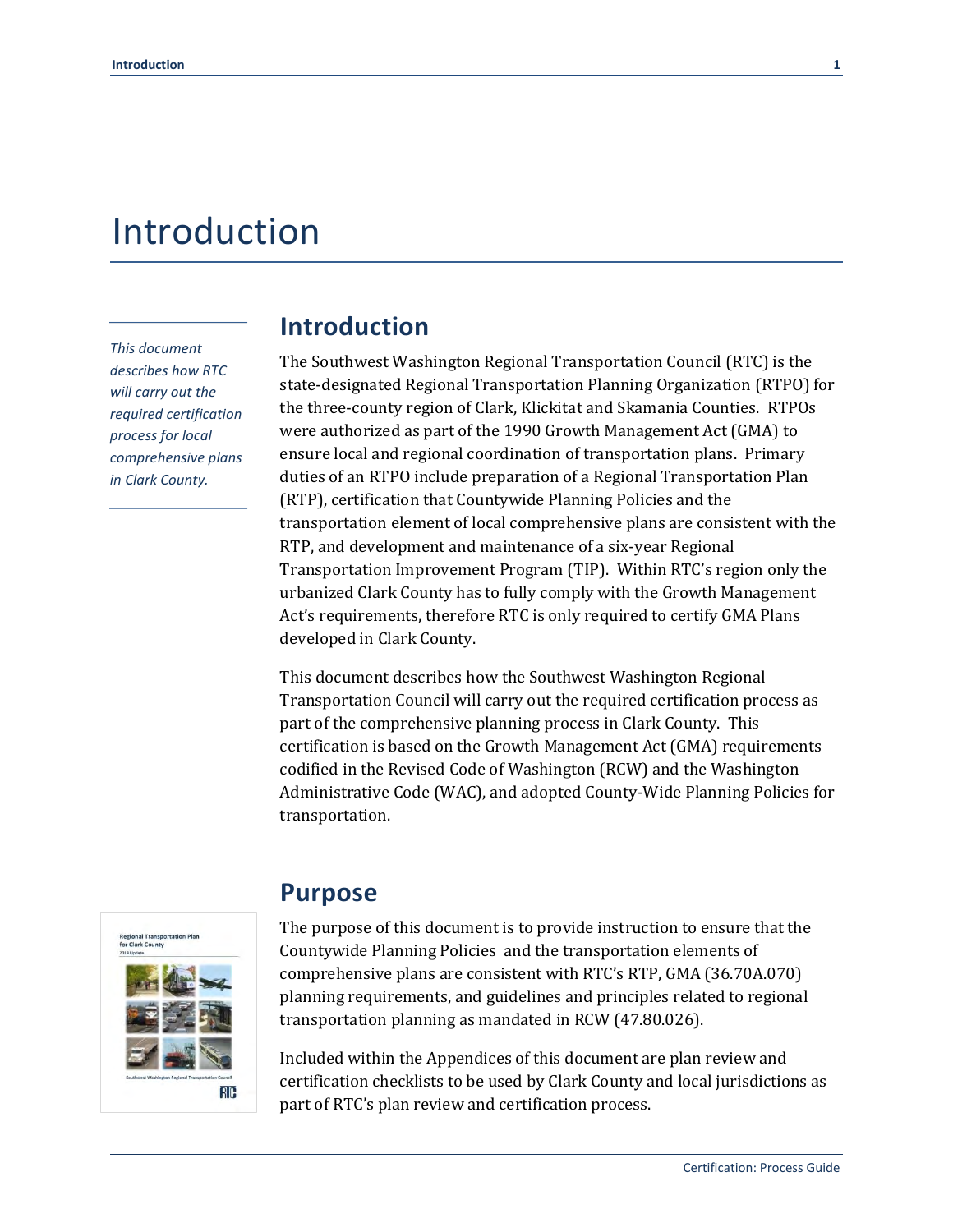## Introduction

*This document describes how RTC will carry out the required certification process for local comprehensive plans in Clark County.*

### **Introduction**

The Southwest Washington Regional Transportation Council (RTC) is the state-designated Regional Transportation Planning Organization (RTPO) for the three-county region of Clark, Klickitat and Skamania Counties. RTPOs were authorized as part of the 1990 Growth Management Act (GMA) to ensure local and regional coordination of transportation plans. Primary duties of an RTPO include preparation of a Regional Transportation Plan (RTP), certification that Countywide Planning Policies and the transportation element of local comprehensive plans are consistent with the RTP, and development and maintenance of a six-year Regional Transportation Improvement Program (TIP). Within RTC's region only the urbanized Clark County has to fully comply with the Growth Management Act's requirements, therefore RTC is only required to certify GMA Plans developed in Clark County.

This document describes how the Southwest Washington Regional Transportation Council will carry out the required certification process as part of the comprehensive planning process in Clark County. This certification is based on the Growth Management Act (GMA) requirements codified in the Revised Code of Washington (RCW) and the Washington Administrative Code (WAC), and adopted County-Wide Planning Policies for transportation.



### **Purpose**

The purpose of this document is to provide instruction to ensure that the Countywide Planning Policies and the transportation elements of comprehensive plans are consistent with RTC's RTP, GMA (36.70A.070) planning requirements, and guidelines and principles related to regional transportation planning as mandated in RCW (47.80.026).

Included within the Appendices of this document are plan review and certification checklists to be used by Clark County and local jurisdictions as part of RTC's plan review and certification process.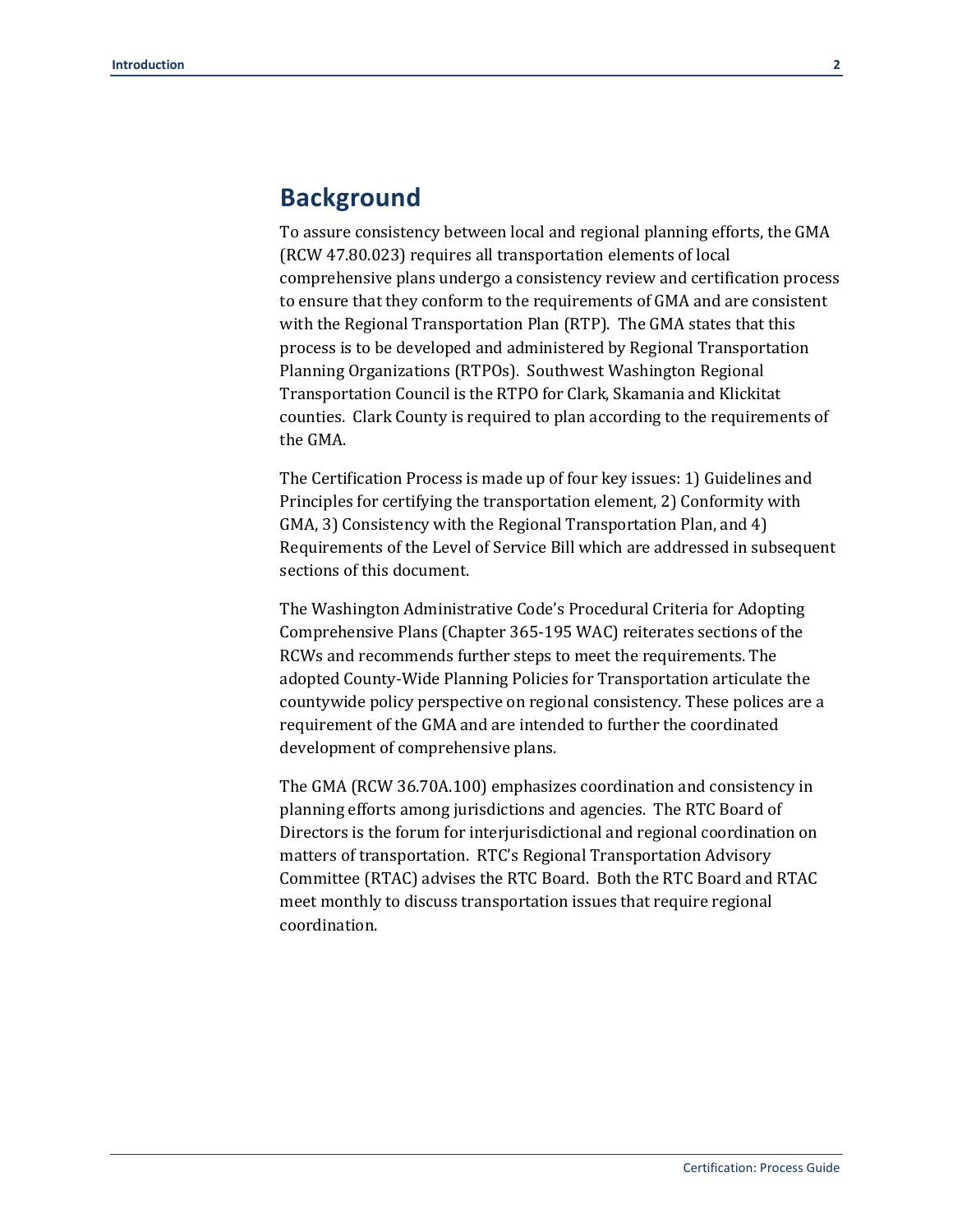### **Background**

To assure consistency between local and regional planning efforts, the GMA (RCW 47.80.023) requires all transportation elements of local comprehensive plans undergo a consistency review and certification process to ensure that they conform to the requirements of GMA and are consistent with the Regional Transportation Plan (RTP). The GMA states that this process is to be developed and administered by Regional Transportation Planning Organizations (RTPOs). Southwest Washington Regional Transportation Council is the RTPO for Clark, Skamania and Klickitat counties. Clark County is required to plan according to the requirements of the GMA.

The Certification Process is made up of four key issues: 1) Guidelines and Principles for certifying the transportation element, 2) Conformity with GMA, 3) Consistency with the Regional Transportation Plan, and 4) Requirements of the Level of Service Bill which are addressed in subsequent sections of this document.

The Washington Administrative Code's Procedural Criteria for Adopting Comprehensive Plans (Chapter 365-195 WAC) reiterates sections of the RCWs and recommends further steps to meet the requirements. The adopted County-Wide Planning Policies for Transportation articulate the countywide policy perspective on regional consistency. These polices are a requirement of the GMA and are intended to further the coordinated development of comprehensive plans.

The GMA (RCW 36.70A.100) emphasizes coordination and consistency in planning efforts among jurisdictions and agencies. The RTC Board of Directors is the forum for interjurisdictional and regional coordination on matters of transportation. RTC's Regional Transportation Advisory Committee (RTAC) advises the RTC Board. Both the RTC Board and RTAC meet monthly to discuss transportation issues that require regional coordination.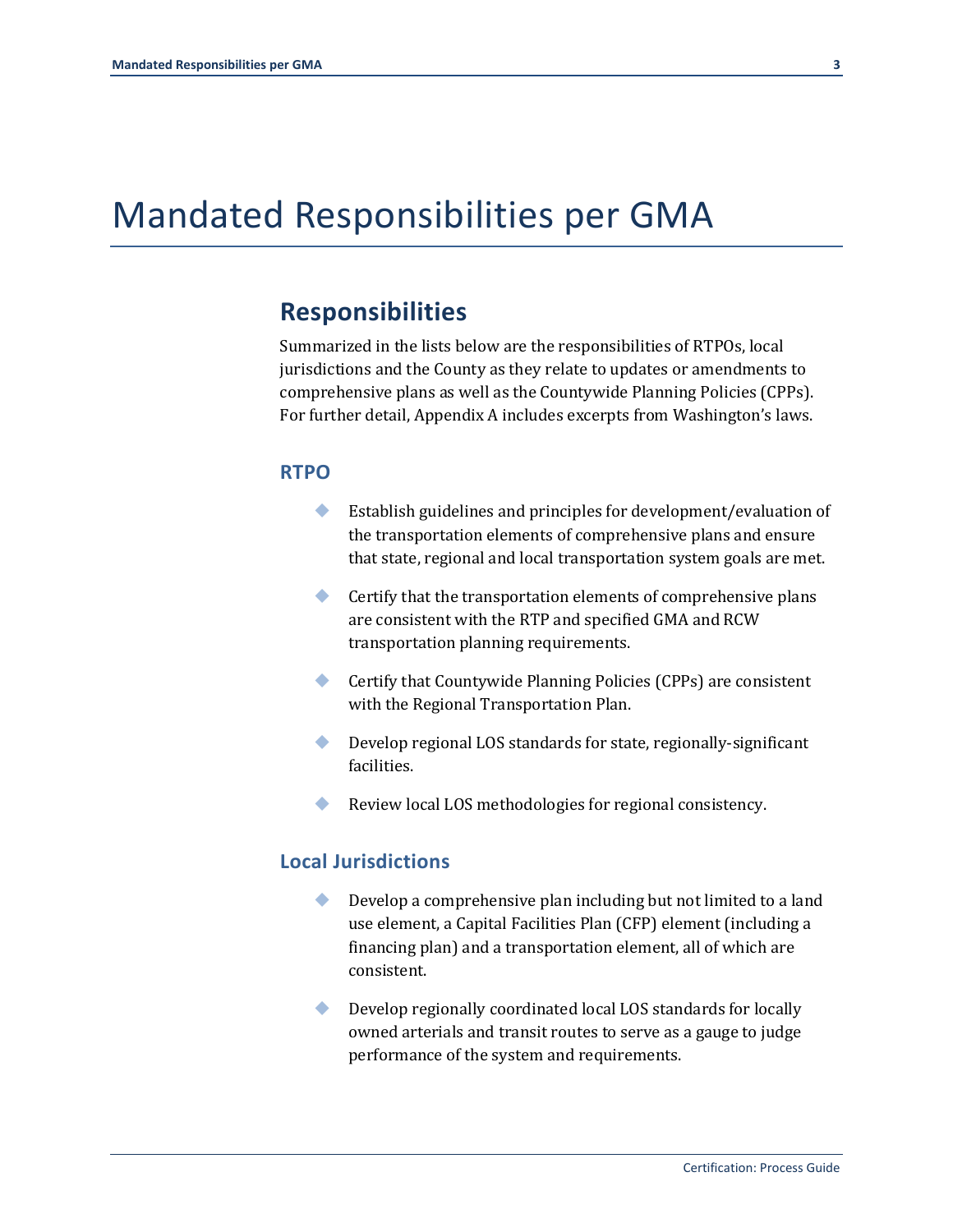## Mandated Responsibilities per GMA

### **Responsibilities**

Summarized in the lists below are the responsibilities of RTPOs, local jurisdictions and the County as they relate to updates or amendments to comprehensive plans as well as the Countywide Planning Policies (CPPs). For further detail, Appendix A includes excerpts from Washington's laws.

#### **RTPO**

- Establish guidelines and principles for development/evaluation of the transportation elements of comprehensive plans and ensure that state, regional and local transportation system goals are met.
- **Certify that the transportation elements of comprehensive plans** are consistent with the RTP and specified GMA and RCW transportation planning requirements.
- Certify that Countywide Planning Policies (CPPs) are consistent with the Regional Transportation Plan.
- Develop regional LOS standards for state, regionally-significant facilities.
- Review local LOS methodologies for regional consistency.

#### **Local Jurisdictions**

- ◆ Develop a comprehensive plan including but not limited to a land use element, a Capital Facilities Plan (CFP) element (including a financing plan) and a transportation element, all of which are consistent.
- Develop regionally coordinated local LOS standards for locally owned arterials and transit routes to serve as a gauge to judge performance of the system and requirements.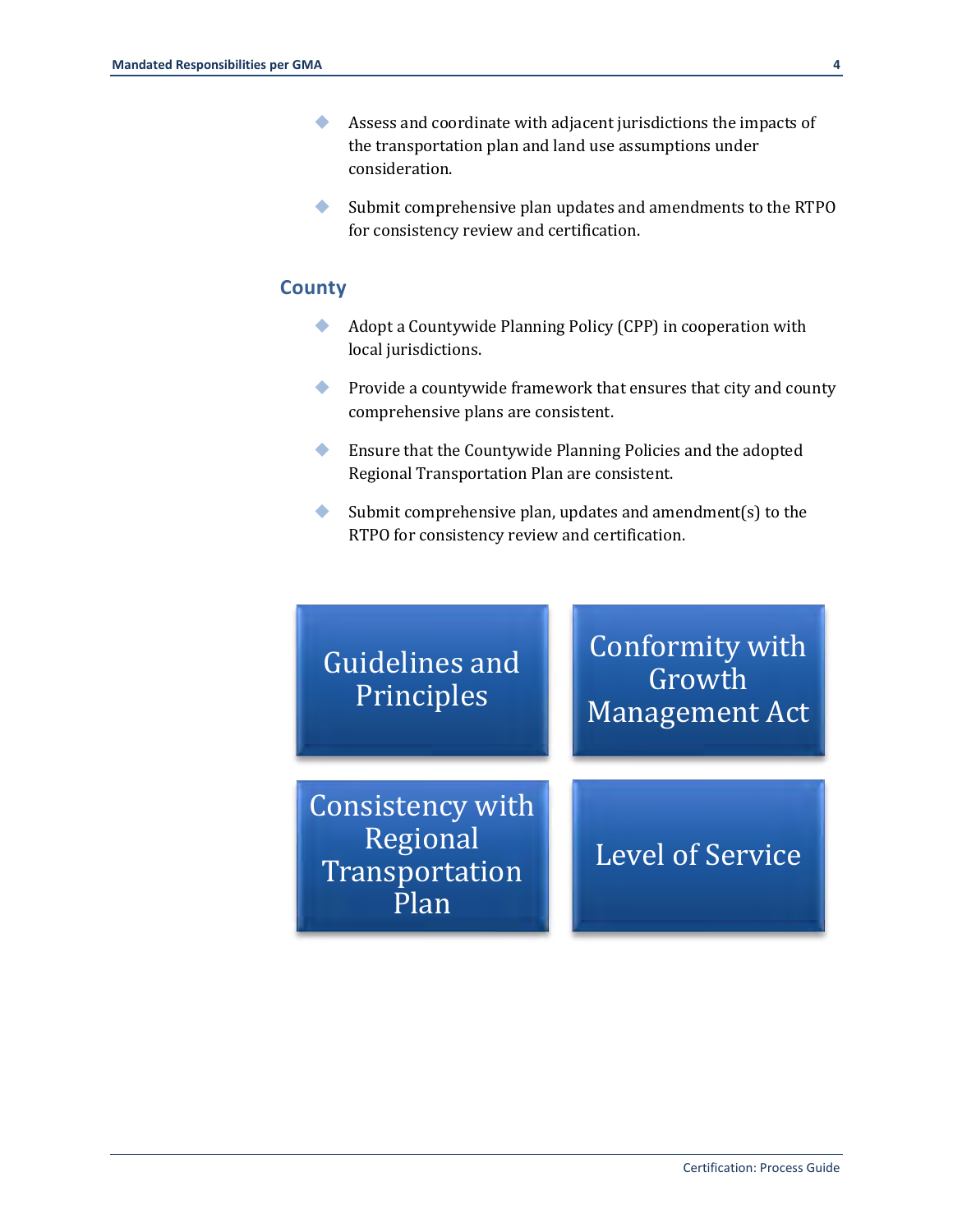- Assess and coordinate with adjacent jurisdictions the impacts of the transportation plan and land use assumptions under consideration.
- Submit comprehensive plan updates and amendments to the RTPO for consistency review and certification.

#### **County**

- Adopt a Countywide Planning Policy (CPP) in cooperation with local jurisdictions.
- Provide a countywide framework that ensures that city and county comprehensive plans are consistent.
- Ensure that the Countywide Planning Policies and the adopted Regional Transportation Plan are consistent.
- Submit comprehensive plan, updates and amendment(s) to the RTPO for consistency review and certification.

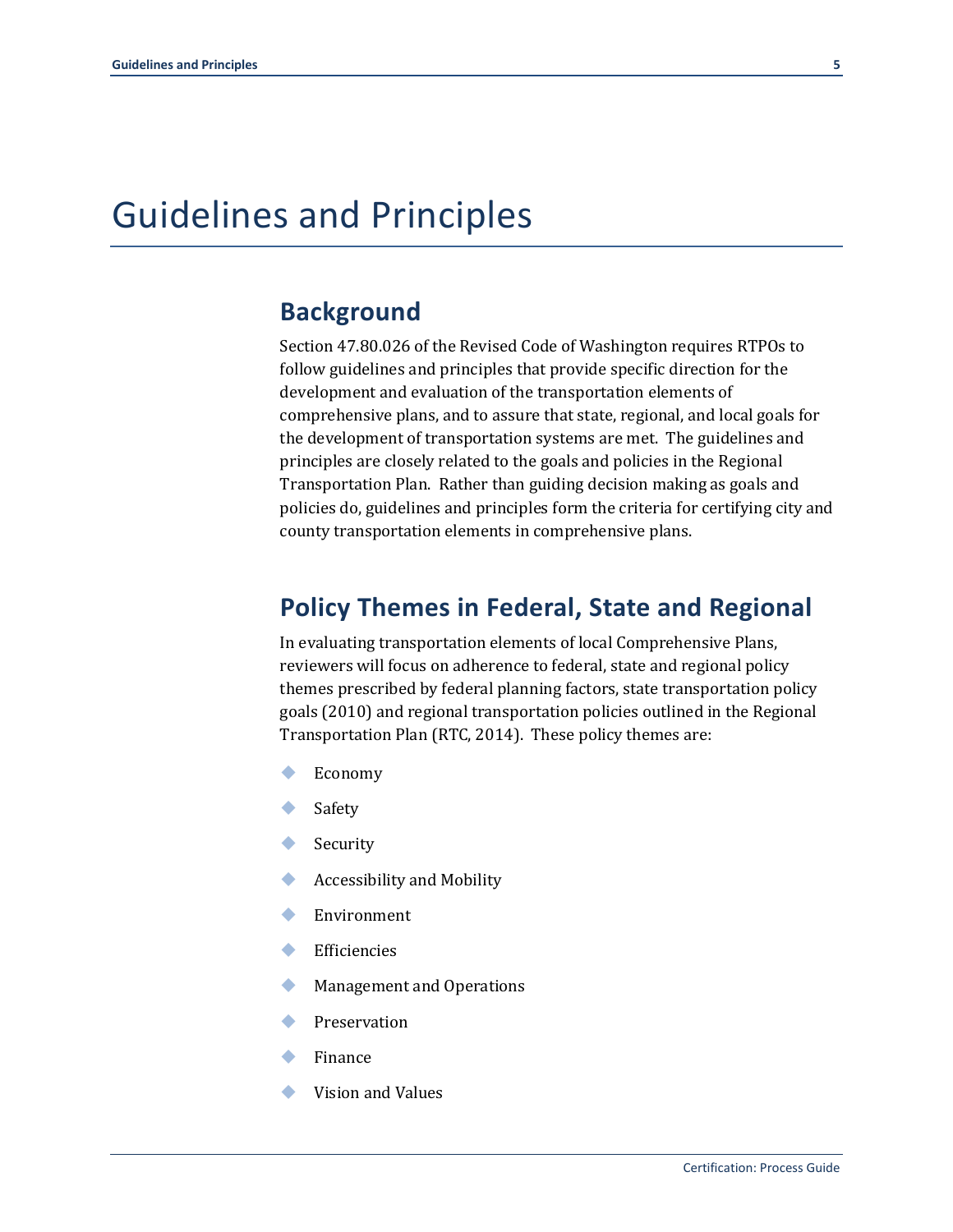## Guidelines and Principles

## **Background**

Section 47.80.026 of the Revised Code of Washington requires RTPOs to follow guidelines and principles that provide specific direction for the development and evaluation of the transportation elements of comprehensive plans, and to assure that state, regional, and local goals for the development of transportation systems are met. The guidelines and principles are closely related to the goals and policies in the Regional Transportation Plan. Rather than guiding decision making as goals and policies do, guidelines and principles form the criteria for certifying city and county transportation elements in comprehensive plans.

### **Policy Themes in Federal, State and Regional**

In evaluating transportation elements of local Comprehensive Plans, reviewers will focus on adherence to federal, state and regional policy themes prescribed by federal planning factors, state transportation policy goals (2010) and regional transportation policies outlined in the Regional Transportation Plan (RTC, 2014). These policy themes are:

- ◆ Economy
- Safety
- Security
- Accessibility and Mobility
- Environment
- Efficiencies
- **Management and Operations**
- Preservation
- Finance
- Vision and Values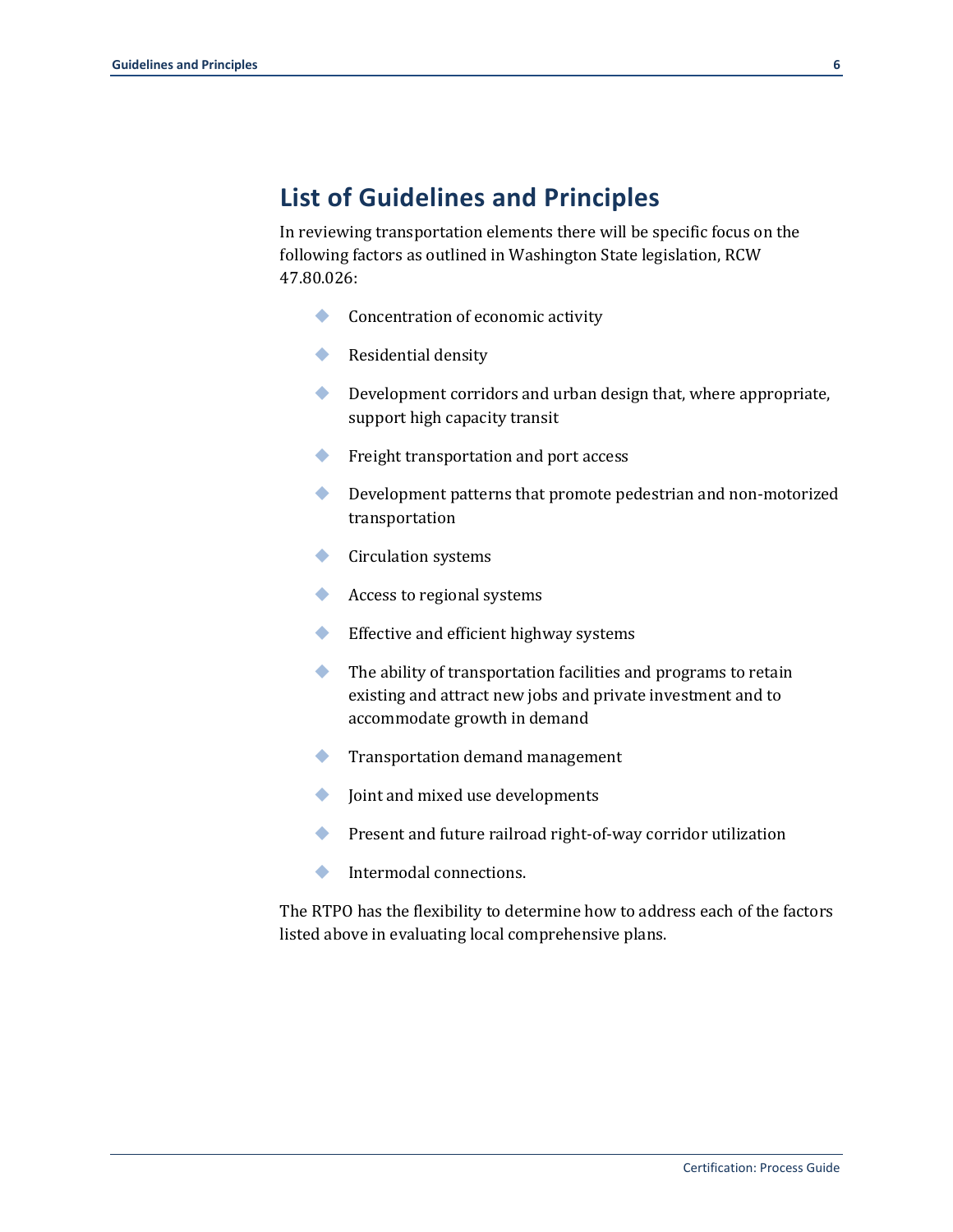## **List of Guidelines and Principles**

In reviewing transportation elements there will be specific focus on the following factors as outlined in Washington State legislation, RCW 47.80.026:

- **Concentration of economic activity**
- Residential density
- Development corridors and urban design that, where appropriate, support high capacity transit
- **Fight transportation and port access**
- ◆ Development patterns that promote pedestrian and non-motorized transportation
- **◆** Circulation systems
- Access to regional systems
- **Effective and efficient highway systems**
- The ability of transportation facilities and programs to retain existing and attract new jobs and private investment and to accommodate growth in demand
- **Transportation demand management**
- **Solution** Joint and mixed use developments
- **Present and future railroad right-of-way corridor utilization**
- **Intermodal connections.**

The RTPO has the flexibility to determine how to address each of the factors listed above in evaluating local comprehensive plans.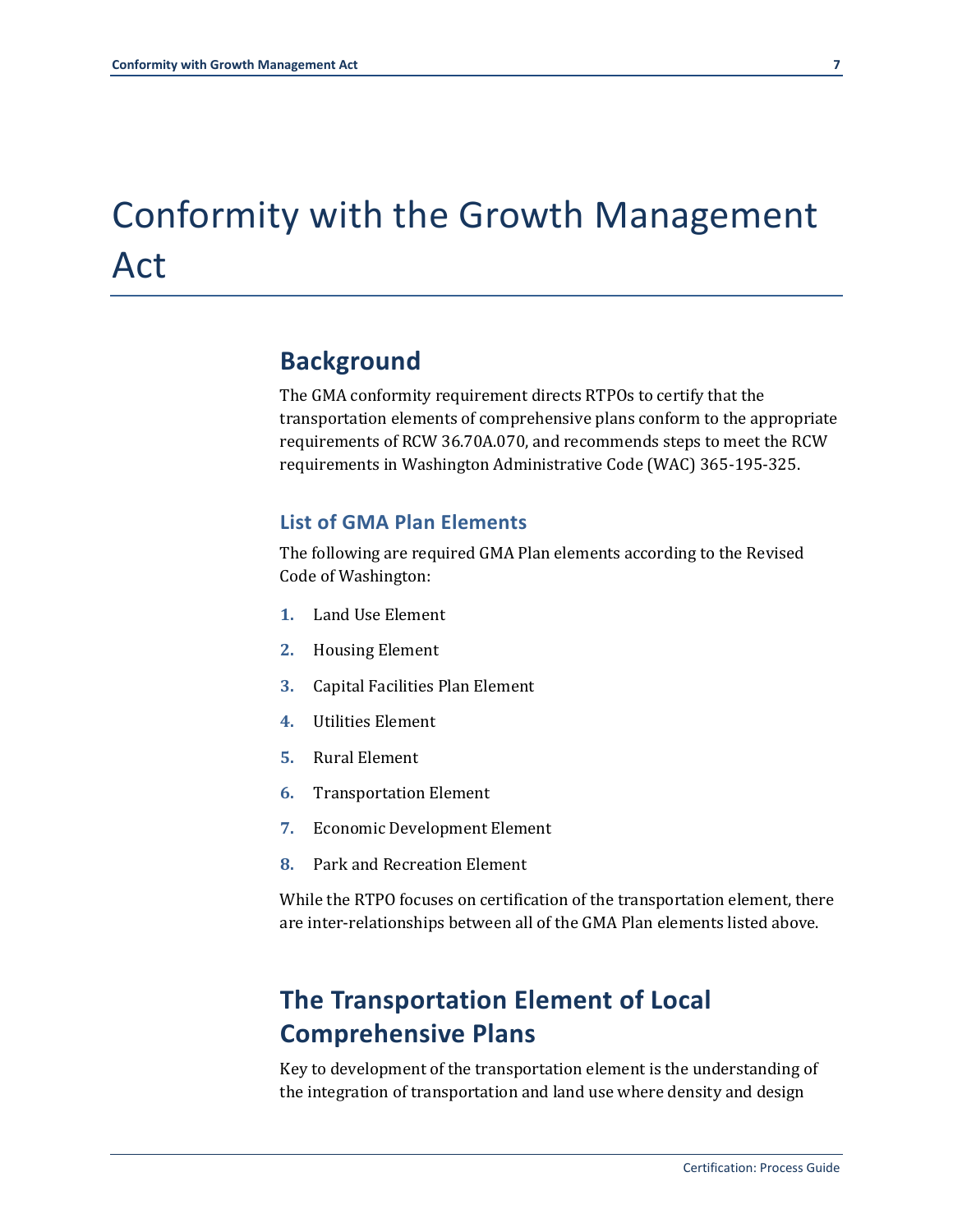## Conformity with the Growth Management Act

## **Background**

The GMA conformity requirement directs RTPOs to certify that the transportation elements of comprehensive plans conform to the appropriate requirements of RCW 36.70A.070, and recommends steps to meet the RCW requirements in Washington Administrative Code (WAC) 365-195-325.

#### **List of GMA Plan Elements**

The following are required GMA Plan elements according to the Revised Code of Washington:

- **1.** Land Use Element
- **2.** Housing Element
- **3.** Capital Facilities Plan Element
- **4.** Utilities Element
- **5.** Rural Element
- **6.** Transportation Element
- **7.** Economic Development Element
- **8.** Park and Recreation Element

While the RTPO focuses on certification of the transportation element, there are inter-relationships between all of the GMA Plan elements listed above.

## **The Transportation Element of Local Comprehensive Plans**

Key to development of the transportation element is the understanding of the integration of transportation and land use where density and design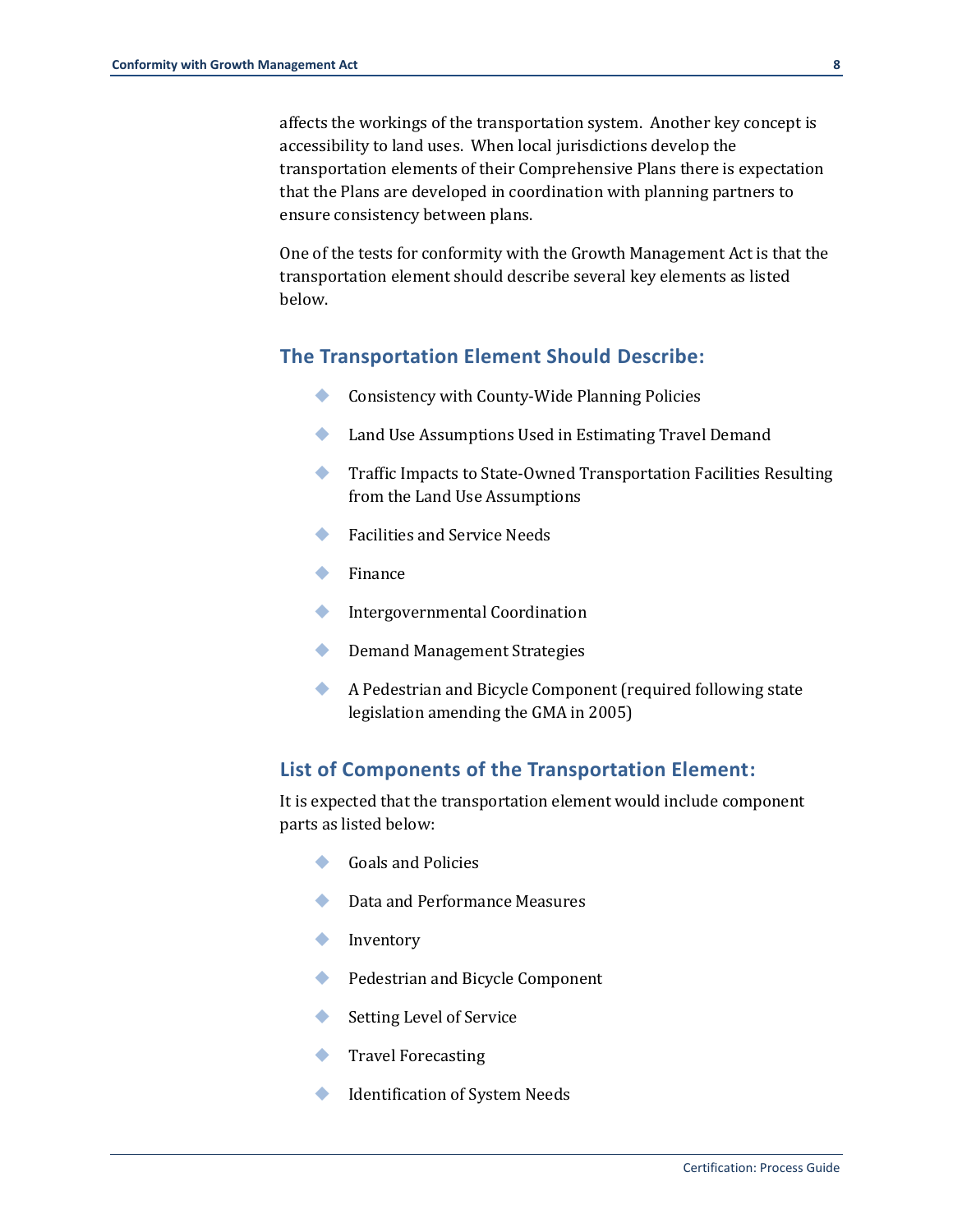affects the workings of the transportation system. Another key concept is accessibility to land uses. When local jurisdictions develop the transportation elements of their Comprehensive Plans there is expectation that the Plans are developed in coordination with planning partners to ensure consistency between plans.

One of the tests for conformity with the Growth Management Act is that the transportation element should describe several key elements as listed below.

#### **The Transportation Element Should Describe:**

- **Consistency with County-Wide Planning Policies**
- **Land Use Assumptions Used in Estimating Travel Demand**
- ◆ Traffic Impacts to State-Owned Transportation Facilities Resulting from the Land Use Assumptions
- **Facilities and Service Needs**
- $\blacklozenge$  Finance
- **Intergovernmental Coordination**
- **◆** Demand Management Strategies
- A Pedestrian and Bicycle Component (required following state legislation amending the GMA in 2005)

#### **List of Components of the Transportation Element:**

It is expected that the transportation element would include component parts as listed below:

- Goals and Policies
- **◆** Data and Performance Measures
- **C** Inventory
- **Pedestrian and Bicycle Component**
- Setting Level of Service
- **◆** Travel Forecasting
- **Identification of System Needs**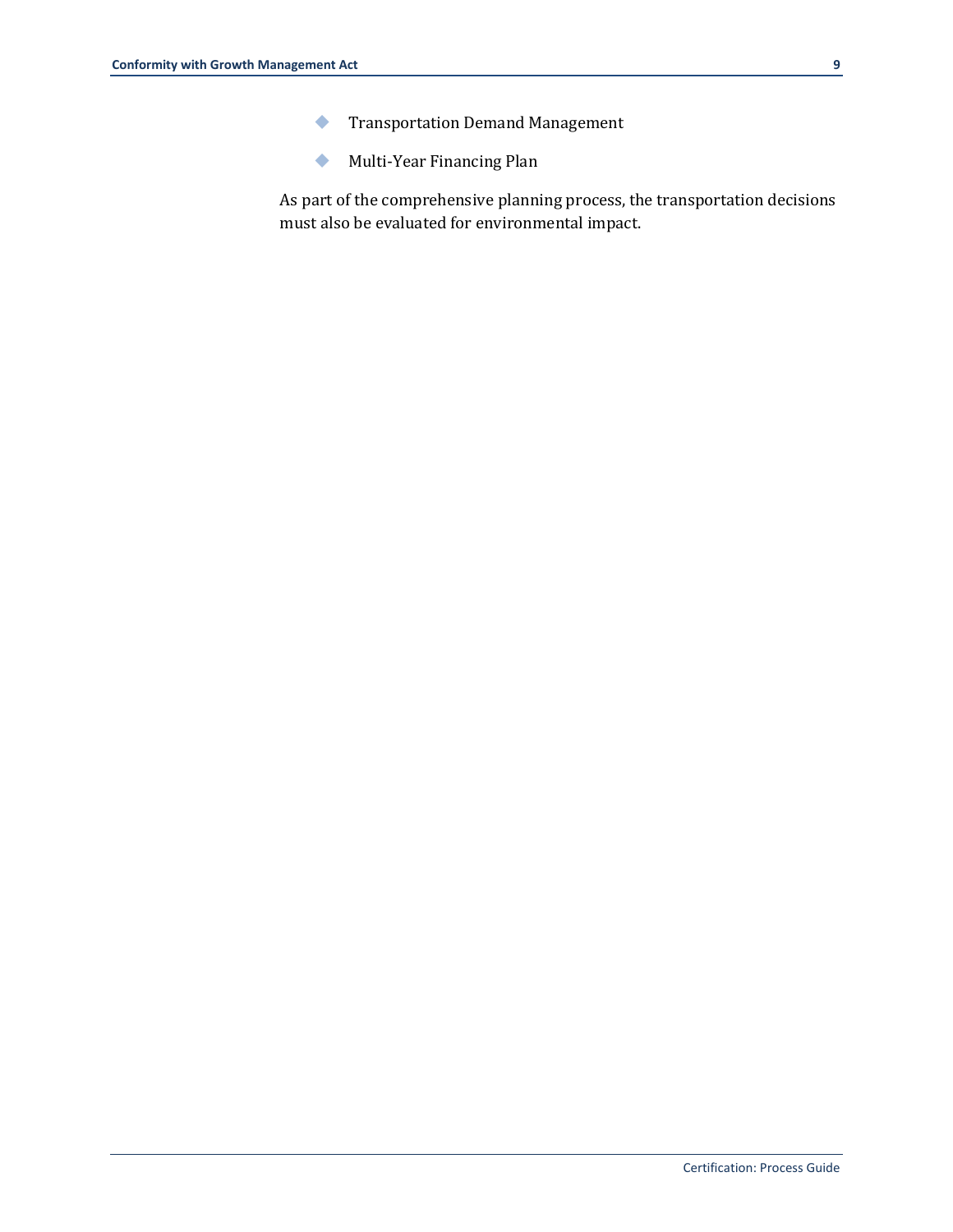- **Transportation Demand Management**
- Multi-Year Financing Plan

As part of the comprehensive planning process, the transportation decisions must also be evaluated for environmental impact.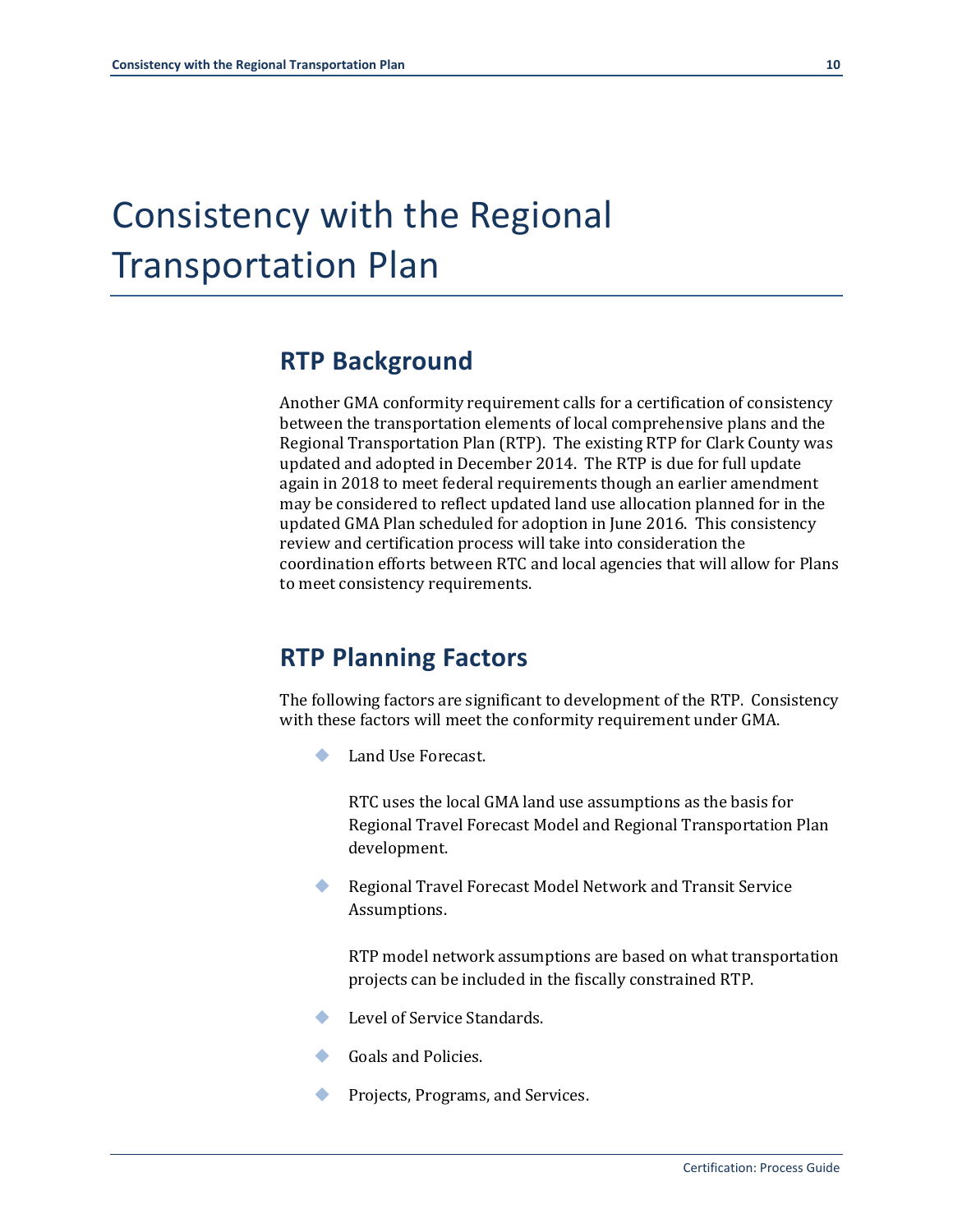## Consistency with the Regional Transportation Plan

## **RTP Background**

Another GMA conformity requirement calls for a certification of consistency between the transportation elements of local comprehensive plans and the Regional Transportation Plan (RTP). The existing RTP for Clark County was updated and adopted in December 2014. The RTP is due for full update again in 2018 to meet federal requirements though an earlier amendment may be considered to reflect updated land use allocation planned for in the updated GMA Plan scheduled for adoption in June 2016. This consistency review and certification process will take into consideration the coordination efforts between RTC and local agencies that will allow for Plans to meet consistency requirements.

## **RTP Planning Factors**

The following factors are significant to development of the RTP. Consistency with these factors will meet the conformity requirement under GMA.

Land Use Forecast.

RTC uses the local GMA land use assumptions as the basis for Regional Travel Forecast Model and Regional Transportation Plan development.

 Regional Travel Forecast Model Network and Transit Service Assumptions.

RTP model network assumptions are based on what transportation projects can be included in the fiscally constrained RTP.

- Level of Service Standards.
- Goals and Policies.
- Projects, Programs, and Services.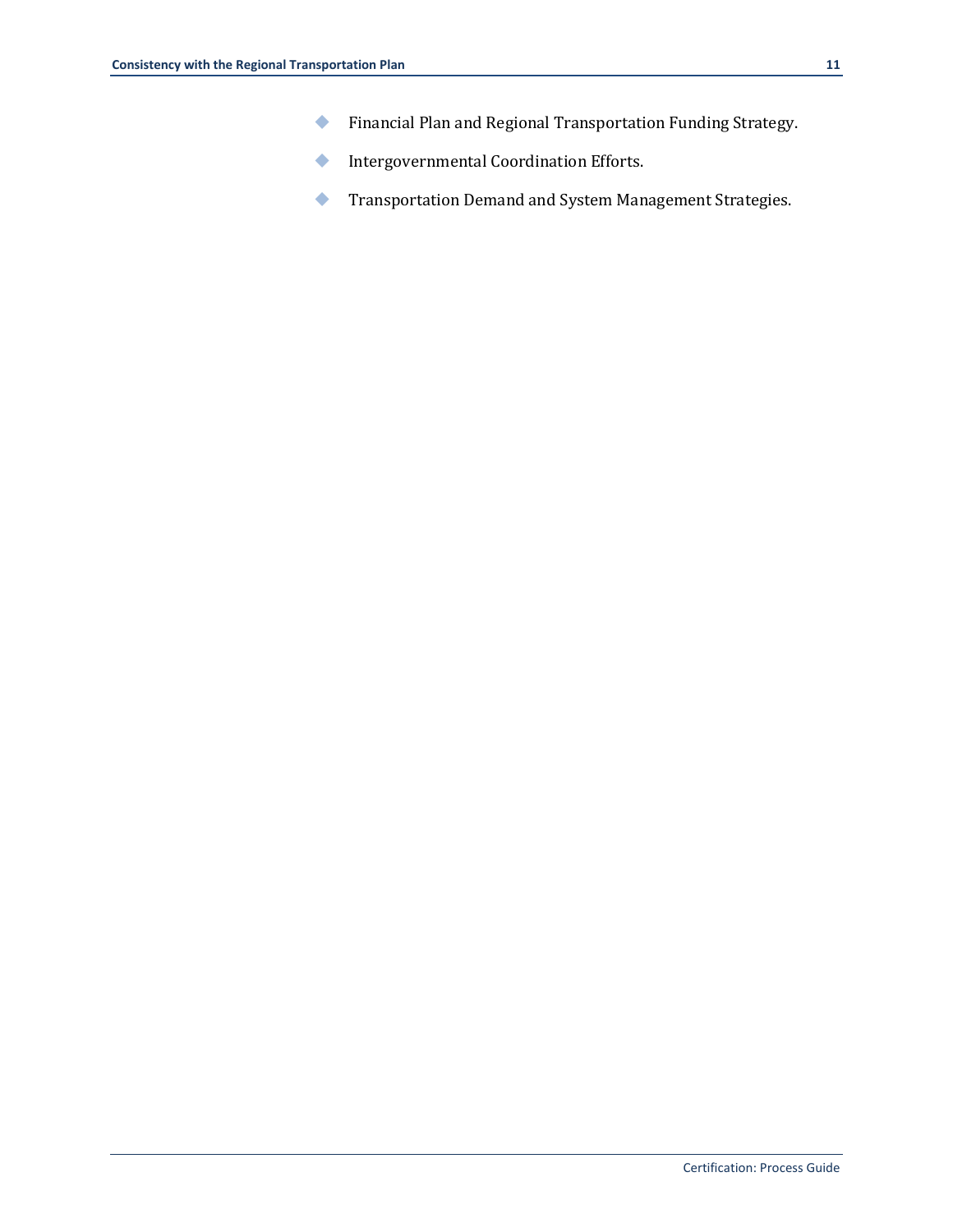- Financial Plan and Regional Transportation Funding Strategy.
- **Intergovernmental Coordination Efforts.**
- **Transportation Demand and System Management Strategies.**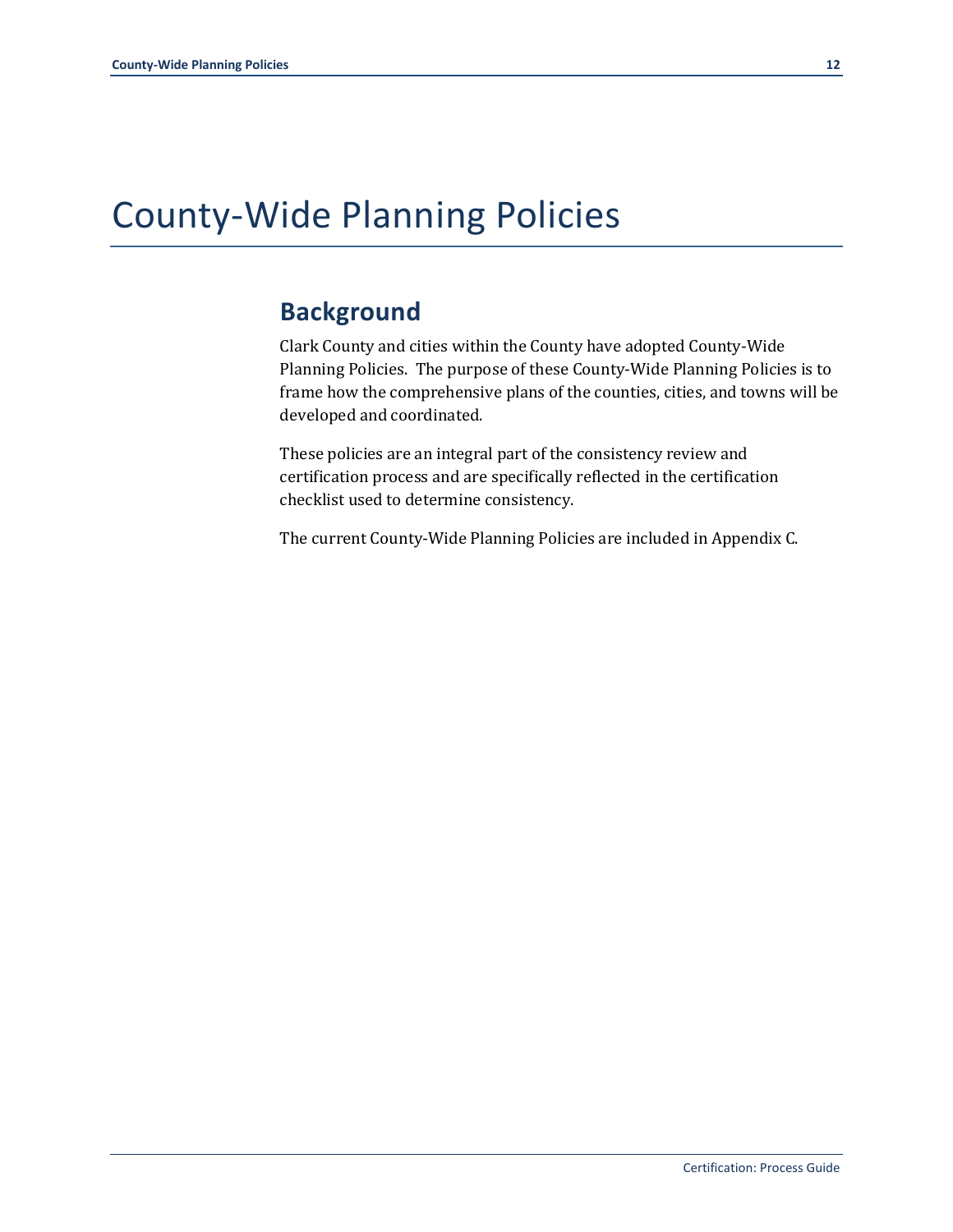## County-Wide Planning Policies

## **Background**

Clark County and cities within the County have adopted County-Wide Planning Policies. The purpose of these County-Wide Planning Policies is to frame how the comprehensive plans of the counties, cities, and towns will be developed and coordinated.

These policies are an integral part of the consistency review and certification process and are specifically reflected in the certification checklist used to determine consistency.

The current County-Wide Planning Policies are included in Appendix C.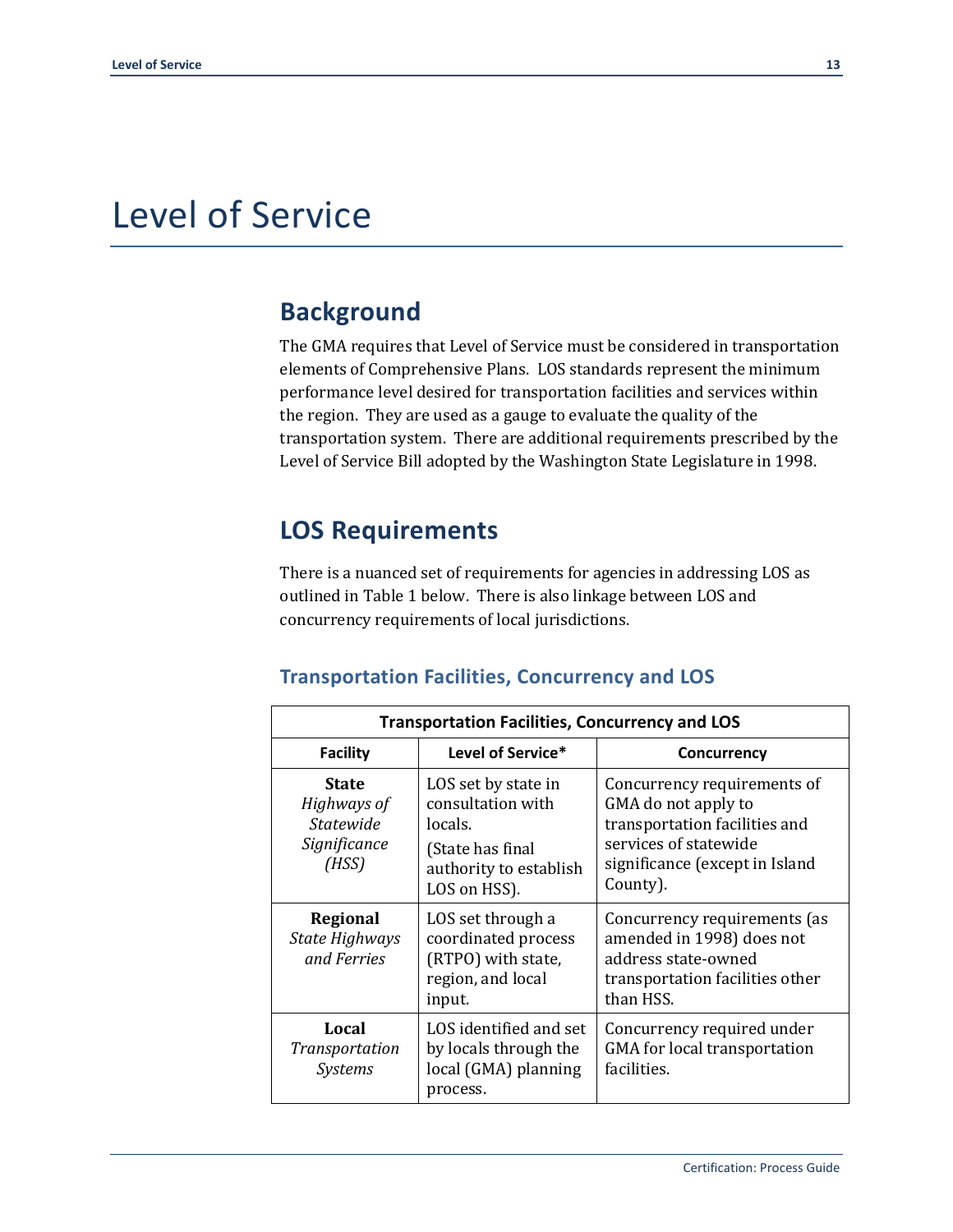## Level of Service

## **Background**

The GMA requires that Level of Service must be considered in transportation elements of Comprehensive Plans. LOS standards represent the minimum performance level desired for transportation facilities and services within the region. They are used as a gauge to evaluate the quality of the transportation system. There are additional requirements prescribed by the Level of Service Bill adopted by the Washington State Legislature in 1998.

## **LOS Requirements**

There is a nuanced set of requirements for agencies in addressing LOS as outlined in Table 1 below. There is also linkage between LOS and concurrency requirements of local jurisdictions.

#### **Transportation Facilities, Concurrency and LOS**

|                 | <b>Transportation Facilities, Concurrency and LOS</b>                    |                                                                                                                                                                                                                                   |                                                                                                                                                            |  |  |
|-----------------|--------------------------------------------------------------------------|-----------------------------------------------------------------------------------------------------------------------------------------------------------------------------------------------------------------------------------|------------------------------------------------------------------------------------------------------------------------------------------------------------|--|--|
| <b>Facility</b> |                                                                          | Level of Service*                                                                                                                                                                                                                 | Concurrency                                                                                                                                                |  |  |
|                 | <b>State</b><br>Highways of<br><b>Statewide</b><br>Significance<br>(HSS) | LOS set by state in<br>consultation with<br>locals.<br>(State has final<br>authority to establish<br>LOS on HSS).                                                                                                                 | Concurrency requirements of<br>GMA do not apply to<br>transportation facilities and<br>services of statewide<br>significance (except in Island<br>County). |  |  |
|                 | Regional<br>State Highways<br>and Ferries                                | LOS set through a<br>Concurrency requirements (as<br>coordinated process<br>amended in 1998) does not<br>(RTPO) with state,<br>address state-owned<br>region, and local<br>transportation facilities other<br>than HSS.<br>input. |                                                                                                                                                            |  |  |
|                 | Local<br>Transportation<br><i>Systems</i>                                | LOS identified and set<br>by locals through the<br>local (GMA) planning<br>process.                                                                                                                                               | Concurrency required under<br><b>GMA</b> for local transportation<br>facilities.                                                                           |  |  |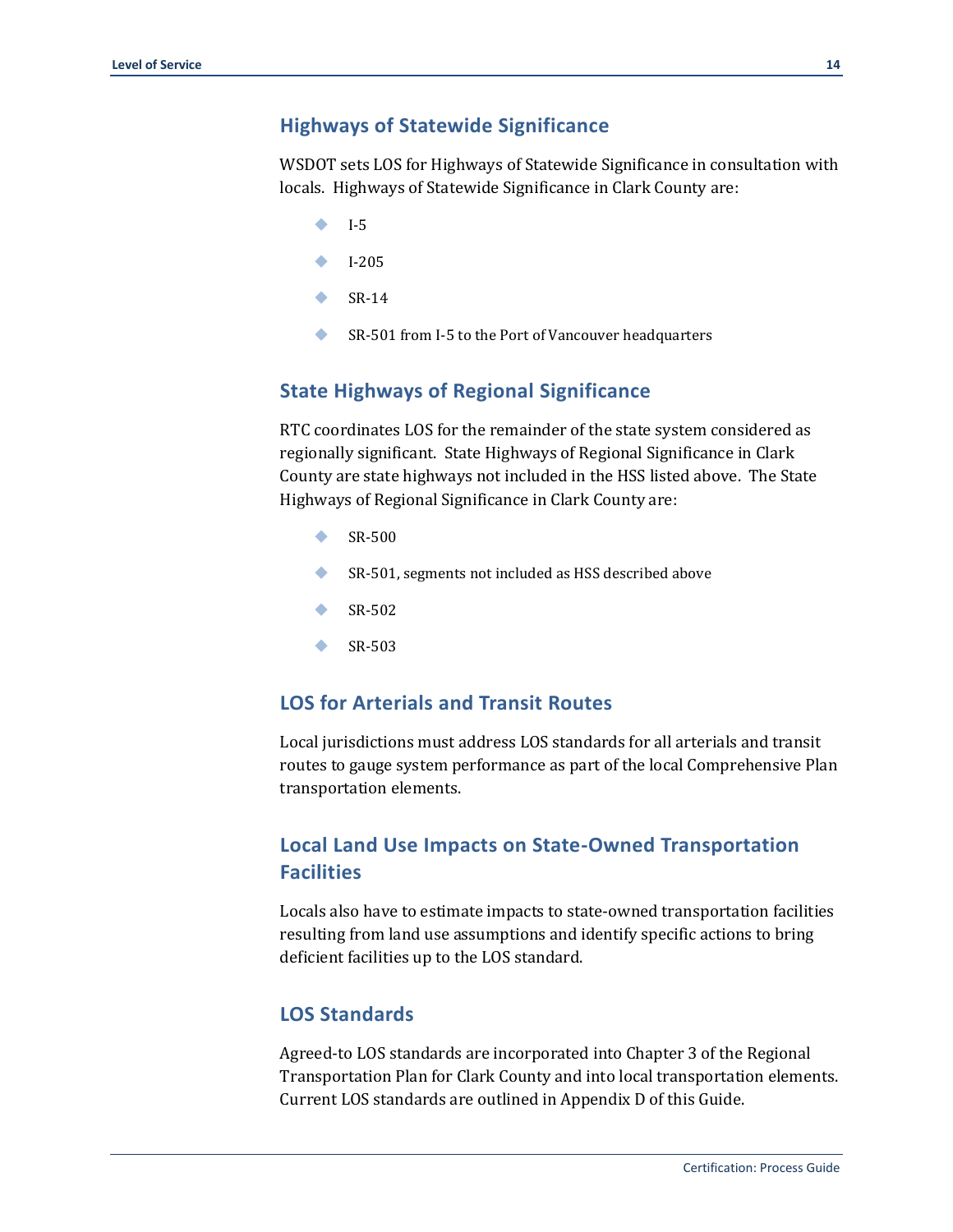#### **Highways of Statewide Significance**

WSDOT sets LOS for Highways of Statewide Significance in consultation with locals. Highways of Statewide Significance in Clark County are:

- I-5
- $\bullet$  I-205
- $\bullet$  SR-14
- **SR-501 from I-5 to the Port of Vancouver headquarters**

#### **State Highways of Regional Significance**

RTC coordinates LOS for the remainder of the state system considered as regionally significant. State Highways of Regional Significance in Clark County are state highways not included in the HSS listed above. The State Highways of Regional Significance in Clark County are:

- $\bullet$  SR-500
- SR-501, segments not included as HSS described above
- $\bullet$  SR-502
- $\bullet$  SR-503

#### **LOS for Arterials and Transit Routes**

Local jurisdictions must address LOS standards for all arterials and transit routes to gauge system performance as part of the local Comprehensive Plan transportation elements.

#### **Local Land Use Impacts on State-Owned Transportation Facilities**

Locals also have to estimate impacts to state-owned transportation facilities resulting from land use assumptions and identify specific actions to bring deficient facilities up to the LOS standard.

#### **LOS Standards**

Agreed-to LOS standards are incorporated into Chapter 3 of the Regional Transportation Plan for Clark County and into local transportation elements. Current LOS standards are outlined in Appendix D of this Guide.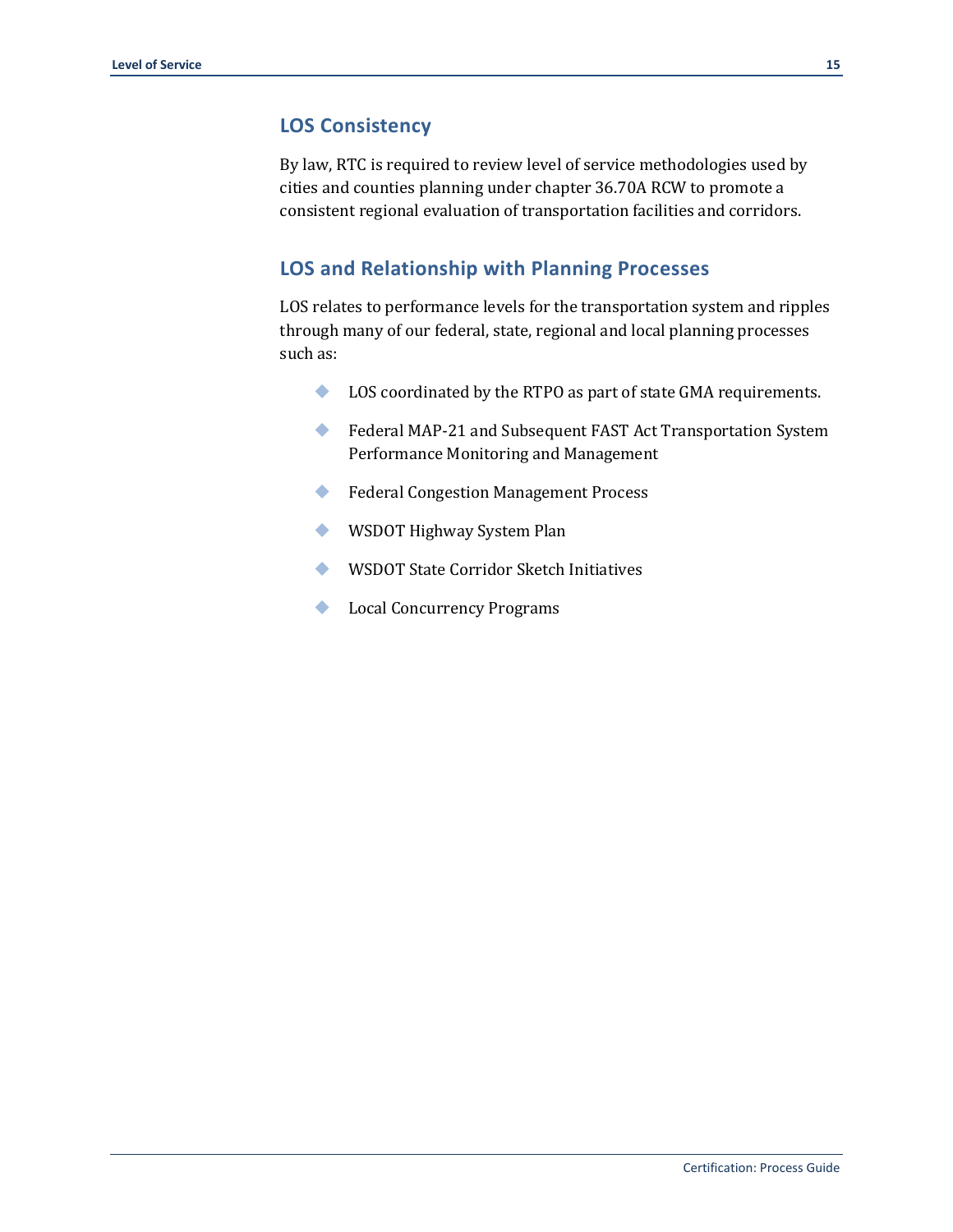#### **LOS Consistency**

By law, RTC is required to review level of service methodologies used by cities and counties planning under chapter 36.70A RCW to promote a consistent regional evaluation of transportation facilities and corridors.

#### **LOS and Relationship with Planning Processes**

LOS relates to performance levels for the transportation system and ripples through many of our federal, state, regional and local planning processes such as:

- LOS coordinated by the RTPO as part of state GMA requirements.
- ◆ Federal MAP-21 and Subsequent FAST Act Transportation System Performance Monitoring and Management
- Federal Congestion Management Process
- WSDOT Highway System Plan
- WSDOT State Corridor Sketch Initiatives
- **Local Concurrency Programs**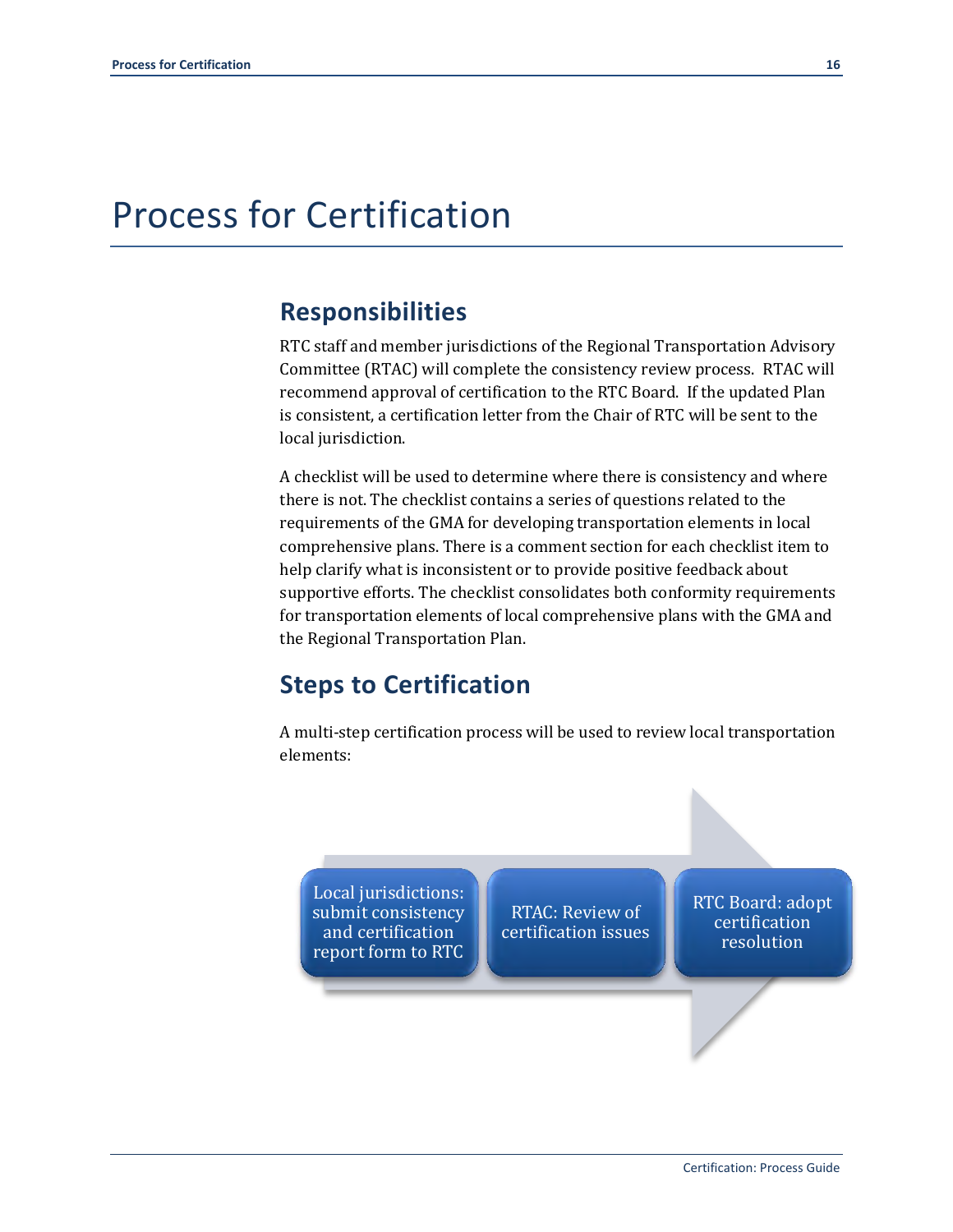## Process for Certification

### **Responsibilities**

RTC staff and member jurisdictions of the Regional Transportation Advisory Committee (RTAC) will complete the consistency review process. RTAC will recommend approval of certification to the RTC Board. If the updated Plan is consistent, a certification letter from the Chair of RTC will be sent to the local jurisdiction.

A checklist will be used to determine where there is consistency and where there is not. The checklist contains a series of questions related to the requirements of the GMA for developing transportation elements in local comprehensive plans. There is a comment section for each checklist item to help clarify what is inconsistent or to provide positive feedback about supportive efforts. The checklist consolidates both conformity requirements for transportation elements of local comprehensive plans with the GMA and the Regional Transportation Plan.

## **Steps to Certification**

A multi-step certification process will be used to review local transportation elements:

Local jurisdictions: submit consistency and certification report form to RTC

RTAC: Review of certification issues RTC Board: adopt certification resolution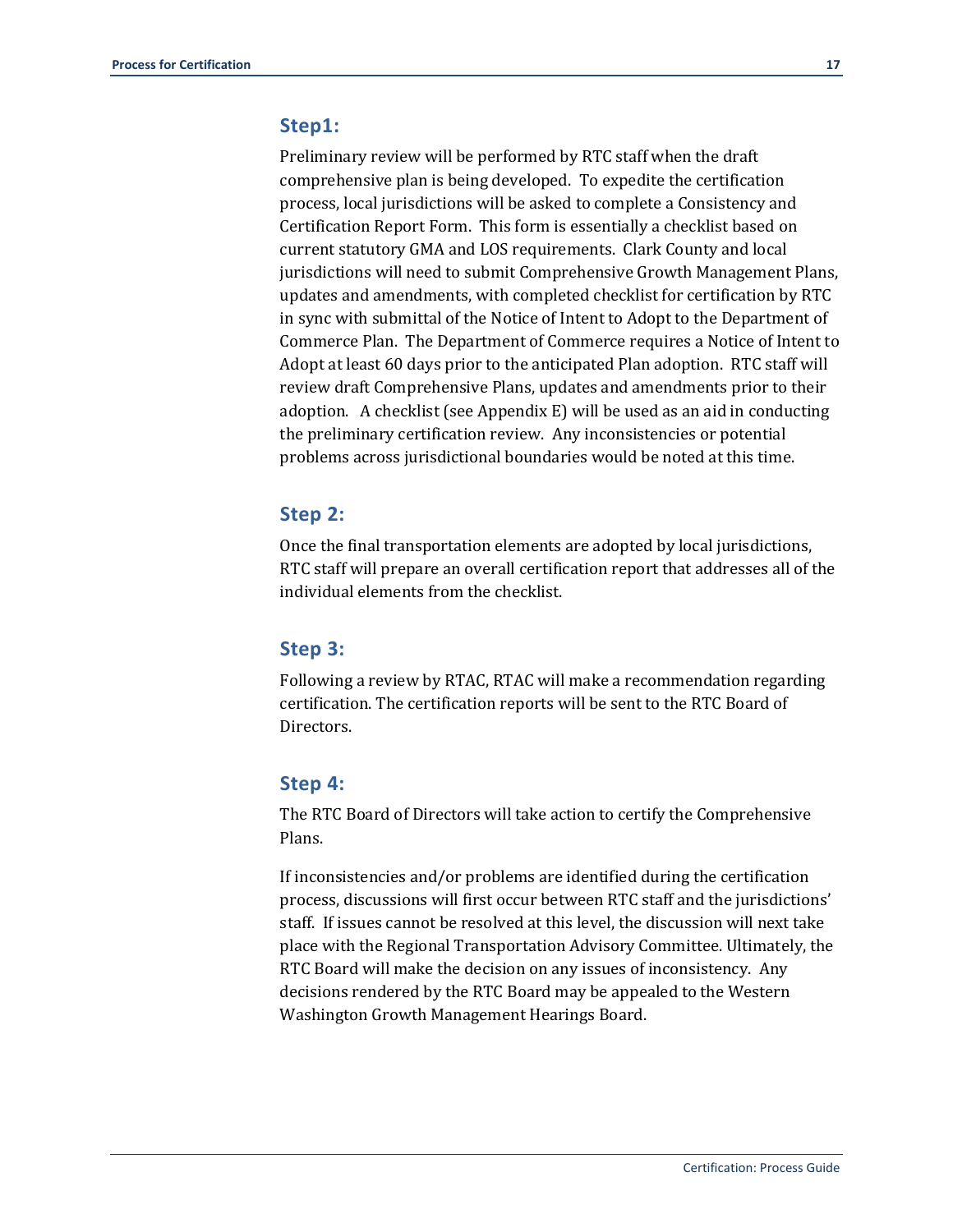#### **Step1:**

Preliminary review will be performed by RTC staff when the draft comprehensive plan is being developed. To expedite the certification process, local jurisdictions will be asked to complete a Consistency and Certification Report Form. This form is essentially a checklist based on current statutory GMA and LOS requirements. Clark County and local jurisdictions will need to submit Comprehensive Growth Management Plans, updates and amendments, with completed checklist for certification by RTC in sync with submittal of the Notice of Intent to Adopt to the Department of Commerce Plan. The Department of Commerce requires a Notice of Intent to Adopt at least 60 days prior to the anticipated Plan adoption. RTC staff will review draft Comprehensive Plans, updates and amendments prior to their adoption. A checklist (see Appendix E) will be used as an aid in conducting the preliminary certification review. Any inconsistencies or potential problems across jurisdictional boundaries would be noted at this time.

#### **Step 2:**

Once the final transportation elements are adopted by local jurisdictions, RTC staff will prepare an overall certification report that addresses all of the individual elements from the checklist.

#### **Step 3:**

Following a review by RTAC, RTAC will make a recommendation regarding certification. The certification reports will be sent to the RTC Board of Directors.

#### **Step 4:**

The RTC Board of Directors will take action to certify the Comprehensive Plans.

If inconsistencies and/or problems are identified during the certification process, discussions will first occur between RTC staff and the jurisdictions' staff. If issues cannot be resolved at this level, the discussion will next take place with the Regional Transportation Advisory Committee. Ultimately, the RTC Board will make the decision on any issues of inconsistency. Any decisions rendered by the RTC Board may be appealed to the Western Washington Growth Management Hearings Board.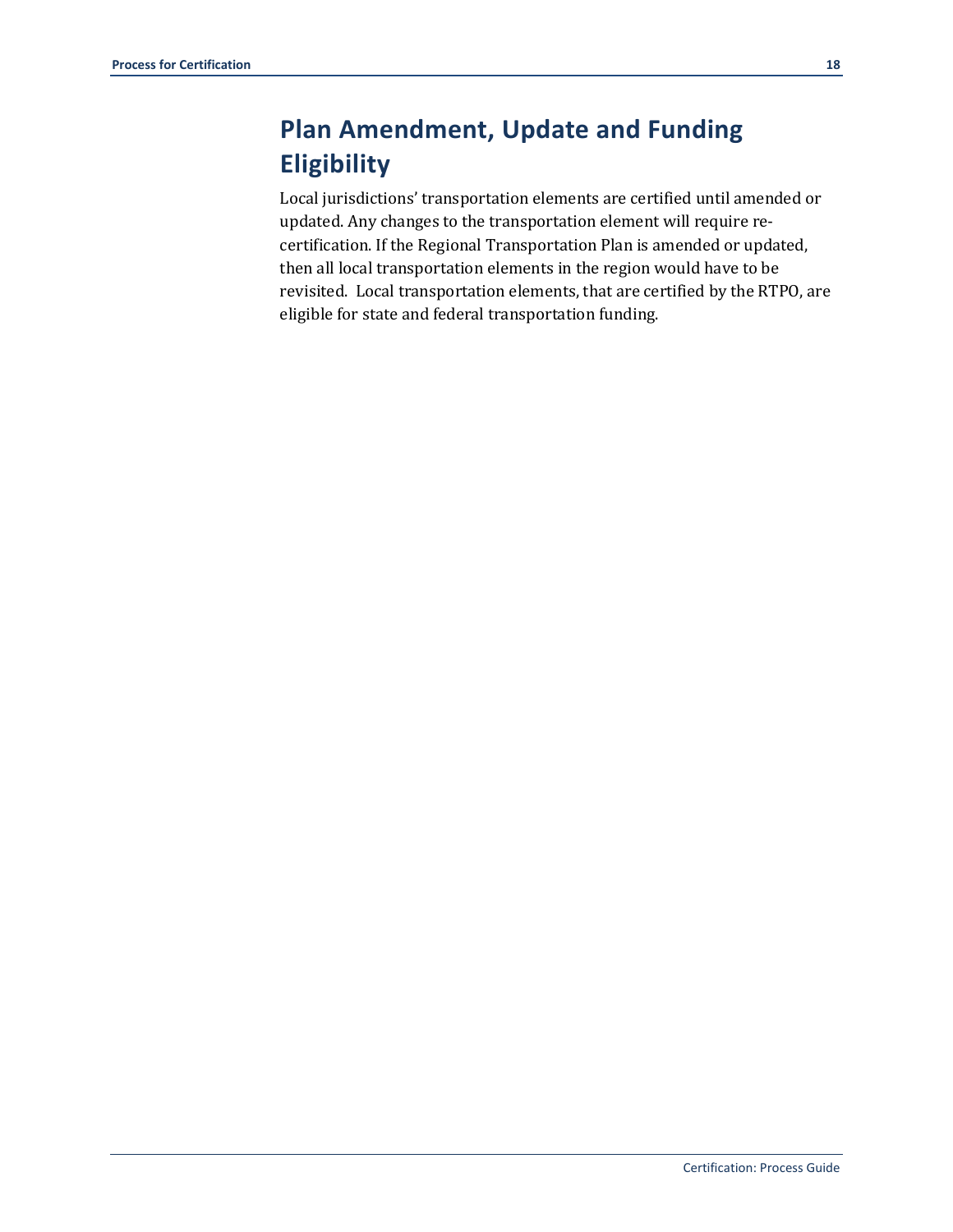## **Plan Amendment, Update and Funding Eligibility**

Local jurisdictions' transportation elements are certified until amended or updated. Any changes to the transportation element will require recertification. If the Regional Transportation Plan is amended or updated, then all local transportation elements in the region would have to be revisited. Local transportation elements, that are certified by the RTPO, are eligible for state and federal transportation funding.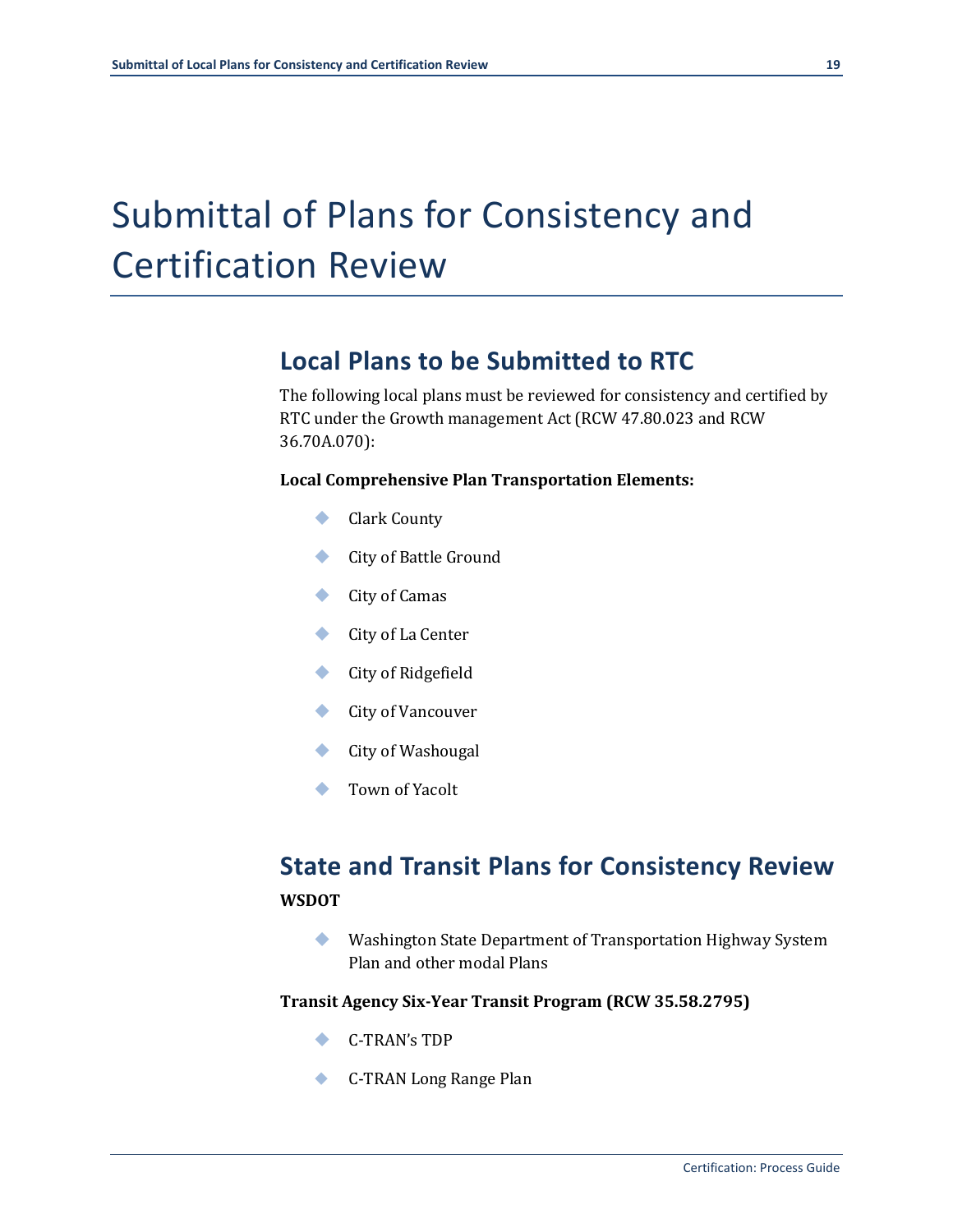## Submittal of Plans for Consistency and Certification Review

## **Local Plans to be Submitted to RTC**

The following local plans must be reviewed for consistency and certified by RTC under the Growth management Act (RCW 47.80.023 and RCW 36.70A.070):

#### **Local Comprehensive Plan Transportation Elements:**

- ◆ Clark County
- ◆ City of Battle Ground
- **City of Camas**
- City of La Center
- ◆ City of Ridgefield
- **←** City of Vancouver
- **City of Washougal**
- Town of Yacolt

## **State and Transit Plans for Consistency Review**

#### **WSDOT**

 Washington State Department of Transportation Highway System Plan and other modal Plans

#### **Transit Agency Six-Year Transit Program (RCW 35.58.2795)**

- C-TRAN's TDP
- ◆ C-TRAN Long Range Plan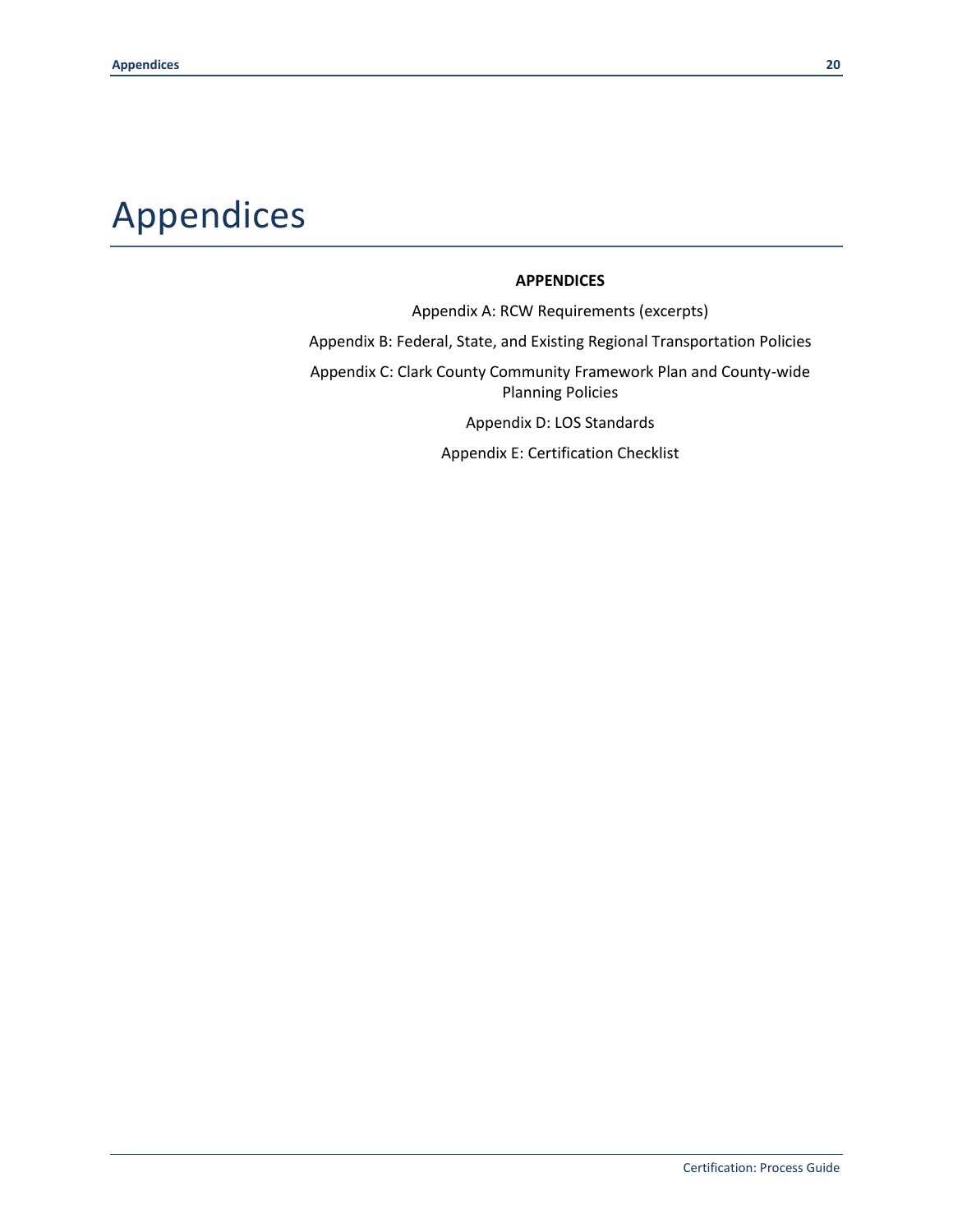## Appendices

#### **APPENDICES**

Appendix A: RCW Requirements (excerpts) Appendix B: Federal, State, and Existing Regional Transportation Policies Appendix C: Clark County Community Framework Plan and County-wide Planning Policies Appendix D: LOS Standards

Appendix E: Certification Checklist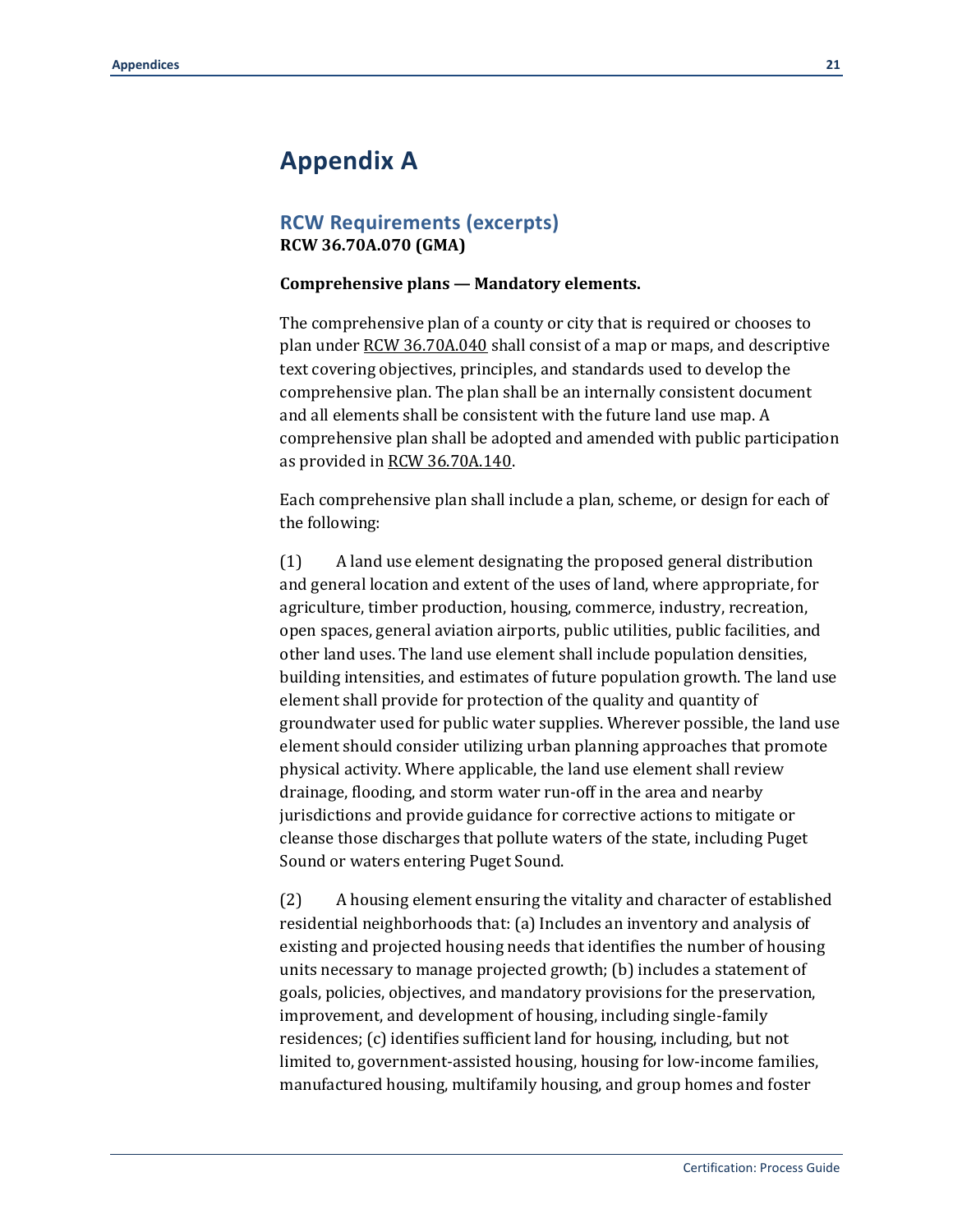## **Appendix A**

#### **RCW Requirements (excerpts) RCW 36.70A.070 (GMA)**

#### **Comprehensive plans — Mandatory elements.**

The comprehensive plan of a county or city that is required or chooses to plan unde[r RCW 36.70A.040 s](http://apps.leg.wa.gov/rcw/default.aspx?cite=36.70A.040)hall consist of a map or maps, and descriptive text covering objectives, principles, and standards used to develop the comprehensive plan. The plan shall be an internally consistent document and all elements shall be consistent with the future land use map. A comprehensive plan shall be adopted and amended with public participation as provided in [RCW 36.70A.140.](http://apps.leg.wa.gov/rcw/default.aspx?cite=36.70A.140)

Each comprehensive plan shall include a plan, scheme, or design for each of the following:

(1) A land use element designating the proposed general distribution and general location and extent of the uses of land, where appropriate, for agriculture, timber production, housing, commerce, industry, recreation, open spaces, general aviation airports, public utilities, public facilities, and other land uses. The land use element shall include population densities, building intensities, and estimates of future population growth. The land use element shall provide for protection of the quality and quantity of groundwater used for public water supplies. Wherever possible, the land use element should consider utilizing urban planning approaches that promote physical activity. Where applicable, the land use element shall review drainage, flooding, and storm water run-off in the area and nearby jurisdictions and provide guidance for corrective actions to mitigate or cleanse those discharges that pollute waters of the state, including Puget Sound or waters entering Puget Sound.

(2) A housing element ensuring the vitality and character of established residential neighborhoods that: (a) Includes an inventory and analysis of existing and projected housing needs that identifies the number of housing units necessary to manage projected growth; (b) includes a statement of goals, policies, objectives, and mandatory provisions for the preservation, improvement, and development of housing, including single-family residences; (c) identifies sufficient land for housing, including, but not limited to, government-assisted housing, housing for low-income families, manufactured housing, multifamily housing, and group homes and foster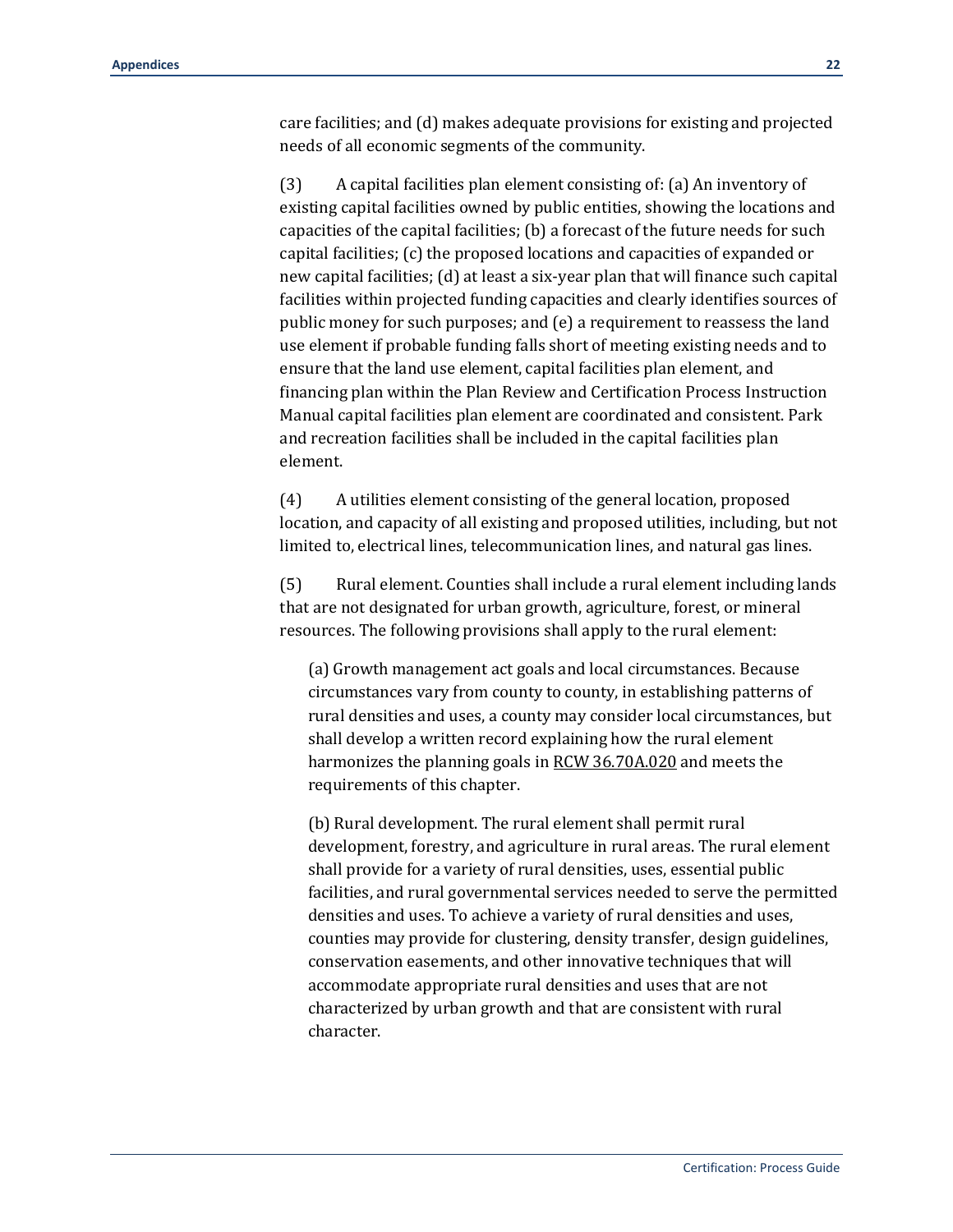care facilities; and (d) makes adequate provisions for existing and projected needs of all economic segments of the community.

(3) A capital facilities plan element consisting of: (a) An inventory of existing capital facilities owned by public entities, showing the locations and capacities of the capital facilities; (b) a forecast of the future needs for such capital facilities; (c) the proposed locations and capacities of expanded or new capital facilities; (d) at least a six-year plan that will finance such capital facilities within projected funding capacities and clearly identifies sources of public money for such purposes; and (e) a requirement to reassess the land use element if probable funding falls short of meeting existing needs and to ensure that the land use element, capital facilities plan element, and financing plan within the Plan Review and Certification Process Instruction Manual capital facilities plan element are coordinated and consistent. Park and recreation facilities shall be included in the capital facilities plan element.

(4) A utilities element consisting of the general location, proposed location, and capacity of all existing and proposed utilities, including, but not limited to, electrical lines, telecommunication lines, and natural gas lines.

(5) Rural element. Counties shall include a rural element including lands that are not designated for urban growth, agriculture, forest, or mineral resources. The following provisions shall apply to the rural element:

(a) Growth management act goals and local circumstances. Because circumstances vary from county to county, in establishing patterns of rural densities and uses, a county may consider local circumstances, but shall develop a written record explaining how the rural element harmonizes the planning goals i[n RCW 36.70A.020](http://apps.leg.wa.gov/rcw/default.aspx?cite=36.70A.020) and meets the requirements of this chapter.

(b) Rural development. The rural element shall permit rural development, forestry, and agriculture in rural areas. The rural element shall provide for a variety of rural densities, uses, essential public facilities, and rural governmental services needed to serve the permitted densities and uses. To achieve a variety of rural densities and uses, counties may provide for clustering, density transfer, design guidelines, conservation easements, and other innovative techniques that will accommodate appropriate rural densities and uses that are not characterized by urban growth and that are consistent with rural character.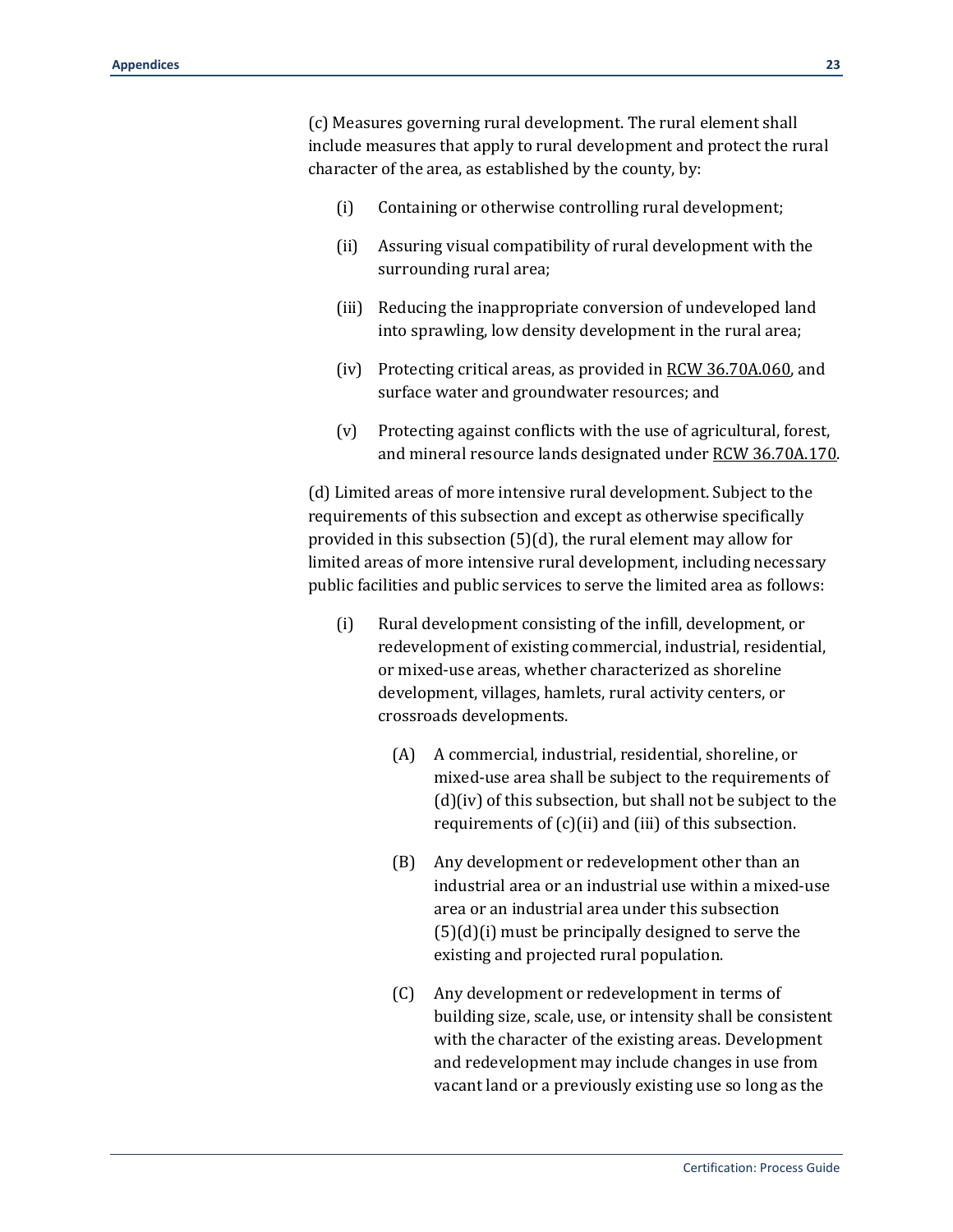(c) Measures governing rural development. The rural element shall include measures that apply to rural development and protect the rural character of the area, as established by the county, by:

- (i) Containing or otherwise controlling rural development;
- (ii) Assuring visual compatibility of rural development with the surrounding rural area;
- (iii) Reducing the inappropriate conversion of undeveloped land into sprawling, low density development in the rural area;
- (iv) Protecting critical areas, as provided i[n RCW 36.70A.060,](http://apps.leg.wa.gov/rcw/default.aspx?cite=36.70A.060) and surface water and groundwater resources; and
- (v) Protecting against conflicts with the use of agricultural, forest, and mineral resource lands designated under [RCW 36.70A.170.](http://apps.leg.wa.gov/rcw/default.aspx?cite=36.70A.170)

(d) Limited areas of more intensive rural development. Subject to the requirements of this subsection and except as otherwise specifically provided in this subsection (5)(d), the rural element may allow for limited areas of more intensive rural development, including necessary public facilities and public services to serve the limited area as follows:

- (i) Rural development consisting of the infill, development, or redevelopment of existing commercial, industrial, residential, or mixed-use areas, whether characterized as shoreline development, villages, hamlets, rural activity centers, or crossroads developments.
	- (A) A commercial, industrial, residential, shoreline, or mixed-use area shall be subject to the requirements of (d)(iv) of this subsection, but shall not be subject to the requirements of  $(c)(ii)$  and  $(iii)$  of this subsection.
	- (B) Any development or redevelopment other than an industrial area or an industrial use within a mixed-use area or an industrial area under this subsection  $(5)(d)(i)$  must be principally designed to serve the existing and projected rural population.
	- (C) Any development or redevelopment in terms of building size, scale, use, or intensity shall be consistent with the character of the existing areas. Development and redevelopment may include changes in use from vacant land or a previously existing use so long as the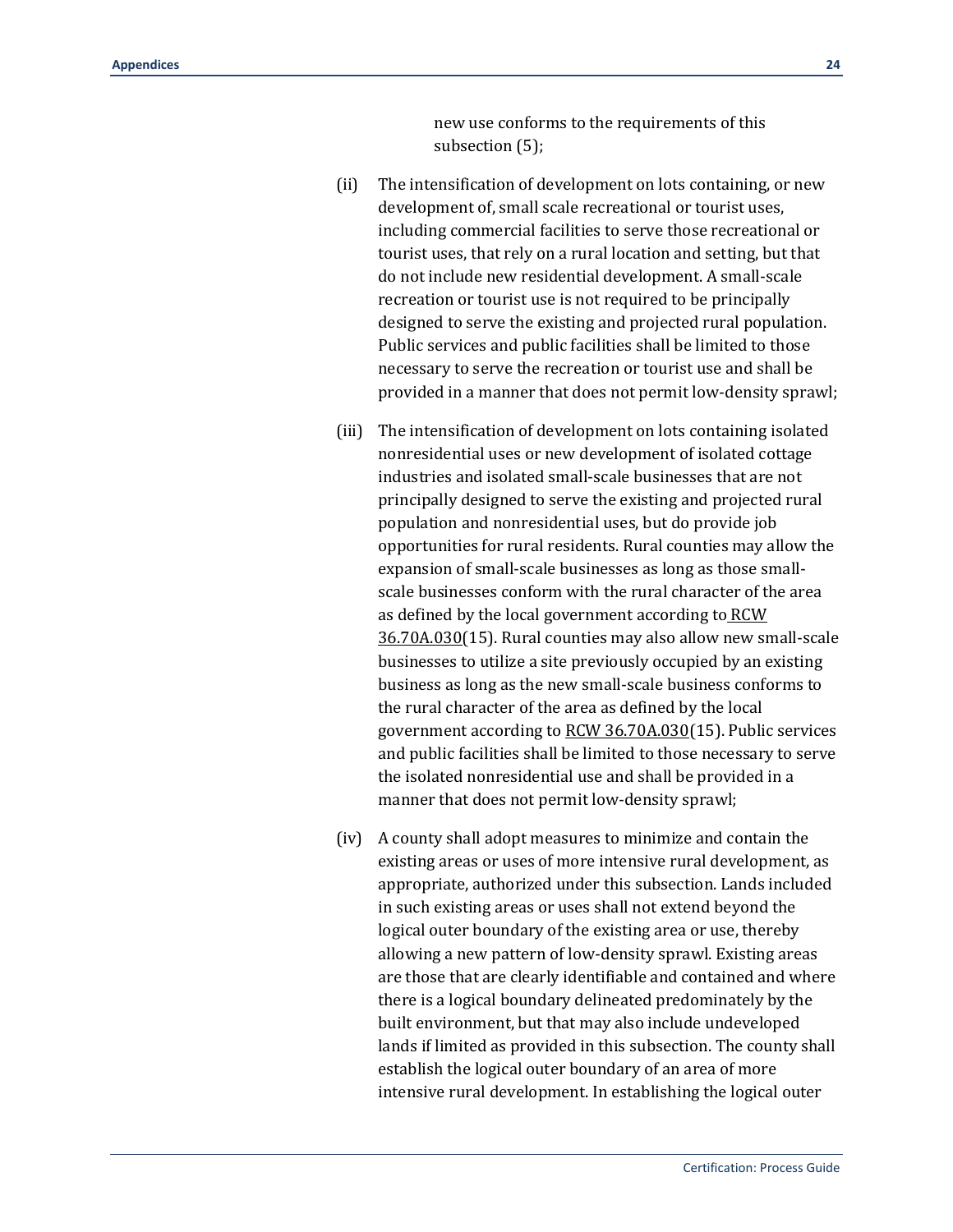new use conforms to the requirements of this subsection (5);

- (ii) The intensification of development on lots containing, or new development of, small scale recreational or tourist uses, including commercial facilities to serve those recreational or tourist uses, that rely on a rural location and setting, but that do not include new residential development. A small-scale recreation or tourist use is not required to be principally designed to serve the existing and projected rural population. Public services and public facilities shall be limited to those necessary to serve the recreation or tourist use and shall be provided in a manner that does not permit low-density sprawl;
- (iii) The intensification of development on lots containing isolated nonresidential uses or new development of isolated cottage industries and isolated small-scale businesses that are not principally designed to serve the existing and projected rural population and nonresidential uses, but do provide job opportunities for rural residents. Rural counties may allow the expansion of small-scale businesses as long as those smallscale businesses conform with the rural character of the area as defined by the local government according t[o RCW](http://apps.leg.wa.gov/rcw/default.aspx?cite=36.70A.030)  [36.70A.030\(](http://apps.leg.wa.gov/rcw/default.aspx?cite=36.70A.030)15). Rural counties may also allow new small-scale businesses to utilize a site previously occupied by an existing business as long as the new small-scale business conforms to the rural character of the area as defined by the local government according to [RCW 36.70A.030\(](http://apps.leg.wa.gov/rcw/default.aspx?cite=36.70A.030)15). Public services and public facilities shall be limited to those necessary to serve the isolated nonresidential use and shall be provided in a manner that does not permit low-density sprawl;
- (iv) A county shall adopt measures to minimize and contain the existing areas or uses of more intensive rural development, as appropriate, authorized under this subsection. Lands included in such existing areas or uses shall not extend beyond the logical outer boundary of the existing area or use, thereby allowing a new pattern of low-density sprawl. Existing areas are those that are clearly identifiable and contained and where there is a logical boundary delineated predominately by the built environment, but that may also include undeveloped lands if limited as provided in this subsection. The county shall establish the logical outer boundary of an area of more intensive rural development. In establishing the logical outer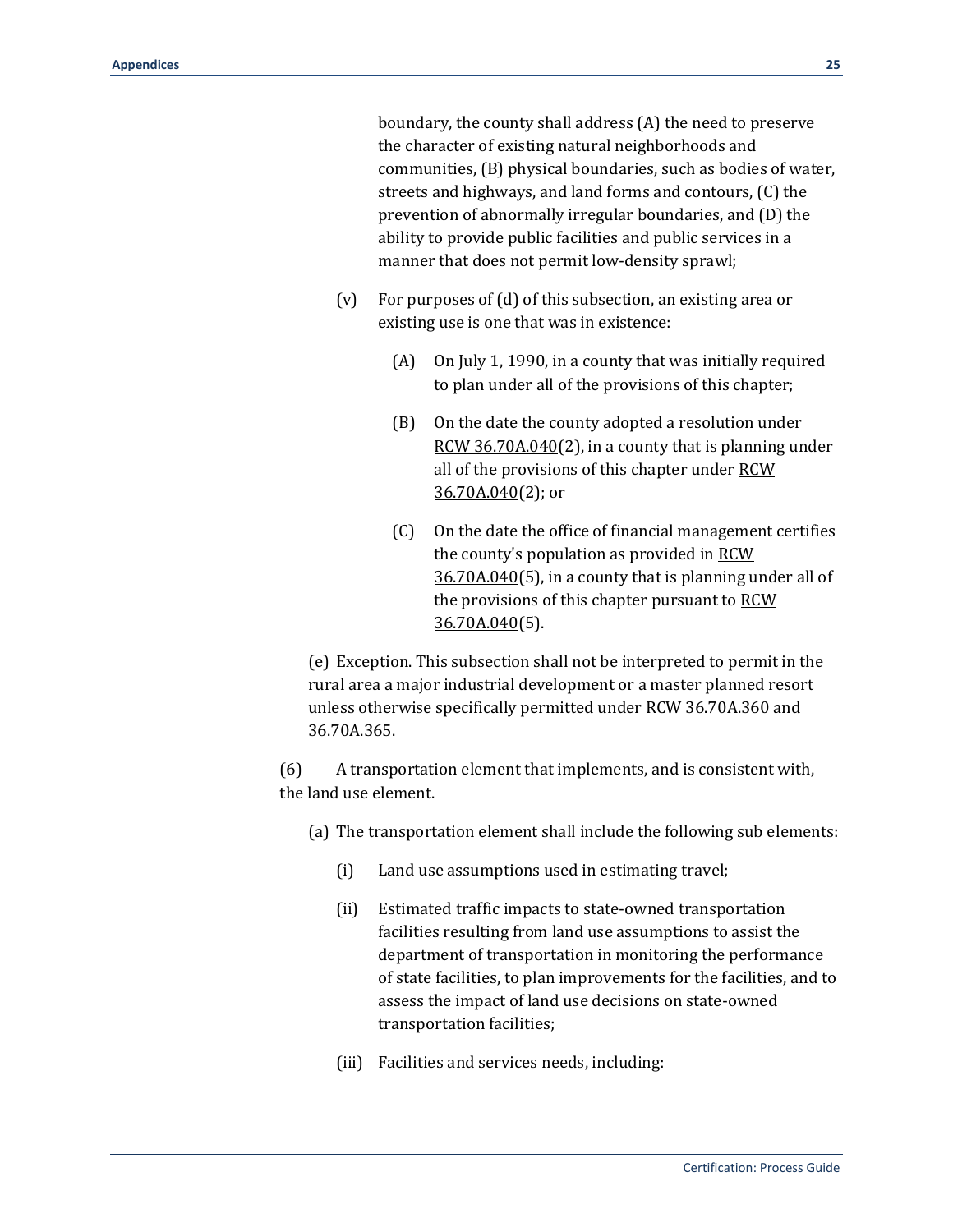boundary, the county shall address (A) the need to preserve the character of existing natural neighborhoods and communities, (B) physical boundaries, such as bodies of water, streets and highways, and land forms and contours, (C) the prevention of abnormally irregular boundaries, and (D) the ability to provide public facilities and public services in a manner that does not permit low-density sprawl;

- (v) For purposes of (d) of this subsection, an existing area or existing use is one that was in existence:
	- (A) On July 1, 1990, in a county that was initially required to plan under all of the provisions of this chapter;
	- (B) On the date the county adopted a resolution under [RCW 36.70A.040\(](http://apps.leg.wa.gov/rcw/default.aspx?cite=36.70A.040)2), in a county that is planning under all of the provisions of this chapter under RCW [36.70A.040\(](http://apps.leg.wa.gov/rcw/default.aspx?cite=36.70A.040)2); or
	- (C) On the date the office of financial management certifies the county's population as provided i[n RCW](http://apps.leg.wa.gov/rcw/default.aspx?cite=36.70A.040)  [36.70A.040\(](http://apps.leg.wa.gov/rcw/default.aspx?cite=36.70A.040)5), in a county that is planning under all of the provisions of this chapter pursuant to [RCW](http://apps.leg.wa.gov/rcw/default.aspx?cite=36.70A.040)  [36.70A.040\(](http://apps.leg.wa.gov/rcw/default.aspx?cite=36.70A.040)5).

(e) Exception. This subsection shall not be interpreted to permit in the rural area a major industrial development or a master planned resort unless otherwise specifically permitted under [RCW 36.70A.360](http://apps.leg.wa.gov/rcw/default.aspx?cite=36.70A.360) and [36.70A.365.](http://apps.leg.wa.gov/rcw/default.aspx?cite=36.70A.365)

(6) A transportation element that implements, and is consistent with, the land use element.

(a) The transportation element shall include the following sub elements:

- (i) Land use assumptions used in estimating travel;
- (ii) Estimated traffic impacts to state-owned transportation facilities resulting from land use assumptions to assist the department of transportation in monitoring the performance of state facilities, to plan improvements for the facilities, and to assess the impact of land use decisions on state-owned transportation facilities;
- (iii) Facilities and services needs, including: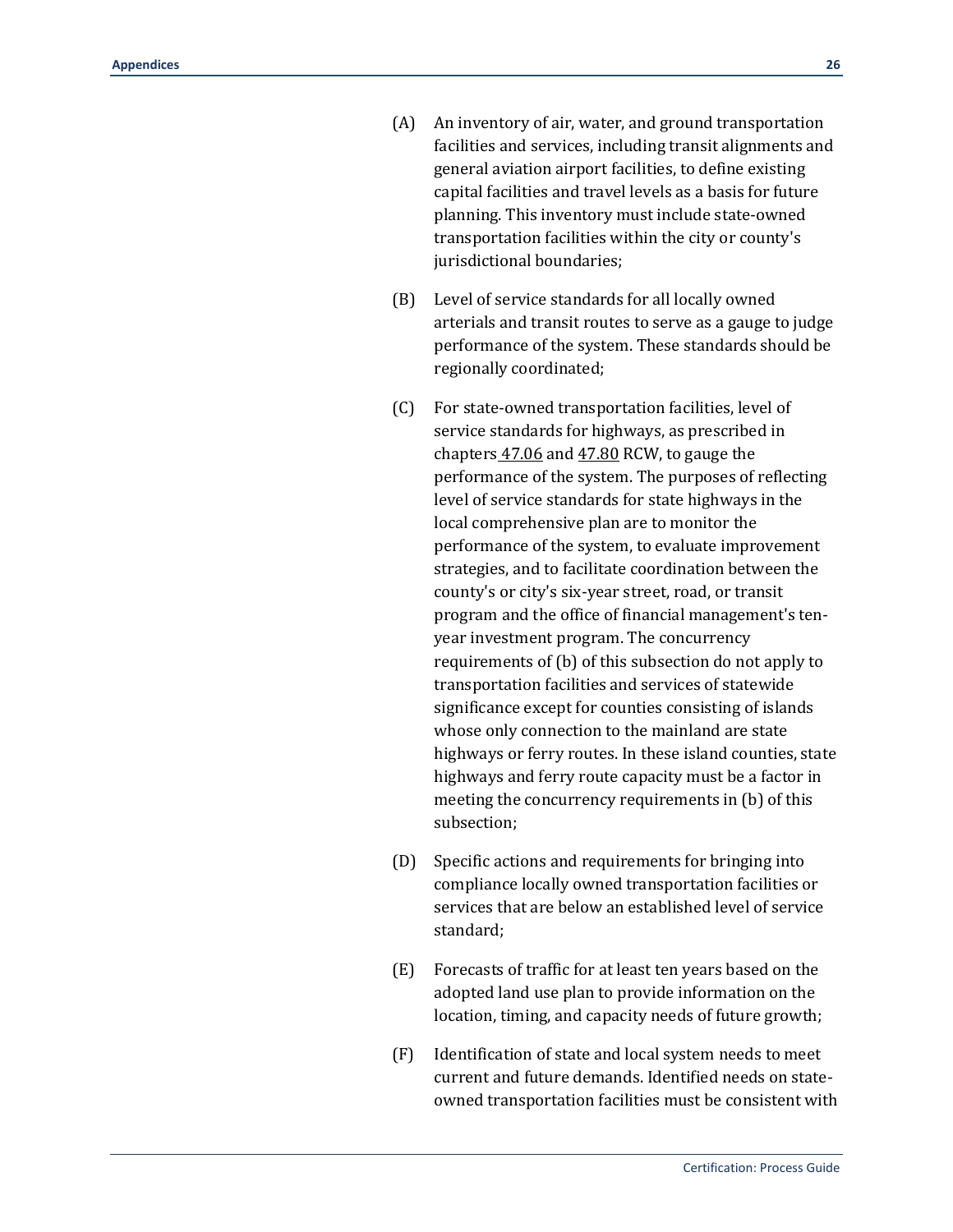- (A) An inventory of air, water, and ground transportation facilities and services, including transit alignments and general aviation airport facilities, to define existing capital facilities and travel levels as a basis for future planning. This inventory must include state-owned transportation facilities within the city or county's jurisdictional boundaries;
- (B) Level of service standards for all locally owned arterials and transit routes to serve as a gauge to judge performance of the system. These standards should be regionally coordinated;
- (C) For state-owned transportation facilities, level of service standards for highways, as prescribed in chapter[s 47.06](http://apps.leg.wa.gov/rcw/default.aspx?cite=47.06) an[d 47.80](http://apps.leg.wa.gov/rcw/default.aspx?cite=47.80.030) RCW, to gauge the performance of the system. The purposes of reflecting level of service standards for state highways in the local comprehensive plan are to monitor the performance of the system, to evaluate improvement strategies, and to facilitate coordination between the county's or city's six-year street, road, or transit program and the office of financial management's tenyear investment program. The concurrency requirements of (b) of this subsection do not apply to transportation facilities and services of statewide significance except for counties consisting of islands whose only connection to the mainland are state highways or ferry routes. In these island counties, state highways and ferry route capacity must be a factor in meeting the concurrency requirements in (b) of this subsection;
- (D) Specific actions and requirements for bringing into compliance locally owned transportation facilities or services that are below an established level of service standard;
- (E) Forecasts of traffic for at least ten years based on the adopted land use plan to provide information on the location, timing, and capacity needs of future growth;
- (F) Identification of state and local system needs to meet current and future demands. Identified needs on stateowned transportation facilities must be consistent with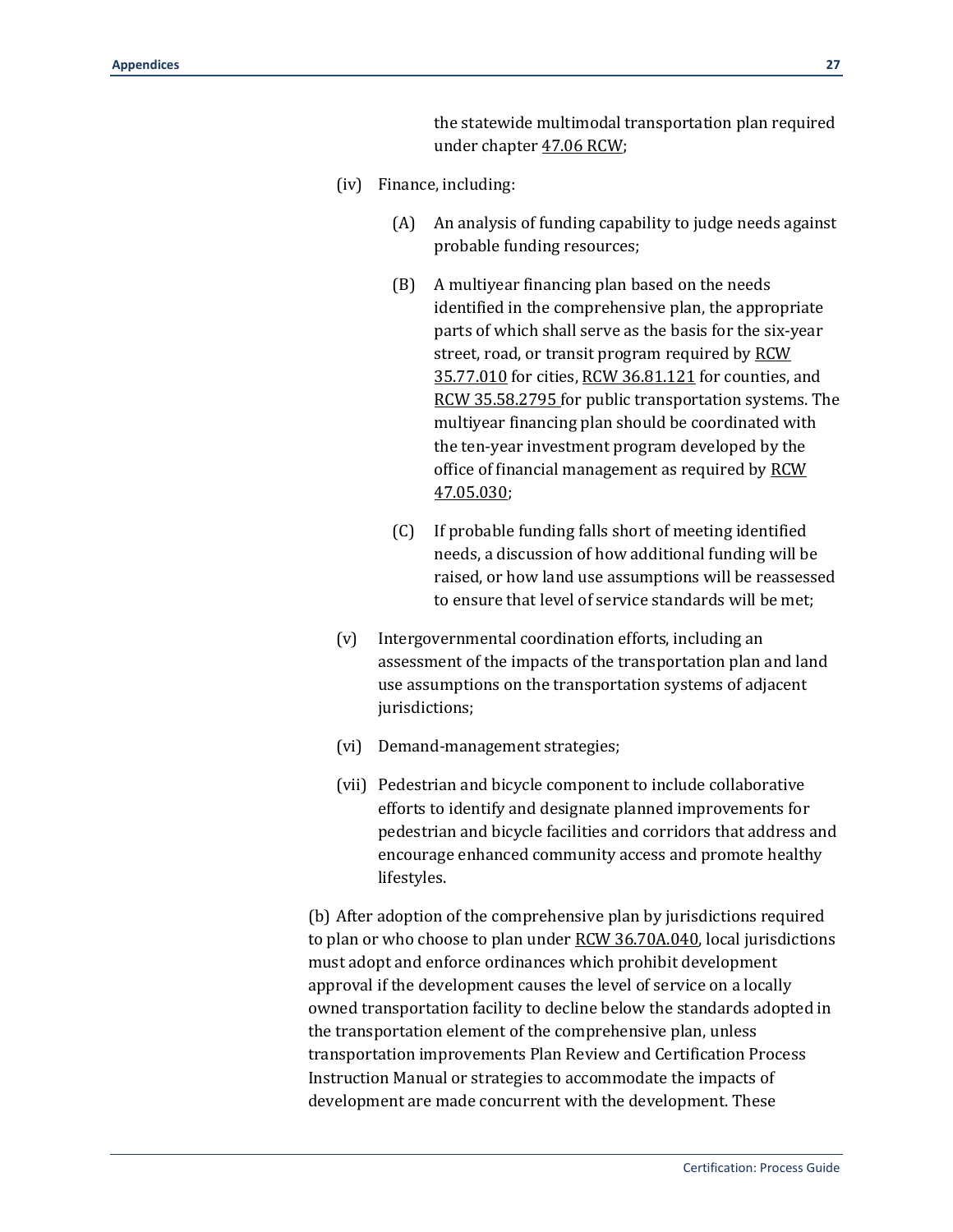the statewide multimodal transportation plan required under chapter [47.06 RCW;](http://apps.leg.wa.gov/rcw/default.aspx?cite=47.06)

- (iv) Finance, including:
	- (A) An analysis of funding capability to judge needs against probable funding resources;
	- (B) A multiyear financing plan based on the needs identified in the comprehensive plan, the appropriate parts of which shall serve as the basis for the six-year street, road, or transit program required by RCW [35.77.010](http://apps.leg.wa.gov/rcw/default.aspx?cite=35.77.010) for cities, [RCW 36.81.121](http://apps.leg.wa.gov/rcw/default.aspx?cite=36.81.121) for counties, and [RCW 35.58.2795 f](http://apps.leg.wa.gov/rcw/default.aspx?cite=35.58.2795)or public transportation systems. The multiyear financing plan should be coordinated with the ten-year investment program developed by the office of financial management as required by RCW [47.05.030;](http://apps.leg.wa.gov/rcw/default.aspx?cite=47.05.030)
	- (C) If probable funding falls short of meeting identified needs, a discussion of how additional funding will be raised, or how land use assumptions will be reassessed to ensure that level of service standards will be met;
- (v) Intergovernmental coordination efforts, including an assessment of the impacts of the transportation plan and land use assumptions on the transportation systems of adjacent jurisdictions;
- (vi) Demand-management strategies;
- (vii) Pedestrian and bicycle component to include collaborative efforts to identify and designate planned improvements for pedestrian and bicycle facilities and corridors that address and encourage enhanced community access and promote healthy lifestyles.

(b) After adoption of the comprehensive plan by jurisdictions required to plan or who choose to plan unde[r RCW 36.70A.040,](http://apps.leg.wa.gov/rcw/default.aspx?cite=36.70A.040) local jurisdictions must adopt and enforce ordinances which prohibit development approval if the development causes the level of service on a locally owned transportation facility to decline below the standards adopted in the transportation element of the comprehensive plan, unless transportation improvements Plan Review and Certification Process Instruction Manual or strategies to accommodate the impacts of development are made concurrent with the development. These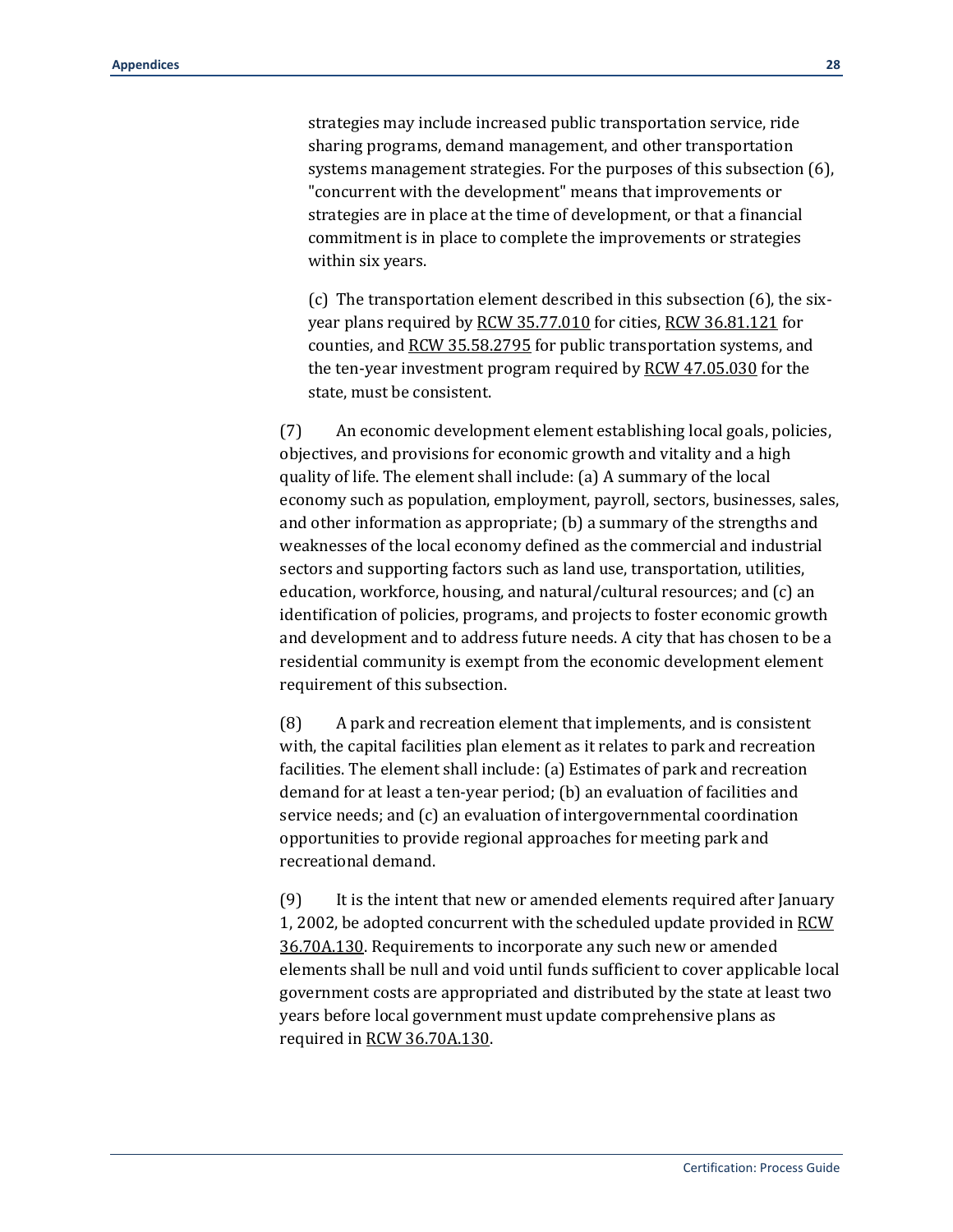strategies may include increased public transportation service, ride sharing programs, demand management, and other transportation systems management strategies. For the purposes of this subsection (6), "concurrent with the development" means that improvements or strategies are in place at the time of development, or that a financial commitment is in place to complete the improvements or strategies within six years.

(c) The transportation element described in this subsection (6), the sixyear plans required b[y RCW 35.77.010](http://apps.leg.wa.gov/rcw/default.aspx?cite=35.77.010) for cities[, RCW 36.81.121](http://apps.leg.wa.gov/rcw/default.aspx?cite=36.81.121) for counties, an[d RCW 35.58.2795 f](http://apps.leg.wa.gov/rcw/default.aspx?cite=35.58.2795)or public transportation systems, and the ten-year investment program required by [RCW 47.05.030](http://apps.leg.wa.gov/rcw/default.aspx?cite=47.05.030) for the state, must be consistent.

(7) An economic development element establishing local goals, policies, objectives, and provisions for economic growth and vitality and a high quality of life. The element shall include: (a) A summary of the local economy such as population, employment, payroll, sectors, businesses, sales, and other information as appropriate; (b) a summary of the strengths and weaknesses of the local economy defined as the commercial and industrial sectors and supporting factors such as land use, transportation, utilities, education, workforce, housing, and natural/cultural resources; and (c) an identification of policies, programs, and projects to foster economic growth and development and to address future needs. A city that has chosen to be a residential community is exempt from the economic development element requirement of this subsection.

(8) A park and recreation element that implements, and is consistent with, the capital facilities plan element as it relates to park and recreation facilities. The element shall include: (a) Estimates of park and recreation demand for at least a ten-year period; (b) an evaluation of facilities and service needs; and (c) an evaluation of intergovernmental coordination opportunities to provide regional approaches for meeting park and recreational demand.

(9) It is the intent that new or amended elements required after January 1, 2002, be adopted concurrent with the scheduled update provided in RCW [36.70A.130.](http://apps.leg.wa.gov/rcw/default.aspx?cite=36.70A.130) Requirements to incorporate any such new or amended elements shall be null and void until funds sufficient to cover applicable local government costs are appropriated and distributed by the state at least two years before local government must update comprehensive plans as required in [RCW 36.70A.130.](http://apps.leg.wa.gov/rcw/default.aspx?cite=36.70A.130)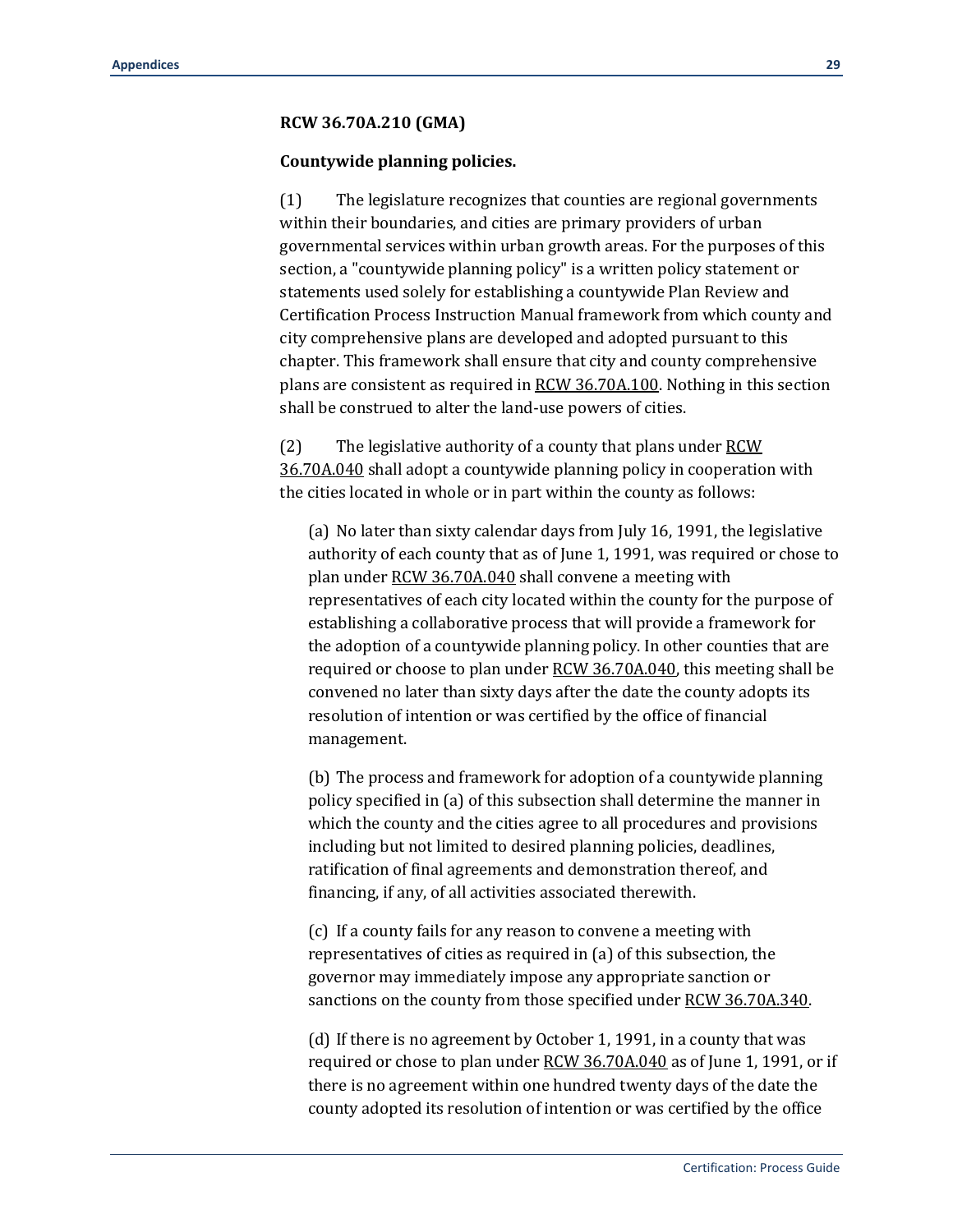#### **RCW 36.70A.210 (GMA)**

#### **Countywide planning policies.**

(1) The legislature recognizes that counties are regional governments within their boundaries, and cities are primary providers of urban governmental services within urban growth areas. For the purposes of this section, a "countywide planning policy" is a written policy statement or statements used solely for establishing a countywide Plan Review and Certification Process Instruction Manual framework from which county and city comprehensive plans are developed and adopted pursuant to this chapter. This framework shall ensure that city and county comprehensive plans are consistent as required in [RCW 36.70A.100.](http://apps.leg.wa.gov/rcw/default.aspx?cite=36.70A.100) Nothing in this section shall be construed to alter the land-use powers of cities.

(2) The legislative authority of a county that plans unde[r RCW](http://apps.leg.wa.gov/rcw/default.aspx?cite=36.70A.040)  [36.70A.040](http://apps.leg.wa.gov/rcw/default.aspx?cite=36.70A.040) shall adopt a countywide planning policy in cooperation with the cities located in whole or in part within the county as follows:

(a) No later than sixty calendar days from July 16, 1991, the legislative authority of each county that as of June 1, 1991, was required or chose to plan unde[r RCW 36.70A.040 s](http://apps.leg.wa.gov/rcw/default.aspx?cite=36.70A.040)hall convene a meeting with representatives of each city located within the county for the purpose of establishing a collaborative process that will provide a framework for the adoption of a countywide planning policy. In other counties that are required or choose to plan under [RCW 36.70A.040,](http://apps.leg.wa.gov/rcw/default.aspx?cite=36.70A.340) this meeting shall be convened no later than sixty days after the date the county adopts its resolution of intention or was certified by the office of financial management.

(b) The process and framework for adoption of a countywide planning policy specified in (a) of this subsection shall determine the manner in which the county and the cities agree to all procedures and provisions including but not limited to desired planning policies, deadlines, ratification of final agreements and demonstration thereof, and financing, if any, of all activities associated therewith.

(c) If a county fails for any reason to convene a meeting with representatives of cities as required in (a) of this subsection, the governor may immediately impose any appropriate sanction or sanctions on the county from those specified under RCW 36.70A.340.

(d) If there is no agreement by October 1, 1991, in a county that was required or chose to plan under [RCW 36.70A.040](http://apps.leg.wa.gov/rcw/default.aspx?cite=36.70A.040) as of June 1, 1991, or if there is no agreement within one hundred twenty days of the date the county adopted its resolution of intention or was certified by the office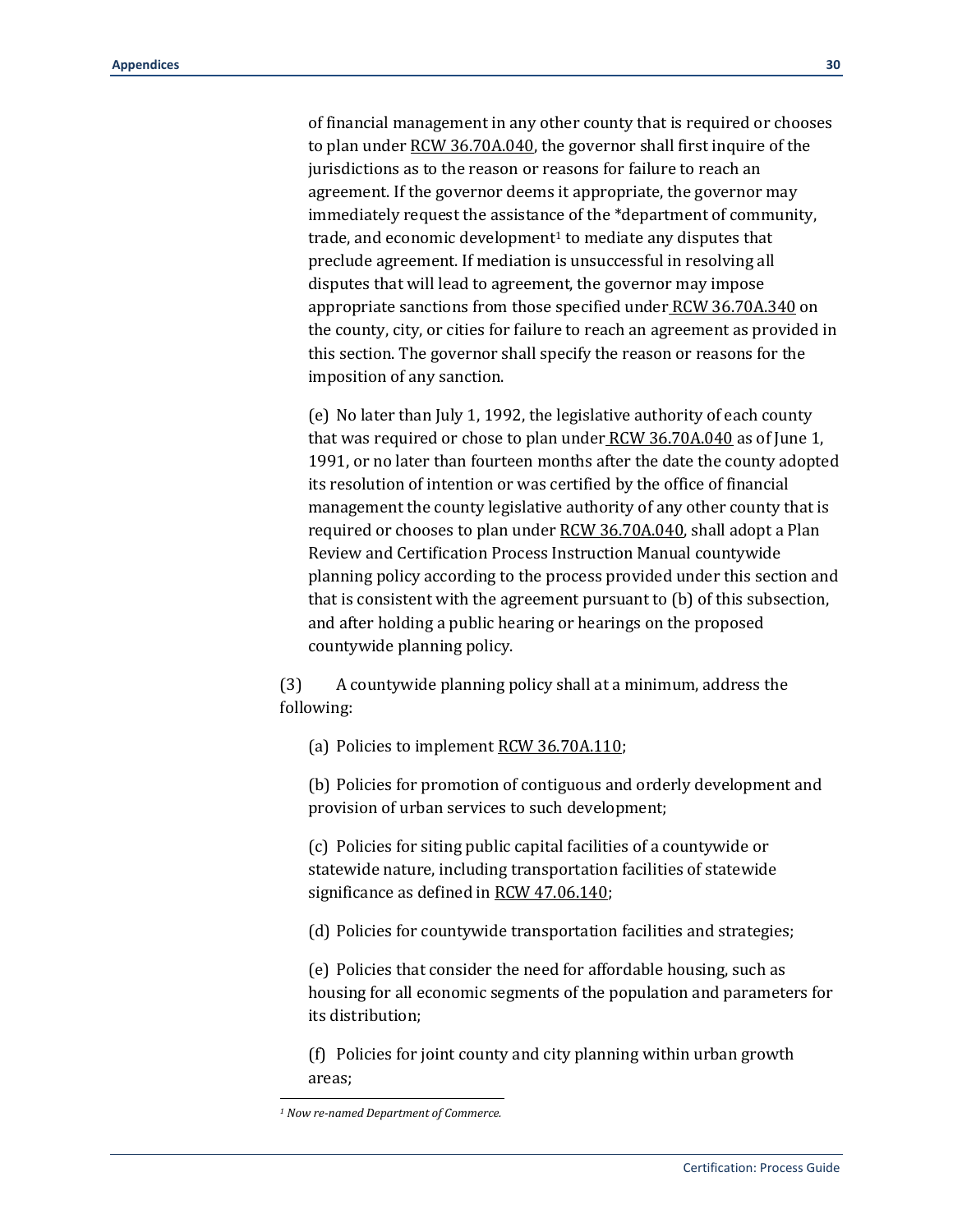of financial management in any other county that is required or chooses to plan unde[r RCW 36.70A.040,](http://apps.leg.wa.gov/rcw/default.aspx?cite=36.70A.040) the governor shall first inquire of the jurisdictions as to the reason or reasons for failure to reach an agreement. If the governor deems it appropriate, the governor may immediately request the assistance of the \*department of community, trade, and economic development $1$  to mediate any disputes that preclude agreement. If mediation is unsuccessful in resolving all disputes that will lead to agreement, the governor may impose appropriate sanctions from those specified unde[r RCW 36.70A.340](http://apps.leg.wa.gov/rcw/default.aspx?cite=36.70A.340) on the county, city, or cities for failure to reach an agreement as provided in this section. The governor shall specify the reason or reasons for the imposition of any sanction.

(e) No later than July 1, 1992, the legislative authority of each county that was required or chose to plan unde[r RCW 36.70A.040](http://apps.leg.wa.gov/rcw/default.aspx?cite=36.70A.040) as of June 1, 1991, or no later than fourteen months after the date the county adopted its resolution of intention or was certified by the office of financial management the county legislative authority of any other county that is required or chooses to plan under [RCW 36.70A.040,](http://apps.leg.wa.gov/rcw/default.aspx?cite=36.70A.040) shall adopt a Plan Review and Certification Process Instruction Manual countywide planning policy according to the process provided under this section and that is consistent with the agreement pursuant to (b) of this subsection, and after holding a public hearing or hearings on the proposed countywide planning policy.

(3) A countywide planning policy shall at a minimum, address the following:

(a) Policies to implement [RCW 36.70A.110;](http://apps.leg.wa.gov/rcw/default.aspx?cite=36.70A.110)

(b) Policies for promotion of contiguous and orderly development and provision of urban services to such development;

(c) Policies for siting public capital facilities of a countywide or statewide nature, including transportation facilities of statewide significance as defined in [RCW 47.06.140;](http://apps.leg.wa.gov/rcw/default.aspx?cite=47.06.140)

(d) Policies for countywide transportation facilities and strategies;

(e) Policies that consider the need for affordable housing, such as housing for all economic segments of the population and parameters for its distribution;

(f) Policies for joint county and city planning within urban growth areas;

*1 Now re-named Department of Commerce.* 

 $\overline{a}$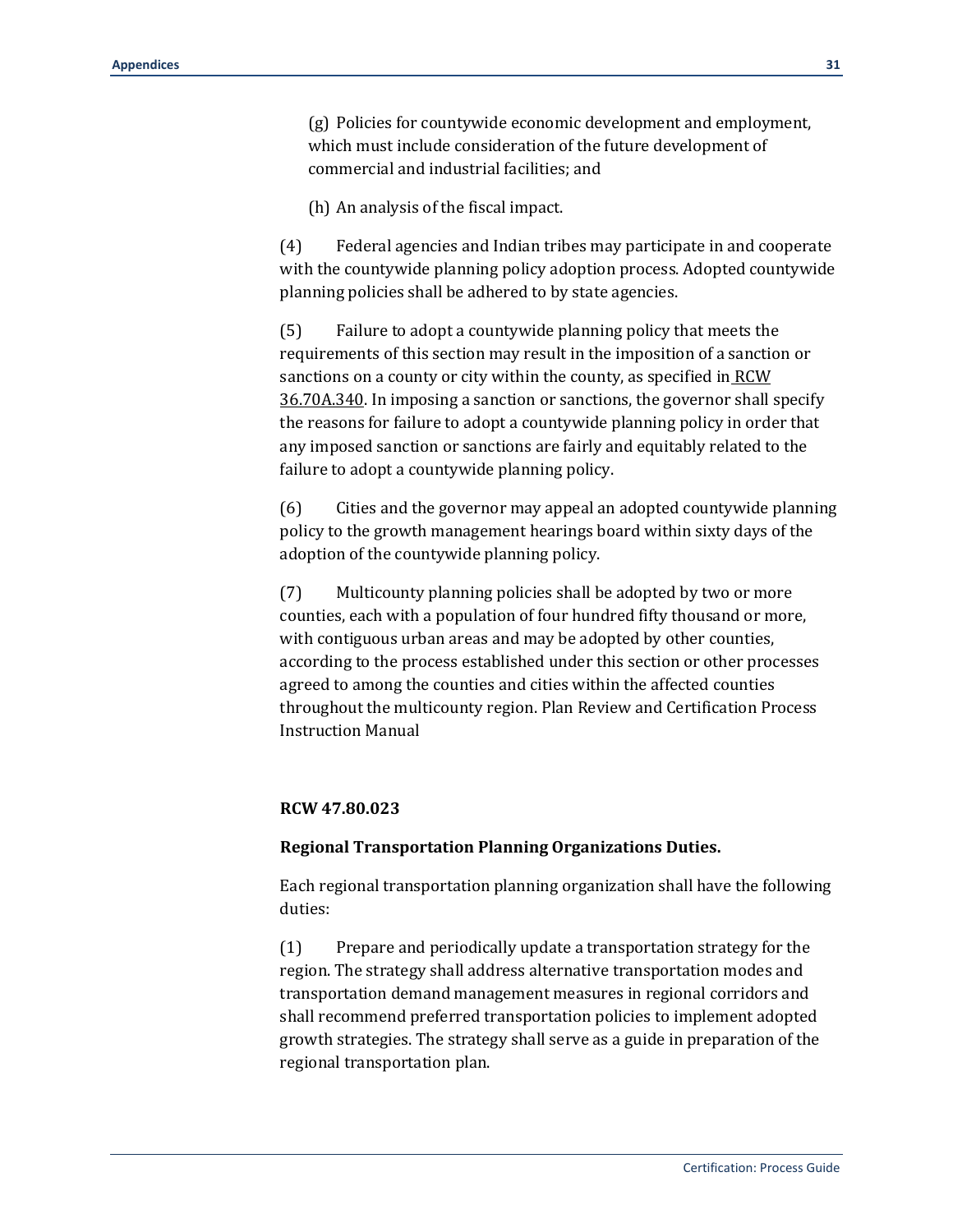(g) Policies for countywide economic development and employment, which must include consideration of the future development of commercial and industrial facilities; and

(h) An analysis of the fiscal impact.

(4) Federal agencies and Indian tribes may participate in and cooperate with the countywide planning policy adoption process. Adopted countywide planning policies shall be adhered to by state agencies.

(5) Failure to adopt a countywide planning policy that meets the requirements of this section may result in the imposition of a sanction or sanctions on a county or city within the county, as specified i[n RCW](http://apps.leg.wa.gov/rcw/default.aspx?cite=36.70A.340)  [36.70A.340.](http://apps.leg.wa.gov/rcw/default.aspx?cite=36.70A.340) In imposing a sanction or sanctions, the governor shall specify the reasons for failure to adopt a countywide planning policy in order that any imposed sanction or sanctions are fairly and equitably related to the failure to adopt a countywide planning policy.

(6) Cities and the governor may appeal an adopted countywide planning policy to the growth management hearings board within sixty days of the adoption of the countywide planning policy.

(7) Multicounty planning policies shall be adopted by two or more counties, each with a population of four hundred fifty thousand or more, with contiguous urban areas and may be adopted by other counties, according to the process established under this section or other processes agreed to among the counties and cities within the affected counties throughout the multicounty region. Plan Review and Certification Process Instruction Manual

#### **RCW 47.80.023**

#### **Regional Transportation Planning Organizations Duties.**

Each regional transportation planning organization shall have the following duties:

(1) Prepare and periodically update a transportation strategy for the region. The strategy shall address alternative transportation modes and transportation demand management measures in regional corridors and shall recommend preferred transportation policies to implement adopted growth strategies. The strategy shall serve as a guide in preparation of the regional transportation plan.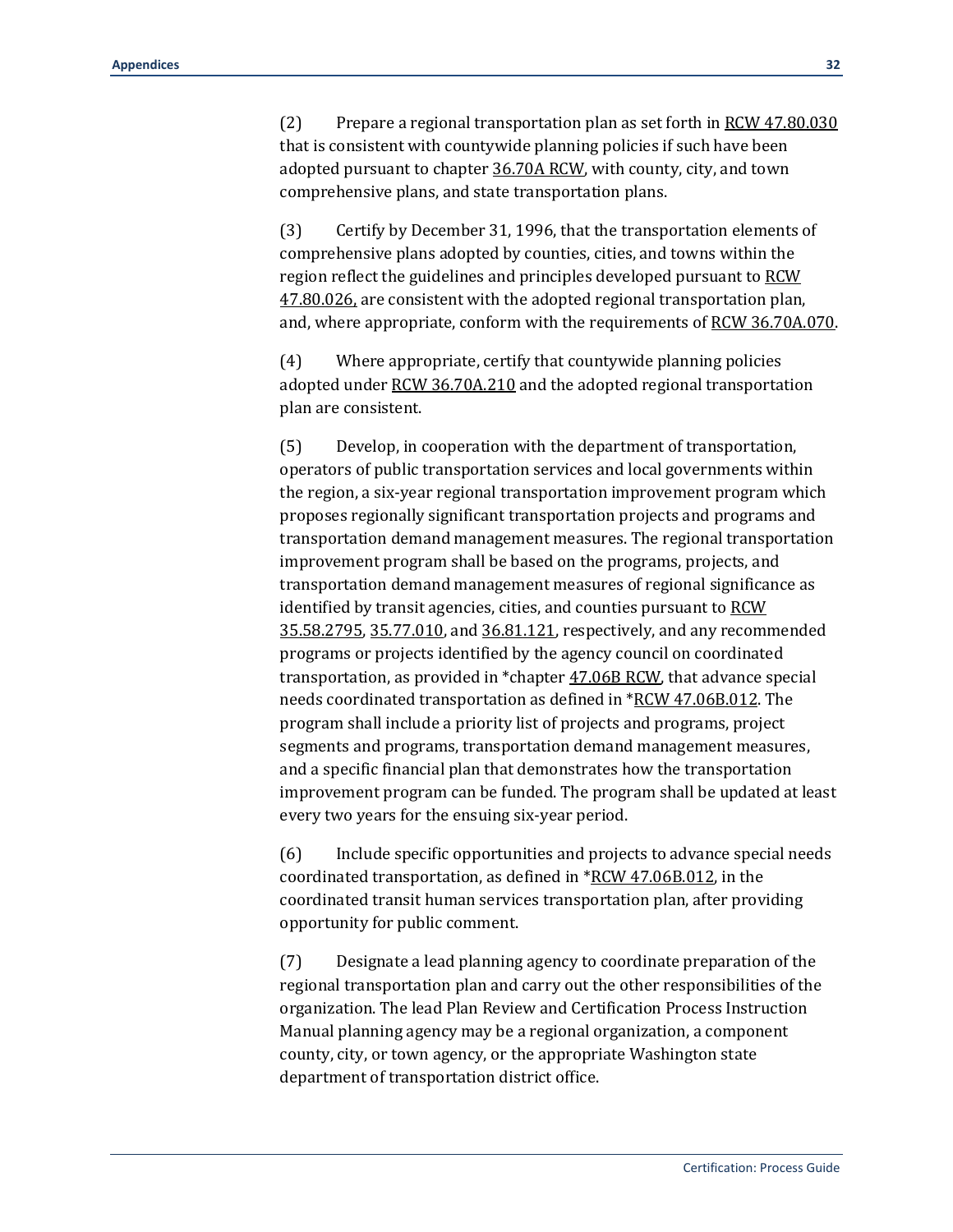(2) Prepare a regional transportation plan as set forth i[n RCW 47.80.030](http://apps.leg.wa.gov/rcw/default.aspx?cite=47.80.030) that is consistent with countywide planning policies if such have been adopted pursuant to chapte[r 36.70A RCW,](http://apps.leg.wa.gov/rcw/default.aspx?cite=36.70A.340) with county, city, and town comprehensive plans, and state transportation plans.

(3) Certify by December 31, 1996, that the transportation elements of comprehensive plans adopted by counties, cities, and towns within the region reflect the guidelines and principles developed pursuant t[o RCW](http://apps.leg.wa.gov/rcw/default.aspx?cite=47.80.026)  [47.80.026,](http://apps.leg.wa.gov/rcw/default.aspx?cite=47.80.026) are consistent with the adopted regional transportation plan, and, where appropriate, conform with the requirements of [RCW 36.70A.070.](http://apps.leg.wa.gov/rcw/default.aspx?cite=36.70A.070)

(4) Where appropriate, certify that countywide planning policies adopted unde[r RCW 36.70A.210 a](http://apps.leg.wa.gov/rcw/default.aspx?cite=36.70A.210)nd the adopted regional transportation plan are consistent.

(5) Develop, in cooperation with the department of transportation, operators of public transportation services and local governments within the region, a six-year regional transportation improvement program which proposes regionally significant transportation projects and programs and transportation demand management measures. The regional transportation improvement program shall be based on the programs, projects, and transportation demand management measures of regional significance as identified by transit agencies, cities, and counties pursuant to RCW [35.58.2795,](http://apps.leg.wa.gov/rcw/default.aspx?cite=35.58.2795) [35.77.010,](http://apps.leg.wa.gov/rcw/default.aspx?cite=35.77.010) and [36.81.121,](http://apps.leg.wa.gov/rcw/default.aspx?cite=36.81.121) respectively, and any recommended programs or projects identified by the agency council on coordinated transportation, as provided in \*chapter [47.06B RCW,](http://apps.leg.wa.gov/rcw/dispo.aspx?cite=47.06B) that advance special needs coordinated transportation as defined in [\\*RCW 47.06B.012.](http://apps.leg.wa.gov/rcw/dispo.aspx?cite=47.06B.012) The program shall include a priority list of projects and programs, project segments and programs, transportation demand management measures, and a specific financial plan that demonstrates how the transportation improvement program can be funded. The program shall be updated at least every two years for the ensuing six-year period.

(6) Include specific opportunities and projects to advance special needs coordinated transportation, as defined in [\\*RCW 47.06B.012,](http://apps.leg.wa.gov/rcw/dispo.aspx?cite=47.06B.012) in the coordinated transit human services transportation plan, after providing opportunity for public comment.

(7) Designate a lead planning agency to coordinate preparation of the regional transportation plan and carry out the other responsibilities of the organization. The lead Plan Review and Certification Process Instruction Manual planning agency may be a regional organization, a component county, city, or town agency, or the appropriate Washington state department of transportation district office.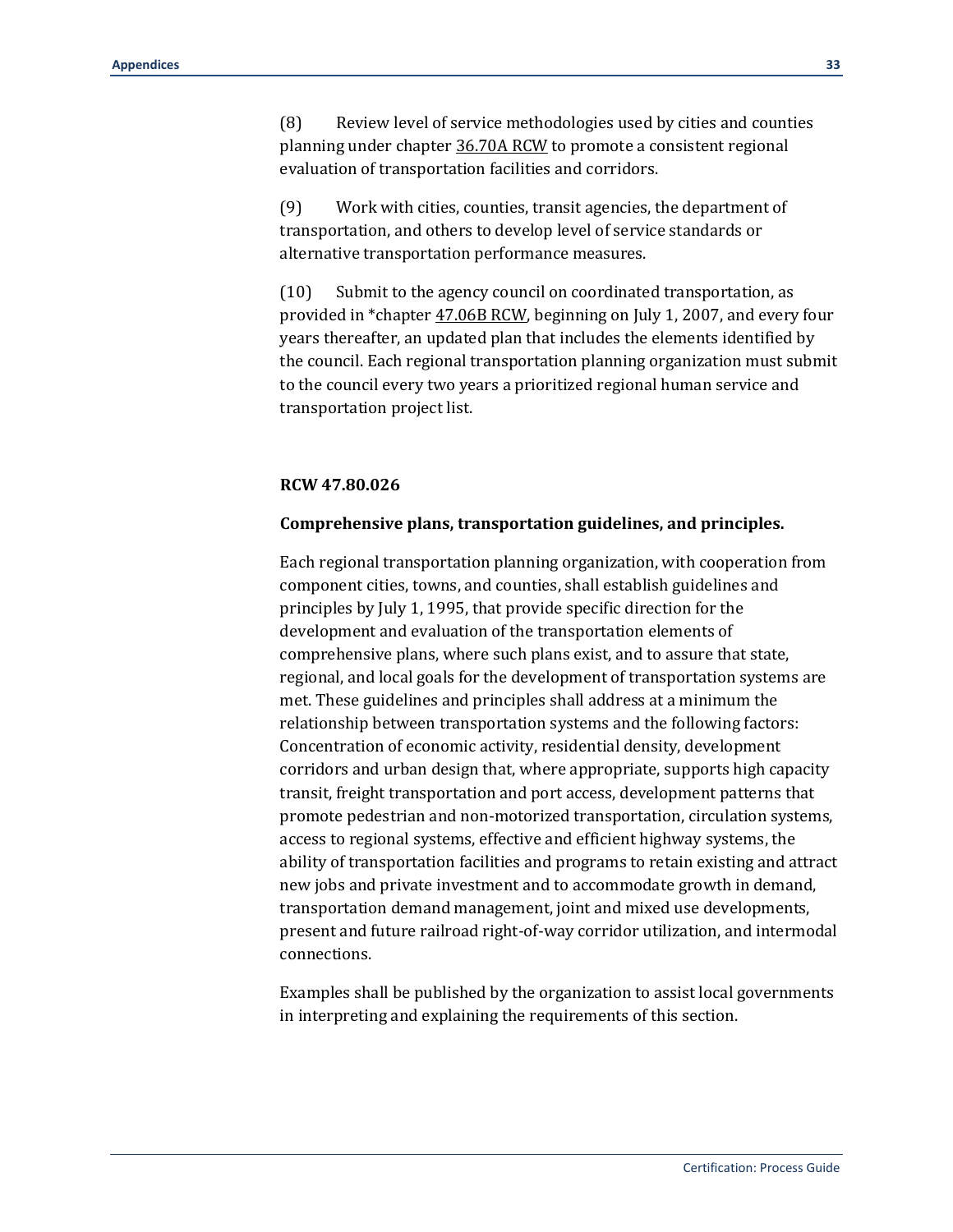(8) Review level of service methodologies used by cities and counties planning under chapter [36.70A RCW](http://apps.leg.wa.gov/rcw/default.aspx?cite=36.70A.210) to promote a consistent regional evaluation of transportation facilities and corridors.

(9) Work with cities, counties, transit agencies, the department of transportation, and others to develop level of service standards or alternative transportation performance measures.

(10) Submit to the agency council on coordinated transportation, as provided in \*chapter [47.06B RCW,](http://apps.leg.wa.gov/rcw/dispo.aspx?cite=47.06B.012) beginning on July 1, 2007, and every four years thereafter, an updated plan that includes the elements identified by the council. Each regional transportation planning organization must submit to the council every two years a prioritized regional human service and transportation project list.

#### **RCW 47.80.026**

#### **Comprehensive plans, transportation guidelines, and principles.**

Each regional transportation planning organization, with cooperation from component cities, towns, and counties, shall establish guidelines and principles by July 1, 1995, that provide specific direction for the development and evaluation of the transportation elements of comprehensive plans, where such plans exist, and to assure that state, regional, and local goals for the development of transportation systems are met. These guidelines and principles shall address at a minimum the relationship between transportation systems and the following factors: Concentration of economic activity, residential density, development corridors and urban design that, where appropriate, supports high capacity transit, freight transportation and port access, development patterns that promote pedestrian and non-motorized transportation, circulation systems, access to regional systems, effective and efficient highway systems, the ability of transportation facilities and programs to retain existing and attract new jobs and private investment and to accommodate growth in demand, transportation demand management, joint and mixed use developments, present and future railroad right-of-way corridor utilization, and intermodal connections.

Examples shall be published by the organization to assist local governments in interpreting and explaining the requirements of this section.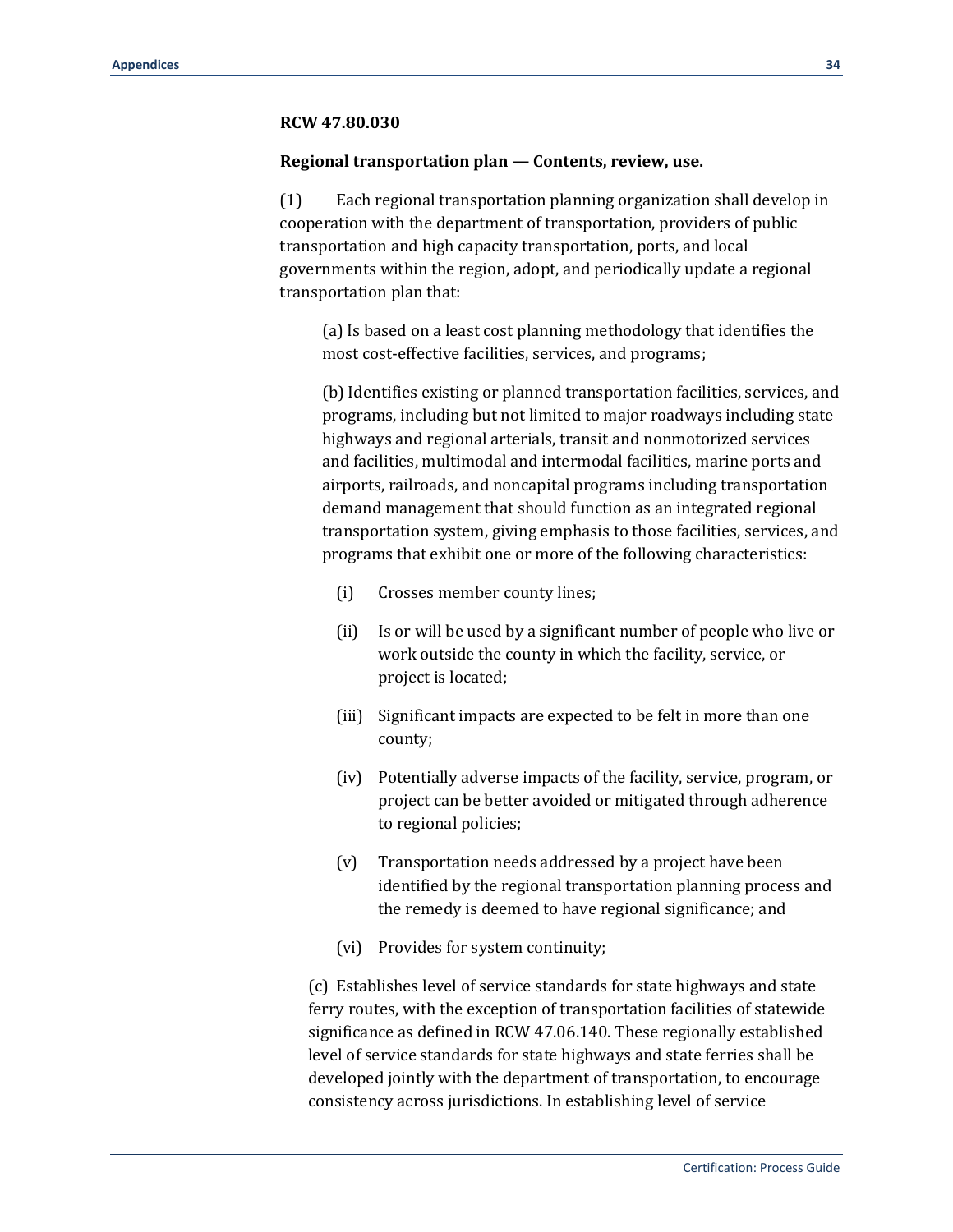#### **RCW 47.80.030**

#### **Regional transportation plan — Contents, review, use.**

(1) Each regional transportation planning organization shall develop in cooperation with the department of transportation, providers of public transportation and high capacity transportation, ports, and local governments within the region, adopt, and periodically update a regional transportation plan that:

(a) Is based on a least cost planning methodology that identifies the most cost-effective facilities, services, and programs;

(b) Identifies existing or planned transportation facilities, services, and programs, including but not limited to major roadways including state highways and regional arterials, transit and nonmotorized services and facilities, multimodal and intermodal facilities, marine ports and airports, railroads, and noncapital programs including transportation demand management that should function as an integrated regional transportation system, giving emphasis to those facilities, services, and programs that exhibit one or more of the following characteristics:

- (i) Crosses member county lines;
- (ii) Is or will be used by a significant number of people who live or work outside the county in which the facility, service, or project is located;
- (iii) Significant impacts are expected to be felt in more than one county;
- (iv) Potentially adverse impacts of the facility, service, program, or project can be better avoided or mitigated through adherence to regional policies;
- (v) Transportation needs addressed by a project have been identified by the regional transportation planning process and the remedy is deemed to have regional significance; and
- (vi) Provides for system continuity;

(c) Establishes level of service standards for state highways and state ferry routes, with the exception of transportation facilities of statewide significance as defined in RCW 47.06.140. These regionally established level of service standards for state highways and state ferries shall be developed jointly with the department of transportation, to encourage consistency across jurisdictions. In establishing level of service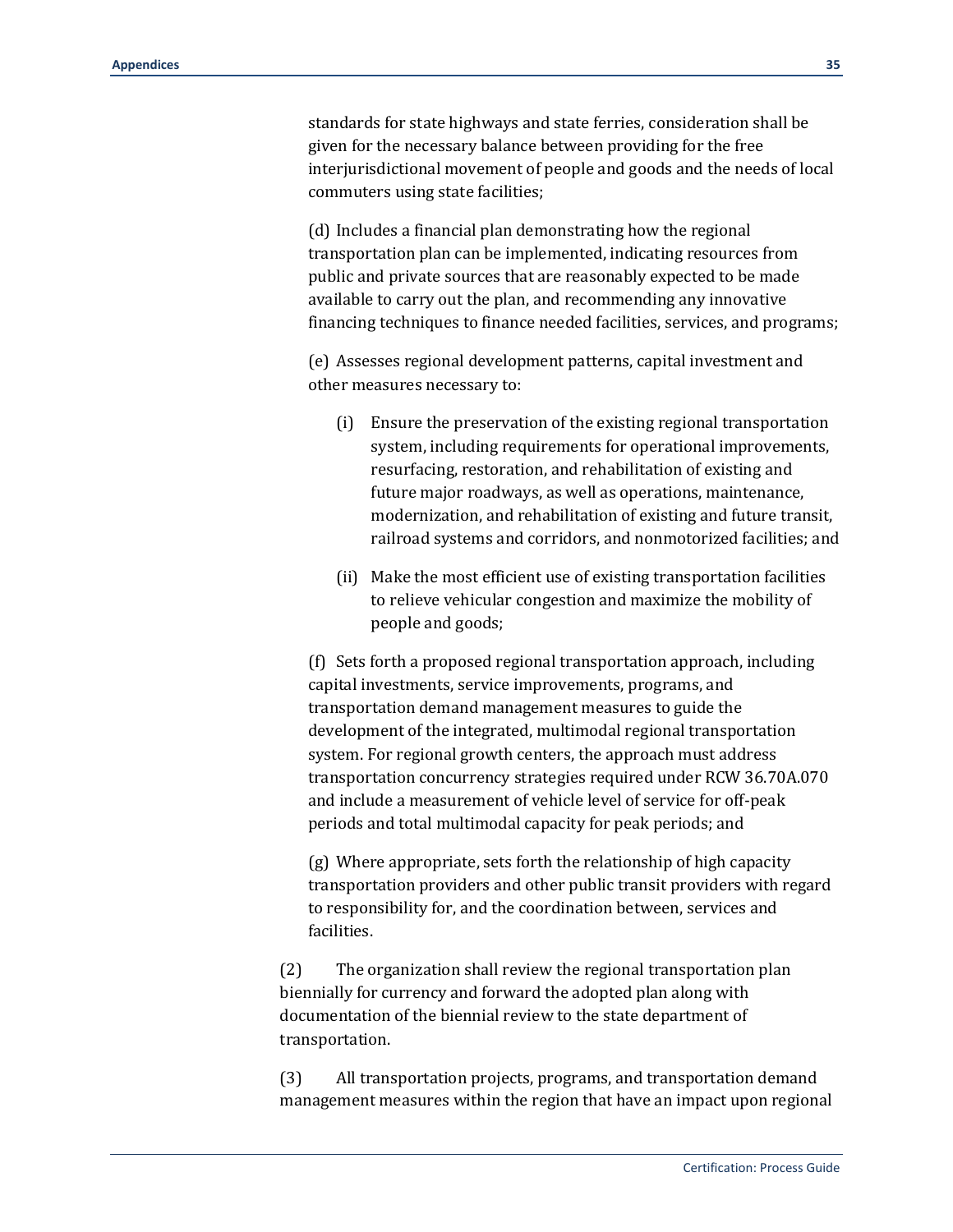standards for state highways and state ferries, consideration shall be given for the necessary balance between providing for the free interjurisdictional movement of people and goods and the needs of local commuters using state facilities;

(d) Includes a financial plan demonstrating how the regional transportation plan can be implemented, indicating resources from public and private sources that are reasonably expected to be made available to carry out the plan, and recommending any innovative financing techniques to finance needed facilities, services, and programs;

(e) Assesses regional development patterns, capital investment and other measures necessary to:

- (i) Ensure the preservation of the existing regional transportation system, including requirements for operational improvements, resurfacing, restoration, and rehabilitation of existing and future major roadways, as well as operations, maintenance, modernization, and rehabilitation of existing and future transit, railroad systems and corridors, and nonmotorized facilities; and
- (ii) Make the most efficient use of existing transportation facilities to relieve vehicular congestion and maximize the mobility of people and goods;

(f) Sets forth a proposed regional transportation approach, including capital investments, service improvements, programs, and transportation demand management measures to guide the development of the integrated, multimodal regional transportation system. For regional growth centers, the approach must address transportation concurrency strategies required under RCW 36.70A.070 and include a measurement of vehicle level of service for off-peak periods and total multimodal capacity for peak periods; and

(g) Where appropriate, sets forth the relationship of high capacity transportation providers and other public transit providers with regard to responsibility for, and the coordination between, services and facilities.

(2) The organization shall review the regional transportation plan biennially for currency and forward the adopted plan along with documentation of the biennial review to the state department of transportation.

(3) All transportation projects, programs, and transportation demand management measures within the region that have an impact upon regional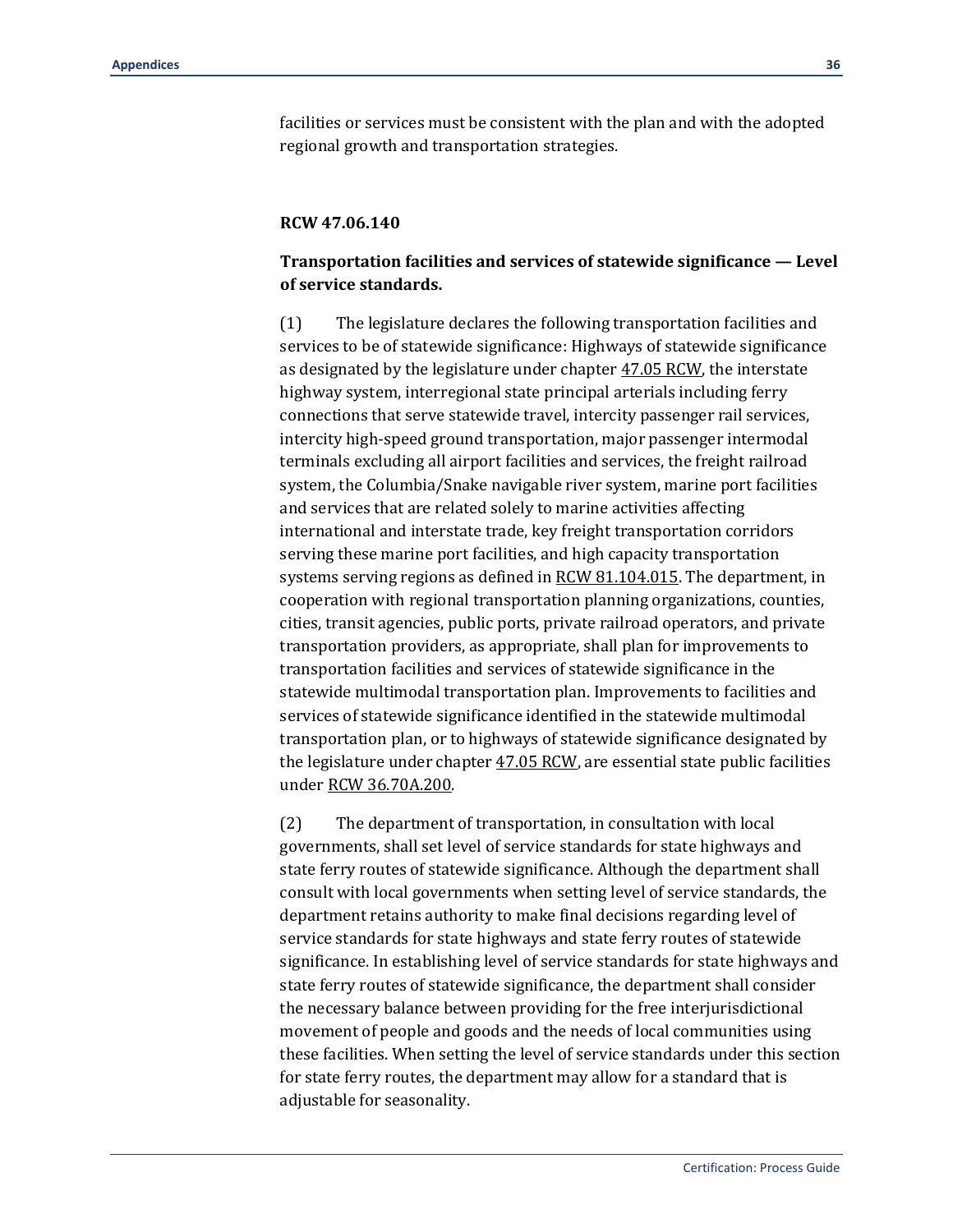facilities or services must be consistent with the plan and with the adopted regional growth and transportation strategies.

#### **RCW 47.06.140**

#### **Transportation facilities and services of statewide significance — Level of service standards.**

(1) The legislature declares the following transportation facilities and services to be of statewide significance: Highways of statewide significance as designated by the legislature under chapter [47.05 RCW,](http://apps.leg.wa.gov/rcw/default.aspx?cite=47.05.030) the interstate highway system, interregional state principal arterials including ferry connections that serve statewide travel, intercity passenger rail services, intercity high-speed ground transportation, major passenger intermodal terminals excluding all airport facilities and services, the freight railroad system, the Columbia/Snake navigable river system, marine port facilities and services that are related solely to marine activities affecting international and interstate trade, key freight transportation corridors serving these marine port facilities, and high capacity transportation systems serving regions as defined in [RCW 81.104.015.](http://apps.leg.wa.gov/rcw/default.aspx?cite=81.104.015) The department, in cooperation with regional transportation planning organizations, counties, cities, transit agencies, public ports, private railroad operators, and private transportation providers, as appropriate, shall plan for improvements to transportation facilities and services of statewide significance in the statewide multimodal transportation plan. Improvements to facilities and services of statewide significance identified in the statewide multimodal transportation plan, or to highways of statewide significance designated by the legislature under chapter  $47.05$  RCW, are essential state public facilities unde[r RCW 36.70A.200.](http://apps.leg.wa.gov/rcw/default.aspx?cite=36.70A.200)

(2) The department of transportation, in consultation with local governments, shall set level of service standards for state highways and state ferry routes of statewide significance. Although the department shall consult with local governments when setting level of service standards, the department retains authority to make final decisions regarding level of service standards for state highways and state ferry routes of statewide significance. In establishing level of service standards for state highways and state ferry routes of statewide significance, the department shall consider the necessary balance between providing for the free interjurisdictional movement of people and goods and the needs of local communities using these facilities. When setting the level of service standards under this section for state ferry routes, the department may allow for a standard that is adjustable for seasonality.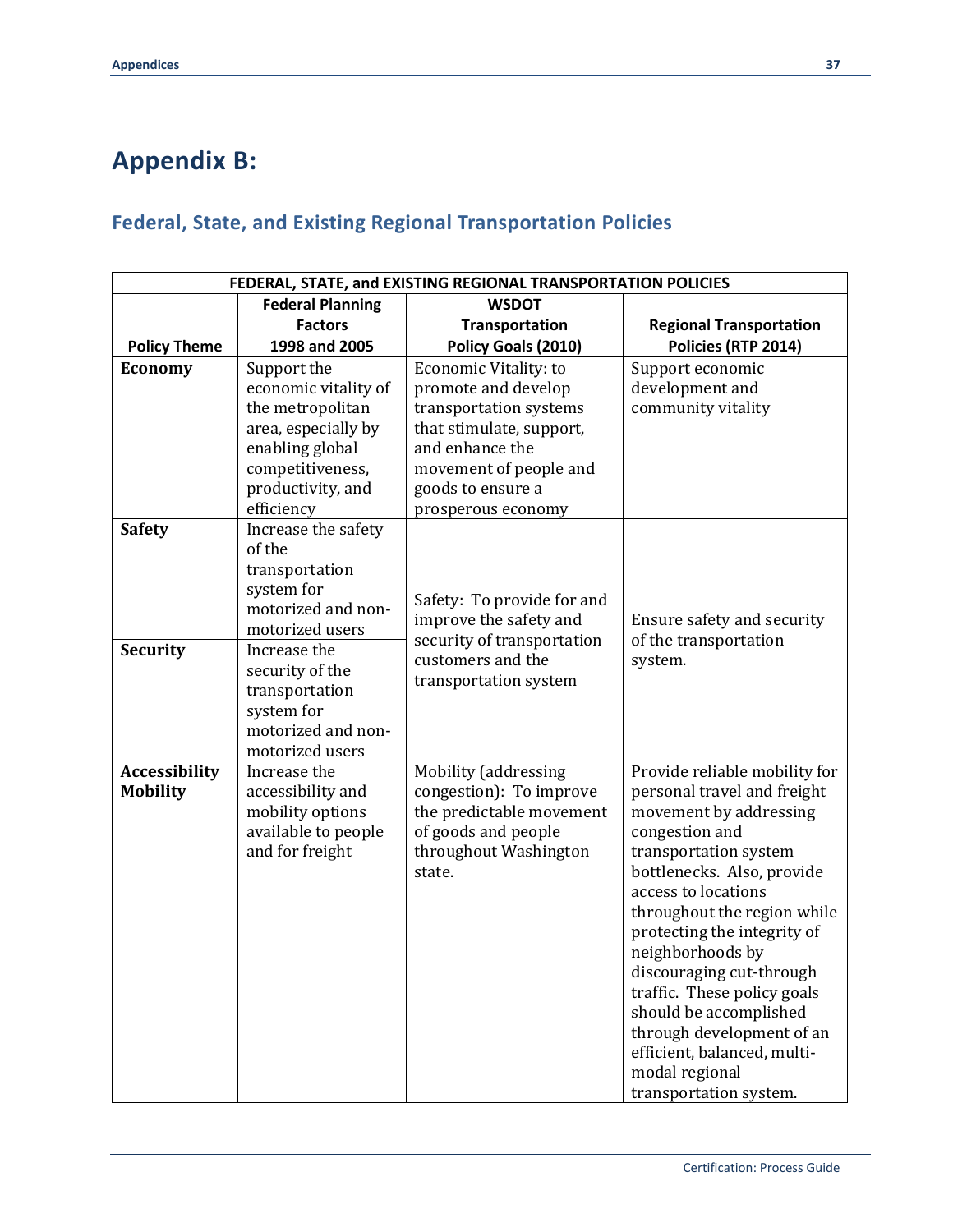## **Appendix B:**

## **Federal, State, and Existing Regional Transportation Policies**

| FEDERAL, STATE, and EXISTING REGIONAL TRANSPORTATION POLICIES |                                 |                              |                                |  |
|---------------------------------------------------------------|---------------------------------|------------------------------|--------------------------------|--|
| <b>WSDOT</b><br><b>Federal Planning</b>                       |                                 |                              |                                |  |
|                                                               | <b>Factors</b>                  | Transportation               | <b>Regional Transportation</b> |  |
| <b>Policy Theme</b>                                           | 1998 and 2005                   | Policy Goals (2010)          | Policies (RTP 2014)            |  |
| <b>Economy</b>                                                | Support the                     | <b>Economic Vitality: to</b> | Support economic               |  |
|                                                               | economic vitality of            | promote and develop          | development and                |  |
|                                                               | the metropolitan                | transportation systems       | community vitality             |  |
|                                                               | area, especially by             | that stimulate, support,     |                                |  |
|                                                               | enabling global                 | and enhance the              |                                |  |
|                                                               | competitiveness,                | movement of people and       |                                |  |
|                                                               | productivity, and               | goods to ensure a            |                                |  |
|                                                               | efficiency                      | prosperous economy           |                                |  |
| <b>Safety</b>                                                 | Increase the safety             |                              |                                |  |
|                                                               | of the                          |                              |                                |  |
|                                                               | transportation                  |                              |                                |  |
|                                                               | system for                      | Safety: To provide for and   |                                |  |
|                                                               | motorized and non-              | improve the safety and       | Ensure safety and security     |  |
|                                                               | motorized users                 | security of transportation   | of the transportation          |  |
| <b>Security</b>                                               | Increase the<br>security of the | customers and the            | system.                        |  |
|                                                               | transportation                  | transportation system        |                                |  |
|                                                               | system for                      |                              |                                |  |
|                                                               | motorized and non-              |                              |                                |  |
|                                                               | motorized users                 |                              |                                |  |
| <b>Accessibility</b>                                          | Increase the                    | Mobility (addressing         | Provide reliable mobility for  |  |
| <b>Mobility</b>                                               | accessibility and               | congestion): To improve      | personal travel and freight    |  |
|                                                               | mobility options                | the predictable movement     | movement by addressing         |  |
|                                                               | available to people             | of goods and people          | congestion and                 |  |
|                                                               | and for freight                 | throughout Washington        | transportation system          |  |
|                                                               |                                 | state.                       | bottlenecks. Also, provide     |  |
|                                                               |                                 |                              | access to locations            |  |
|                                                               |                                 |                              | throughout the region while    |  |
|                                                               |                                 |                              | protecting the integrity of    |  |
|                                                               |                                 |                              | neighborhoods by               |  |
|                                                               |                                 |                              | discouraging cut-through       |  |
|                                                               |                                 |                              | traffic. These policy goals    |  |
|                                                               |                                 |                              | should be accomplished         |  |
|                                                               |                                 |                              | through development of an      |  |
|                                                               |                                 |                              | efficient, balanced, multi-    |  |
|                                                               |                                 |                              | modal regional                 |  |
|                                                               |                                 |                              | transportation system.         |  |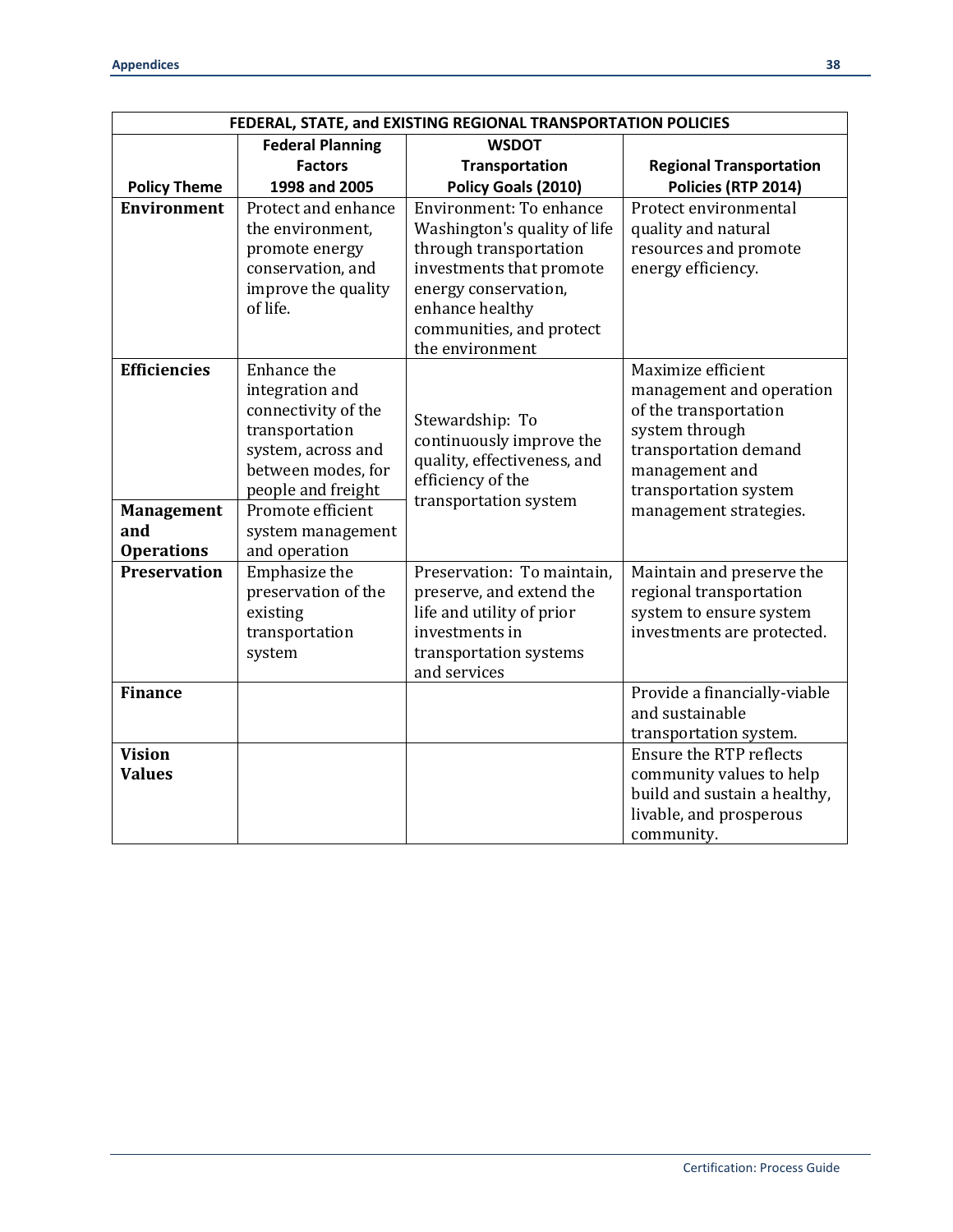| FEDERAL, STATE, and EXISTING REGIONAL TRANSPORTATION POLICIES        |                                                                                                                                                                                                      |                                                                                                                                                                                      |                                                                                                                                                                                         |  |
|----------------------------------------------------------------------|------------------------------------------------------------------------------------------------------------------------------------------------------------------------------------------------------|--------------------------------------------------------------------------------------------------------------------------------------------------------------------------------------|-----------------------------------------------------------------------------------------------------------------------------------------------------------------------------------------|--|
|                                                                      | <b>Federal Planning</b>                                                                                                                                                                              | <b>WSDOT</b>                                                                                                                                                                         |                                                                                                                                                                                         |  |
|                                                                      | <b>Factors</b>                                                                                                                                                                                       | <b>Transportation</b>                                                                                                                                                                | <b>Regional Transportation</b>                                                                                                                                                          |  |
| <b>Policy Theme</b>                                                  | 1998 and 2005                                                                                                                                                                                        | Policy Goals (2010)                                                                                                                                                                  | Policies (RTP 2014)                                                                                                                                                                     |  |
| <b>Environment</b>                                                   | Protect and enhance<br>the environment,<br>promote energy<br>conservation, and<br>improve the quality<br>of life.                                                                                    | Environment: To enhance<br>Washington's quality of life<br>through transportation<br>investments that promote<br>energy conservation,<br>enhance healthy<br>communities, and protect | Protect environmental<br>quality and natural<br>resources and promote<br>energy efficiency.                                                                                             |  |
| <b>Efficiencies</b><br><b>Management</b><br>and<br><b>Operations</b> | Enhance the<br>integration and<br>connectivity of the<br>transportation<br>system, across and<br>between modes, for<br>people and freight<br>Promote efficient<br>system management<br>and operation | the environment<br>Stewardship: To<br>continuously improve the<br>quality, effectiveness, and<br>efficiency of the<br>transportation system                                          | Maximize efficient<br>management and operation<br>of the transportation<br>system through<br>transportation demand<br>management and<br>transportation system<br>management strategies. |  |
| <b>Preservation</b>                                                  | Emphasize the<br>preservation of the<br>existing<br>transportation<br>system                                                                                                                         | Preservation: To maintain,<br>preserve, and extend the<br>life and utility of prior<br>investments in<br>transportation systems<br>and services                                      | Maintain and preserve the<br>regional transportation<br>system to ensure system<br>investments are protected.                                                                           |  |
| <b>Finance</b>                                                       |                                                                                                                                                                                                      |                                                                                                                                                                                      | Provide a financially-viable<br>and sustainable<br>transportation system.                                                                                                               |  |
| <b>Vision</b><br><b>Values</b>                                       |                                                                                                                                                                                                      |                                                                                                                                                                                      | <b>Ensure the RTP reflects</b><br>community values to help<br>build and sustain a healthy,<br>livable, and prosperous<br>community.                                                     |  |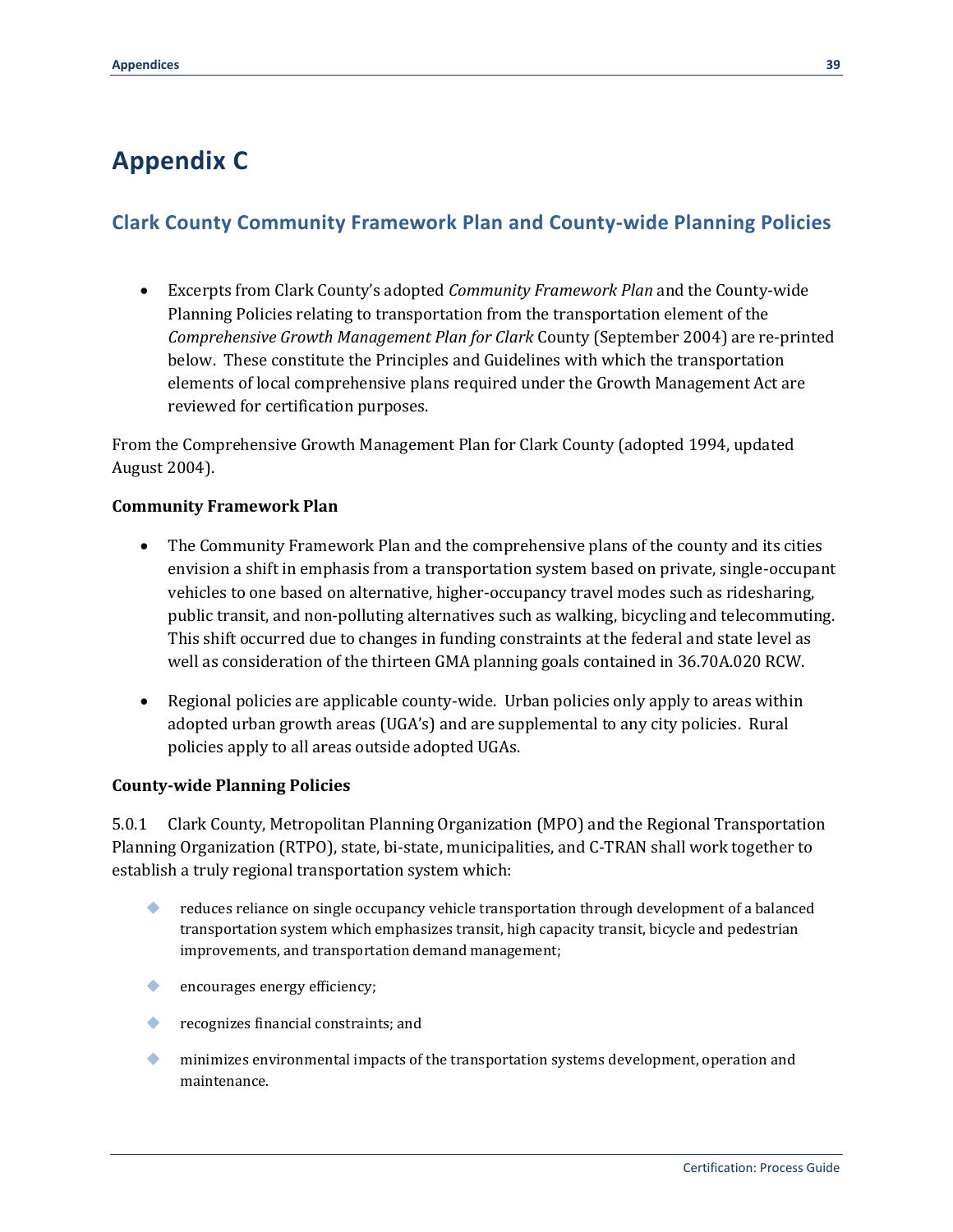## **Appendix C**

### **Clark County Community Framework Plan and County-wide Planning Policies**

 Excerpts from Clark County's adopted *Community Framework Plan* and the County-wide Planning Policies relating to transportation from the transportation element of the *Comprehensive Growth Management Plan for Clark* County (September 2004) are re-printed below. These constitute the Principles and Guidelines with which the transportation elements of local comprehensive plans required under the Growth Management Act are reviewed for certification purposes.

From the Comprehensive Growth Management Plan for Clark County (adopted 1994, updated August 2004).

#### **Community Framework Plan**

- The Community Framework Plan and the comprehensive plans of the county and its cities envision a shift in emphasis from a transportation system based on private, single-occupant vehicles to one based on alternative, higher-occupancy travel modes such as ridesharing, public transit, and non-polluting alternatives such as walking, bicycling and telecommuting. This shift occurred due to changes in funding constraints at the federal and state level as well as consideration of the thirteen GMA planning goals contained in 36.70A.020 RCW.
- Regional policies are applicable county-wide. Urban policies only apply to areas within adopted urban growth areas (UGA's) and are supplemental to any city policies. Rural policies apply to all areas outside adopted UGAs.

#### **County-wide Planning Policies**

5.0.1 Clark County, Metropolitan Planning Organization (MPO) and the Regional Transportation Planning Organization (RTPO), state, bi-state, municipalities, and C-TRAN shall work together to establish a truly regional transportation system which:

- reduces reliance on single occupancy vehicle transportation through development of a balanced transportation system which emphasizes transit, high capacity transit, bicycle and pedestrian improvements, and transportation demand management;
- encourages energy efficiency;
- recognizes financial constraints; and
- minimizes environmental impacts of the transportation systems development, operation and maintenance.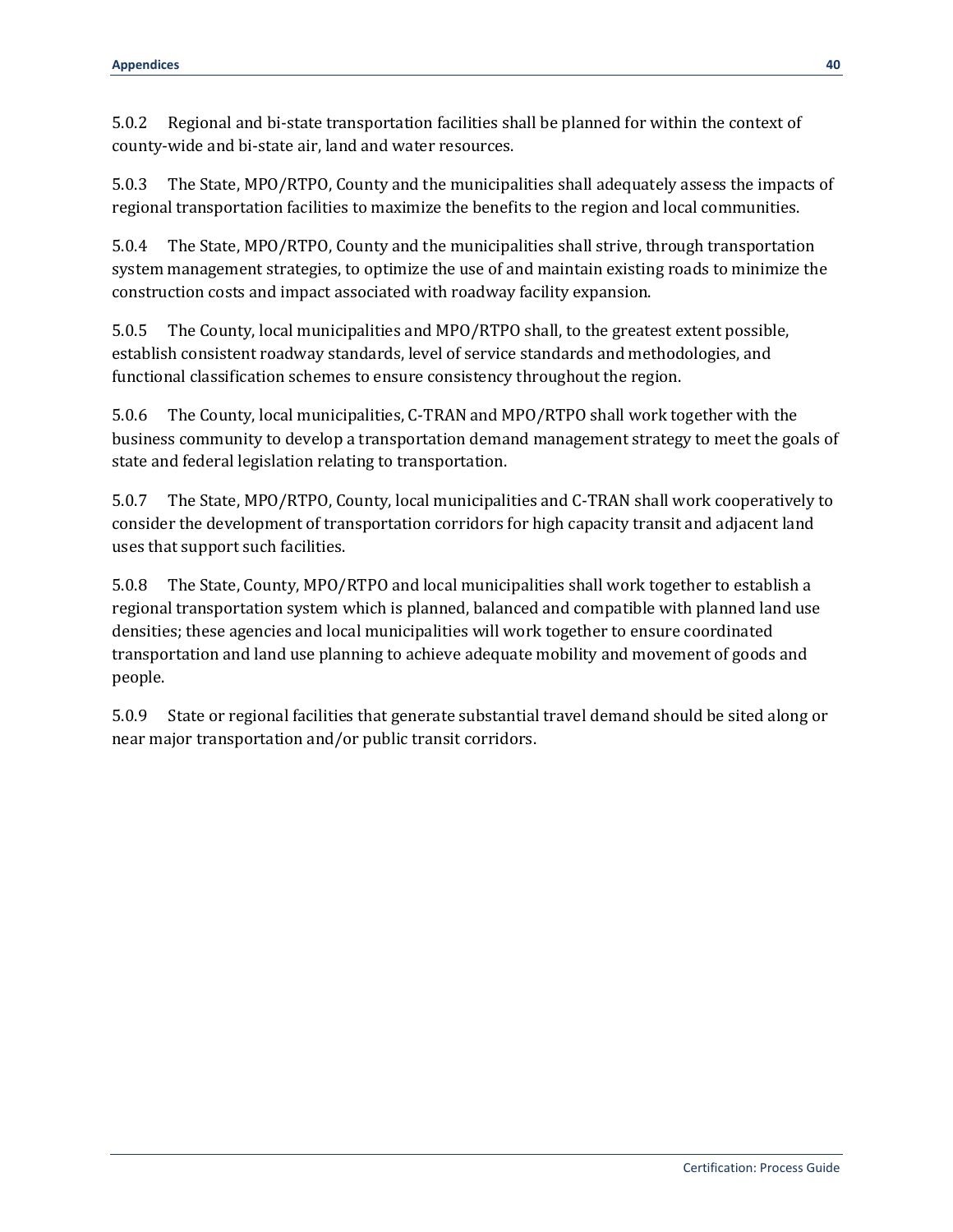5.0.2 Regional and bi-state transportation facilities shall be planned for within the context of county-wide and bi-state air, land and water resources.

5.0.3 The State, MPO/RTPO, County and the municipalities shall adequately assess the impacts of regional transportation facilities to maximize the benefits to the region and local communities.

5.0.4 The State, MPO/RTPO, County and the municipalities shall strive, through transportation system management strategies, to optimize the use of and maintain existing roads to minimize the construction costs and impact associated with roadway facility expansion.

5.0.5 The County, local municipalities and MPO/RTPO shall, to the greatest extent possible, establish consistent roadway standards, level of service standards and methodologies, and functional classification schemes to ensure consistency throughout the region.

5.0.6 The County, local municipalities, C-TRAN and MPO/RTPO shall work together with the business community to develop a transportation demand management strategy to meet the goals of state and federal legislation relating to transportation.

5.0.7 The State, MPO/RTPO, County, local municipalities and C-TRAN shall work cooperatively to consider the development of transportation corridors for high capacity transit and adjacent land uses that support such facilities.

5.0.8 The State, County, MPO/RTPO and local municipalities shall work together to establish a regional transportation system which is planned, balanced and compatible with planned land use densities; these agencies and local municipalities will work together to ensure coordinated transportation and land use planning to achieve adequate mobility and movement of goods and people.

5.0.9 State or regional facilities that generate substantial travel demand should be sited along or near major transportation and/or public transit corridors.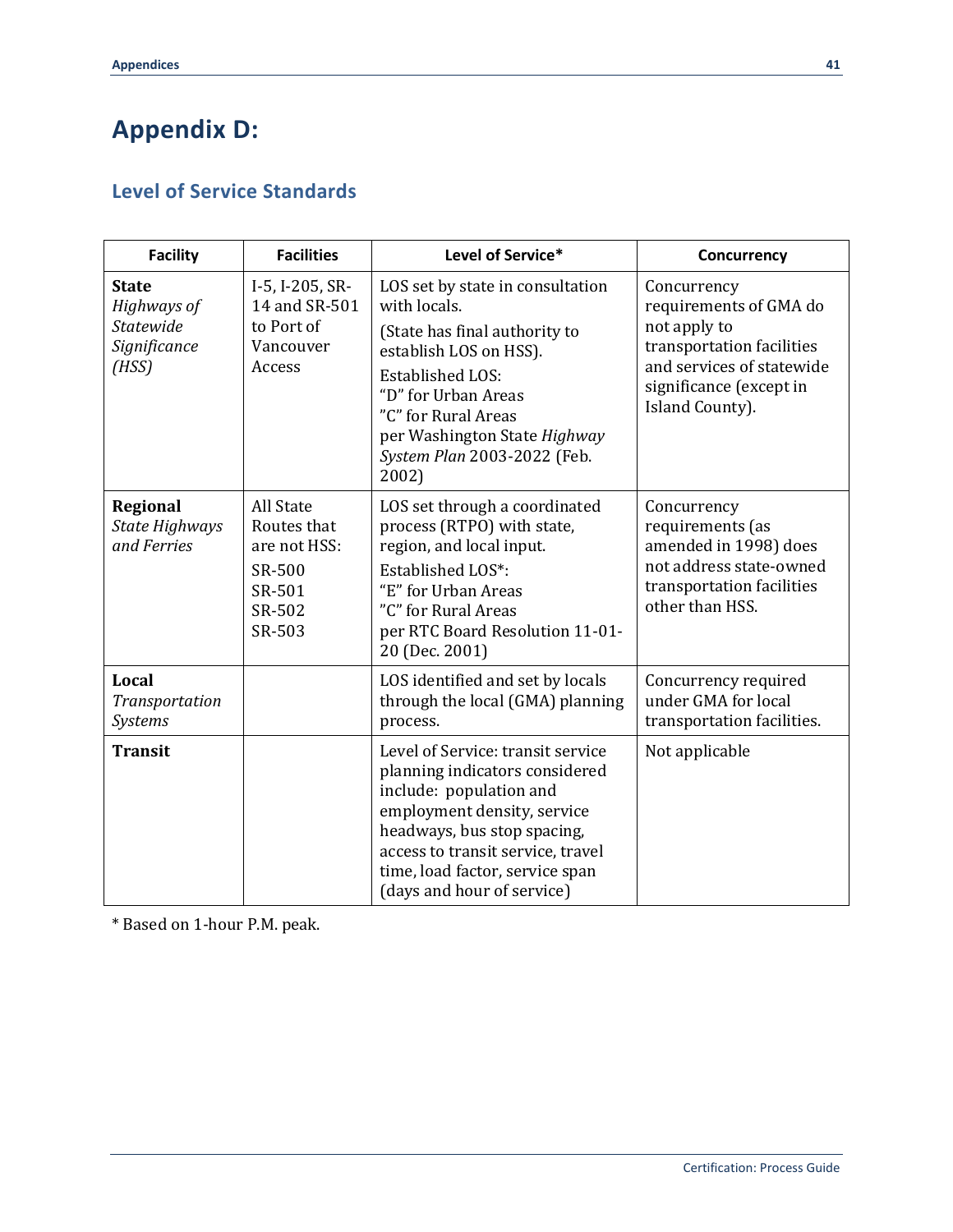## **Appendix D:**

### **Level of Service Standards**

| <b>Facility</b>                                                          | <b>Facilities</b>                                                                       | Level of Service*                                                                                                                                                                                                                                                  | Concurrency                                                                                                                                                   |
|--------------------------------------------------------------------------|-----------------------------------------------------------------------------------------|--------------------------------------------------------------------------------------------------------------------------------------------------------------------------------------------------------------------------------------------------------------------|---------------------------------------------------------------------------------------------------------------------------------------------------------------|
| <b>State</b><br>Highways of<br><b>Statewide</b><br>Significance<br>(HSS) | I-5, I-205, SR-<br>14 and SR-501<br>to Port of<br>Vancouver<br>Access                   | LOS set by state in consultation<br>with locals.<br>(State has final authority to<br>establish LOS on HSS).<br><b>Established LOS:</b><br>"D" for Urban Areas<br>"C" for Rural Areas<br>per Washington State Highway<br>System Plan 2003-2022 (Feb.<br>2002)       | Concurrency<br>requirements of GMA do<br>not apply to<br>transportation facilities<br>and services of statewide<br>significance (except in<br>Island County). |
| <b>Regional</b><br>State Highways<br>and Ferries                         | <b>All State</b><br>Routes that<br>are not HSS:<br>SR-500<br>SR-501<br>SR-502<br>SR-503 | LOS set through a coordinated<br>process (RTPO) with state,<br>region, and local input.<br><b>Established LOS*:</b><br>"E" for Urban Areas<br>"C" for Rural Areas<br>per RTC Board Resolution 11-01-<br>20 (Dec. 2001)                                             | Concurrency<br>requirements (as<br>amended in 1998) does<br>not address state-owned<br>transportation facilities<br>other than HSS.                           |
| <b>Local</b><br>Transportation<br>Systems                                |                                                                                         | LOS identified and set by locals<br>through the local (GMA) planning<br>process.                                                                                                                                                                                   | Concurrency required<br>under GMA for local<br>transportation facilities.                                                                                     |
| <b>Transit</b>                                                           |                                                                                         | Level of Service: transit service<br>planning indicators considered<br>include: population and<br>employment density, service<br>headways, bus stop spacing,<br>access to transit service, travel<br>time, load factor, service span<br>(days and hour of service) | Not applicable                                                                                                                                                |

\* Based on 1-hour P.M. peak.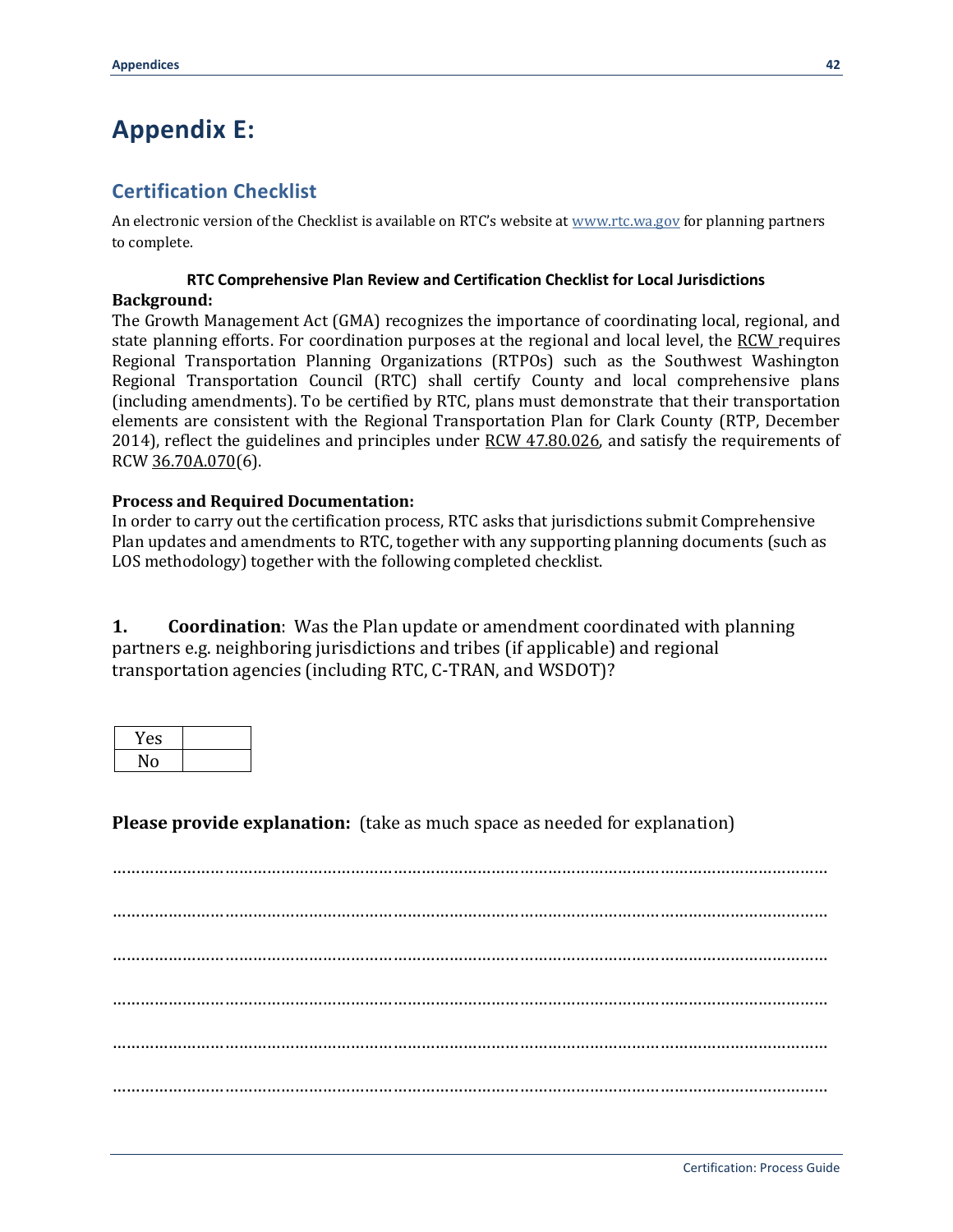## **Appendix E:**

#### **Certification Checklist**

An electronic version of the Checklist is available on RTC's website at [www.rtc.wa.gov](http://www.rtc.wa.gov/) for planning partners to complete.

#### **RTC Comprehensive Plan Review and Certification Checklist for Local Jurisdictions**

#### **Background:**

The Growth Management Act (GMA) recognizes the importance of coordinating local, regional, and state planning efforts. For coordination purposes at the regional and local level, the [RCW r](http://apps.leg.wa.gov/rcw/default.aspx?cite=47.80.023)equires Regional Transportation Planning Organizations (RTPOs) such as the Southwest Washington Regional Transportation Council (RTC) shall certify County and local comprehensive plans (including amendments). To be certified by RTC, plans must demonstrate that their transportation elements are consistent with the Regional Transportation Plan for Clark County (RTP, December 2014), reflect the guidelines and principles under [RCW 47.80.026,](http://apps.leg.wa.gov/rcw/default.aspx?cite=47.80.026) and satisfy the requirements of RC[W 36.70A.070\(](http://apps.leg.wa.gov/rcw/default.aspx?cite=36.70a.070)6).

#### **Process and Required Documentation:**

In order to carry out the certification process, RTC asks that jurisdictions submit Comprehensive Plan updates and amendments to RTC, together with any supporting planning documents (such as LOS methodology) together with the following completed checklist.

**1. Coordination**: Was the Plan update or amendment coordinated with planning partners e.g. neighboring jurisdictions and tribes (if applicable) and regional transportation agencies (including RTC, C-TRAN, and WSDOT)?

| ës |  |
|----|--|
| 11 |  |

**Please provide explanation:** (take as much space as needed for explanation)

……………………………………………………………………………………………………………………………………… ……………………………………………………………………………………………………………………………………… ……………………………………………………………………………………………………………………………………… ……………………………………………………………………………………………………………………………………… ………………………………………………………………………………………………………………………………………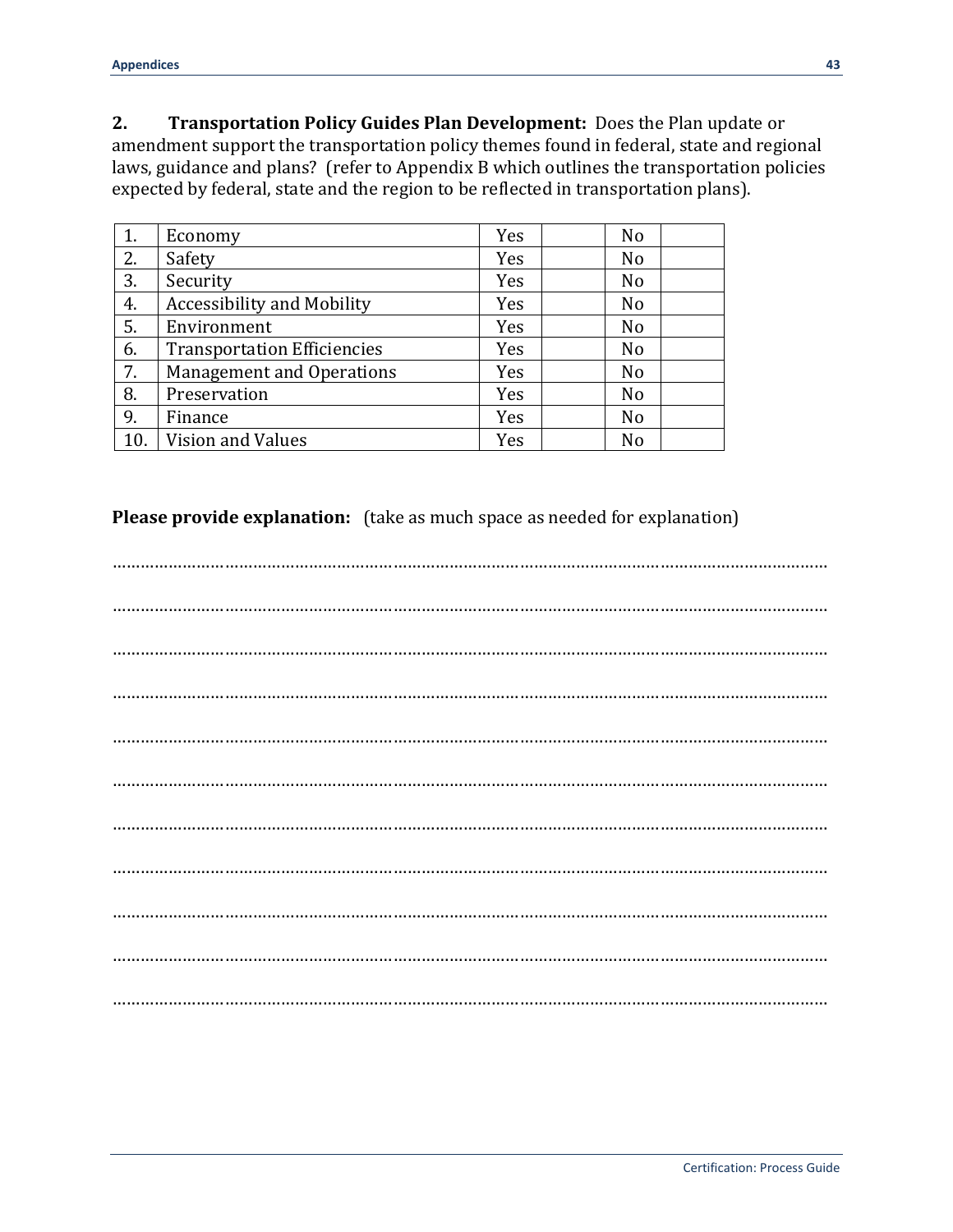**2. Transportation Policy Guides Plan Development:** Does the Plan update or amendment support the transportation policy themes found in federal, state and regional laws, guidance and plans? (refer to Appendix B which outlines the transportation policies expected by federal, state and the region to be reflected in transportation plans).

| 1.  | Economy                            | Yes | N <sub>o</sub> |
|-----|------------------------------------|-----|----------------|
| 2.  | Safety                             | Yes | N <sub>o</sub> |
| 3.  | Security                           | Yes | N <sub>o</sub> |
| 4.  | <b>Accessibility and Mobility</b>  | Yes | N <sub>o</sub> |
| 5.  | Environment                        | Yes | N <sub>o</sub> |
| 6.  | <b>Transportation Efficiencies</b> | Yes | N <sub>o</sub> |
| 7.  | <b>Management and Operations</b>   | Yes | N <sub>o</sub> |
| 8.  | Preservation                       | Yes | N <sub>o</sub> |
| 9.  | Finance                            | Yes | N <sub>0</sub> |
| 10. | Vision and Values                  | Yes | N <sub>o</sub> |

**Please provide explanation:** (take as much space as needed for explanation)

……………………………………………………………………………………………………………………………………… ……………………………………………………………………………………………………………………………………… ……………………………………………………………………………………………………………………………………… ……………………………………………………………………………………………………………………………………… ……………………………………………………………………………………………………………………………………… ……………………………………………………………………………………………………………………………………… ……………………………………………………………………………………………………………………………………… ……………………………………………………………………………………………………………………………………… ……………………………………………………………………………………………………………………………………… ……………………………………………………………………………………………………………………………………… ………………………………………………………………………………………………………………………………………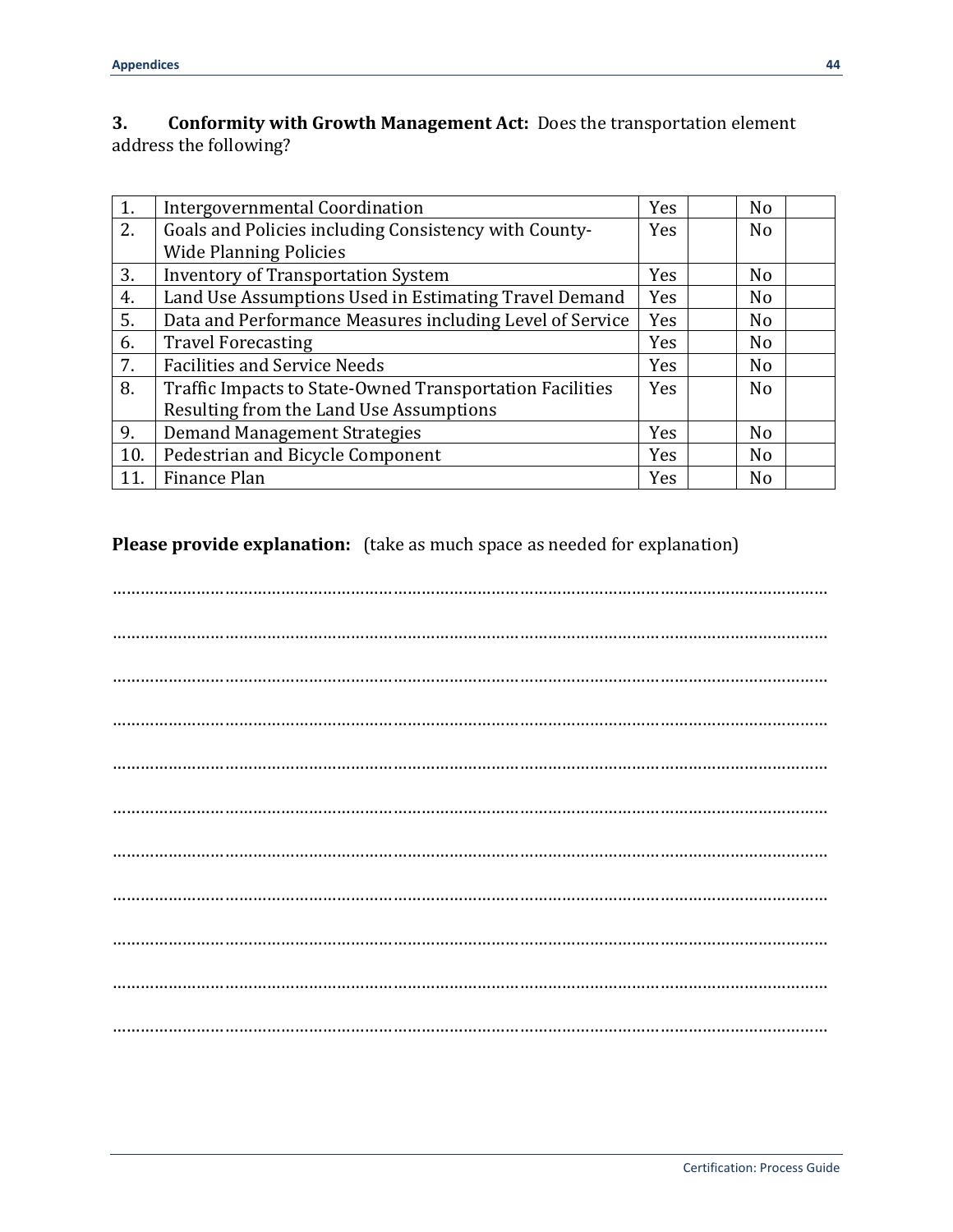#### **3. Conformity with Growth Management Act:** Does the transportation element address the following?

| 1.  | Intergovernmental Coordination                           | Yes        | N <sub>o</sub> |  |
|-----|----------------------------------------------------------|------------|----------------|--|
| 2.  | Goals and Policies including Consistency with County-    | Yes        | N <sub>o</sub> |  |
|     | <b>Wide Planning Policies</b>                            |            |                |  |
| 3.  | <b>Inventory of Transportation System</b>                | <b>Yes</b> | N <sub>o</sub> |  |
| 4.  | Land Use Assumptions Used in Estimating Travel Demand    | Yes        | N <sub>o</sub> |  |
| 5.  | Data and Performance Measures including Level of Service | Yes        | N <sub>o</sub> |  |
| 6.  | <b>Travel Forecasting</b>                                | Yes        | N <sub>o</sub> |  |
| 7.  | <b>Facilities and Service Needs</b>                      | <b>Yes</b> | N <sub>o</sub> |  |
| 8.  | Traffic Impacts to State-Owned Transportation Facilities | Yes        | N <sub>o</sub> |  |
|     | Resulting from the Land Use Assumptions                  |            |                |  |
| 9.  | <b>Demand Management Strategies</b>                      | <b>Yes</b> | N <sub>o</sub> |  |
| 10. | Pedestrian and Bicycle Component                         | <b>Yes</b> | N <sub>o</sub> |  |
| 11. | Finance Plan                                             | Yes        | N <sub>o</sub> |  |

**Please provide explanation:** (take as much space as needed for explanation)

……………………………………………………………………………………………………………………………………… ……………………………………………………………………………………………………………………………………… ……………………………………………………………………………………………………………………………………… ……………………………………………………………………………………………………………………………………… ……………………………………………………………………………………………………………………………………… ……………………………………………………………………………………………………………………………………… ……………………………………………………………………………………………………………………………………… ……………………………………………………………………………………………………………………………………… ……………………………………………………………………………………………………………………………………… ……………………………………………………………………………………………………………………………………… ………………………………………………………………………………………………………………………………………